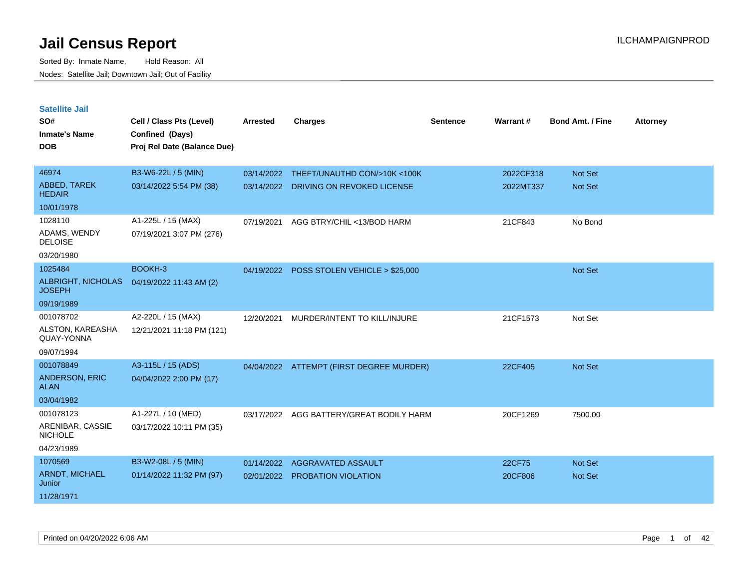| <b>Satellite Jail</b>               |                                             |                 |                                           |                 |           |                         |                 |
|-------------------------------------|---------------------------------------------|-----------------|-------------------------------------------|-----------------|-----------|-------------------------|-----------------|
| SO#<br><b>Inmate's Name</b>         | Cell / Class Pts (Level)<br>Confined (Days) | <b>Arrested</b> | <b>Charges</b>                            | <b>Sentence</b> | Warrant#  | <b>Bond Amt. / Fine</b> | <b>Attorney</b> |
| <b>DOB</b>                          | Proj Rel Date (Balance Due)                 |                 |                                           |                 |           |                         |                 |
|                                     |                                             |                 |                                           |                 |           |                         |                 |
| 46974                               | B3-W6-22L / 5 (MIN)                         | 03/14/2022      | THEFT/UNAUTHD CON/>10K <100K              |                 | 2022CF318 | Not Set                 |                 |
| ABBED, TAREK<br><b>HEDAIR</b>       | 03/14/2022 5:54 PM (38)                     |                 | 03/14/2022 DRIVING ON REVOKED LICENSE     |                 | 2022MT337 | <b>Not Set</b>          |                 |
| 10/01/1978                          |                                             |                 |                                           |                 |           |                         |                 |
| 1028110                             | A1-225L / 15 (MAX)                          | 07/19/2021      | AGG BTRY/CHIL <13/BOD HARM                |                 | 21CF843   | No Bond                 |                 |
| ADAMS, WENDY<br><b>DELOISE</b>      | 07/19/2021 3:07 PM (276)                    |                 |                                           |                 |           |                         |                 |
| 03/20/1980                          |                                             |                 |                                           |                 |           |                         |                 |
| 1025484                             | BOOKH-3                                     |                 | 04/19/2022 POSS STOLEN VEHICLE > \$25,000 |                 |           | Not Set                 |                 |
| ALBRIGHT, NICHOLAS<br><b>JOSEPH</b> | 04/19/2022 11:43 AM (2)                     |                 |                                           |                 |           |                         |                 |
| 09/19/1989                          |                                             |                 |                                           |                 |           |                         |                 |
| 001078702                           | A2-220L / 15 (MAX)                          | 12/20/2021      | MURDER/INTENT TO KILL/INJURE              |                 | 21CF1573  | Not Set                 |                 |
| ALSTON, KAREASHA<br>QUAY-YONNA      | 12/21/2021 11:18 PM (121)                   |                 |                                           |                 |           |                         |                 |
| 09/07/1994                          |                                             |                 |                                           |                 |           |                         |                 |
| 001078849                           | A3-115L / 15 (ADS)                          |                 | 04/04/2022 ATTEMPT (FIRST DEGREE MURDER)  |                 | 22CF405   | Not Set                 |                 |
| ANDERSON, ERIC<br><b>ALAN</b>       | 04/04/2022 2:00 PM (17)                     |                 |                                           |                 |           |                         |                 |
| 03/04/1982                          |                                             |                 |                                           |                 |           |                         |                 |
| 001078123                           | A1-227L / 10 (MED)                          | 03/17/2022      | AGG BATTERY/GREAT BODILY HARM             |                 | 20CF1269  | 7500.00                 |                 |
| ARENIBAR, CASSIE<br><b>NICHOLE</b>  | 03/17/2022 10:11 PM (35)                    |                 |                                           |                 |           |                         |                 |
| 04/23/1989                          |                                             |                 |                                           |                 |           |                         |                 |
| 1070569                             | B3-W2-08L / 5 (MIN)                         | 01/14/2022      | <b>AGGRAVATED ASSAULT</b>                 |                 | 22CF75    | <b>Not Set</b>          |                 |
| <b>ARNDT, MICHAEL</b><br>Junior     | 01/14/2022 11:32 PM (97)                    |                 | 02/01/2022 PROBATION VIOLATION            |                 | 20CF806   | Not Set                 |                 |
| 11/28/1971                          |                                             |                 |                                           |                 |           |                         |                 |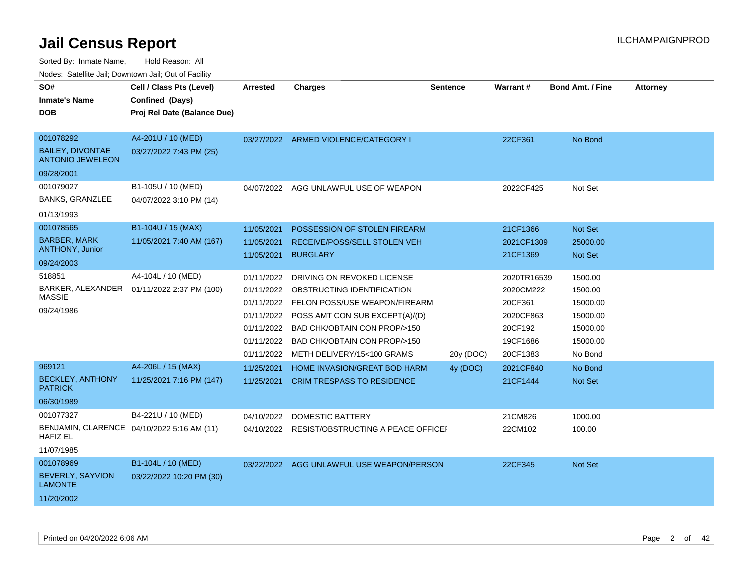Sorted By: Inmate Name, Hold Reason: All

Nodes: Satellite Jail; Downtown Jail; Out of Facility

| SO#                                                           | Cell / Class Pts (Level)    | Arrested   | <b>Charges</b>                                | <b>Sentence</b> | Warrant#    | <b>Bond Amt. / Fine</b> | <b>Attorney</b> |
|---------------------------------------------------------------|-----------------------------|------------|-----------------------------------------------|-----------------|-------------|-------------------------|-----------------|
| <b>Inmate's Name</b>                                          | Confined (Days)             |            |                                               |                 |             |                         |                 |
| <b>DOB</b>                                                    | Proj Rel Date (Balance Due) |            |                                               |                 |             |                         |                 |
|                                                               |                             |            |                                               |                 |             |                         |                 |
| 001078292                                                     | A4-201U / 10 (MED)          |            | 03/27/2022 ARMED VIOLENCE/CATEGORY I          |                 | 22CF361     | No Bond                 |                 |
| <b>BAILEY, DIVONTAE</b><br><b>ANTONIO JEWELEON</b>            | 03/27/2022 7:43 PM (25)     |            |                                               |                 |             |                         |                 |
| 09/28/2001                                                    |                             |            |                                               |                 |             |                         |                 |
| 001079027                                                     | B1-105U / 10 (MED)          | 04/07/2022 | AGG UNLAWFUL USE OF WEAPON                    |                 | 2022CF425   | Not Set                 |                 |
| <b>BANKS, GRANZLEE</b>                                        | 04/07/2022 3:10 PM (14)     |            |                                               |                 |             |                         |                 |
| 01/13/1993                                                    |                             |            |                                               |                 |             |                         |                 |
| 001078565                                                     | B1-104U / 15 (MAX)          | 11/05/2021 | POSSESSION OF STOLEN FIREARM                  |                 | 21CF1366    | Not Set                 |                 |
| <b>BARBER, MARK</b>                                           | 11/05/2021 7:40 AM (167)    | 11/05/2021 | RECEIVE/POSS/SELL STOLEN VEH                  |                 | 2021CF1309  | 25000.00                |                 |
| ANTHONY, Junior                                               |                             | 11/05/2021 | <b>BURGLARY</b>                               |                 | 21CF1369    | Not Set                 |                 |
| 09/24/2003                                                    |                             |            |                                               |                 |             |                         |                 |
| 518851                                                        | A4-104L / 10 (MED)          | 01/11/2022 | DRIVING ON REVOKED LICENSE                    |                 | 2020TR16539 | 1500.00                 |                 |
| BARKER, ALEXANDER<br><b>MASSIE</b>                            | 01/11/2022 2:37 PM (100)    |            | 01/11/2022 OBSTRUCTING IDENTIFICATION         |                 | 2020CM222   | 1500.00                 |                 |
| 09/24/1986                                                    |                             | 01/11/2022 | FELON POSS/USE WEAPON/FIREARM                 |                 | 20CF361     | 15000.00                |                 |
|                                                               |                             | 01/11/2022 | POSS AMT CON SUB EXCEPT(A)/(D)                |                 | 2020CF863   | 15000.00                |                 |
|                                                               |                             | 01/11/2022 | BAD CHK/OBTAIN CON PROP/>150                  |                 | 20CF192     | 15000.00                |                 |
|                                                               |                             |            | 01/11/2022 BAD CHK/OBTAIN CON PROP/>150       |                 | 19CF1686    | 15000.00                |                 |
|                                                               |                             | 01/11/2022 | METH DELIVERY/15<100 GRAMS                    | 20y (DOC)       | 20CF1383    | No Bond                 |                 |
| 969121                                                        | A4-206L / 15 (MAX)          | 11/25/2021 | HOME INVASION/GREAT BOD HARM                  | 4y (DOC)        | 2021CF840   | No Bond                 |                 |
| <b>BECKLEY, ANTHONY</b><br><b>PATRICK</b>                     | 11/25/2021 7:16 PM (147)    | 11/25/2021 | <b>CRIM TRESPASS TO RESIDENCE</b>             |                 | 21CF1444    | Not Set                 |                 |
| 06/30/1989                                                    |                             |            |                                               |                 |             |                         |                 |
| 001077327                                                     | B4-221U / 10 (MED)          | 04/10/2022 | DOMESTIC BATTERY                              |                 | 21CM826     | 1000.00                 |                 |
| BENJAMIN, CLARENCE 04/10/2022 5:16 AM (11)<br><b>HAFIZ EL</b> |                             |            | 04/10/2022 RESIST/OBSTRUCTING A PEACE OFFICEF |                 | 22CM102     | 100.00                  |                 |
| 11/07/1985                                                    |                             |            |                                               |                 |             |                         |                 |
| 001078969                                                     | B1-104L / 10 (MED)          |            | 03/22/2022 AGG UNLAWFUL USE WEAPON/PERSON     |                 | 22CF345     | Not Set                 |                 |
| <b>BEVERLY, SAYVION</b><br><b>LAMONTE</b>                     | 03/22/2022 10:20 PM (30)    |            |                                               |                 |             |                         |                 |
| 11/20/2002                                                    |                             |            |                                               |                 |             |                         |                 |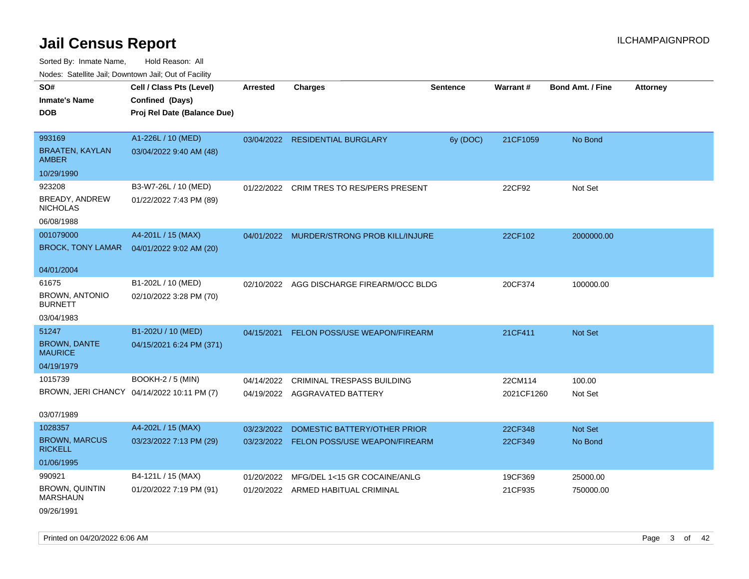| Nodes. Satellite Jali, Downtown Jali, Out of Facility |                                            |                 |                                           |                 |            |                         |                 |
|-------------------------------------------------------|--------------------------------------------|-----------------|-------------------------------------------|-----------------|------------|-------------------------|-----------------|
| SO#                                                   | Cell / Class Pts (Level)                   | <b>Arrested</b> | <b>Charges</b>                            | <b>Sentence</b> | Warrant#   | <b>Bond Amt. / Fine</b> | <b>Attorney</b> |
| <b>Inmate's Name</b>                                  | Confined (Days)                            |                 |                                           |                 |            |                         |                 |
| <b>DOB</b>                                            | Proj Rel Date (Balance Due)                |                 |                                           |                 |            |                         |                 |
|                                                       |                                            |                 |                                           |                 |            |                         |                 |
| 993169                                                | A1-226L / 10 (MED)                         |                 | 03/04/2022 RESIDENTIAL BURGLARY           | 6y (DOC)        | 21CF1059   | No Bond                 |                 |
| <b>BRAATEN, KAYLAN</b><br><b>AMBER</b>                | 03/04/2022 9:40 AM (48)                    |                 |                                           |                 |            |                         |                 |
| 10/29/1990                                            |                                            |                 |                                           |                 |            |                         |                 |
| 923208                                                | B3-W7-26L / 10 (MED)                       |                 | 01/22/2022 CRIM TRES TO RES/PERS PRESENT  |                 | 22CF92     | Not Set                 |                 |
| BREADY, ANDREW<br><b>NICHOLAS</b>                     | 01/22/2022 7:43 PM (89)                    |                 |                                           |                 |            |                         |                 |
| 06/08/1988                                            |                                            |                 |                                           |                 |            |                         |                 |
| 001079000                                             | A4-201L / 15 (MAX)                         |                 | 04/01/2022 MURDER/STRONG PROB KILL/INJURE |                 | 22CF102    | 2000000.00              |                 |
| <b>BROCK, TONY LAMAR</b>                              | 04/01/2022 9:02 AM (20)                    |                 |                                           |                 |            |                         |                 |
|                                                       |                                            |                 |                                           |                 |            |                         |                 |
| 04/01/2004                                            |                                            |                 |                                           |                 |            |                         |                 |
| 61675                                                 | B1-202L / 10 (MED)                         | 02/10/2022      | AGG DISCHARGE FIREARM/OCC BLDG            |                 | 20CF374    | 100000.00               |                 |
| <b>BROWN, ANTONIO</b><br><b>BURNETT</b>               | 02/10/2022 3:28 PM (70)                    |                 |                                           |                 |            |                         |                 |
| 03/04/1983                                            |                                            |                 |                                           |                 |            |                         |                 |
| 51247                                                 | B1-202U / 10 (MED)                         | 04/15/2021      | <b>FELON POSS/USE WEAPON/FIREARM</b>      |                 | 21CF411    | Not Set                 |                 |
| <b>BROWN, DANTE</b><br><b>MAURICE</b>                 | 04/15/2021 6:24 PM (371)                   |                 |                                           |                 |            |                         |                 |
| 04/19/1979                                            |                                            |                 |                                           |                 |            |                         |                 |
| 1015739                                               | BOOKH-2 / 5 (MIN)                          | 04/14/2022      | <b>CRIMINAL TRESPASS BUILDING</b>         |                 | 22CM114    | 100.00                  |                 |
|                                                       | BROWN, JERI CHANCY 04/14/2022 10:11 PM (7) |                 | 04/19/2022 AGGRAVATED BATTERY             |                 | 2021CF1260 | Not Set                 |                 |
|                                                       |                                            |                 |                                           |                 |            |                         |                 |
| 03/07/1989                                            |                                            |                 |                                           |                 |            |                         |                 |
| 1028357                                               | A4-202L / 15 (MAX)                         | 03/23/2022      | DOMESTIC BATTERY/OTHER PRIOR              |                 | 22CF348    | Not Set                 |                 |
| <b>BROWN, MARCUS</b><br><b>RICKELL</b>                | 03/23/2022 7:13 PM (29)                    |                 | 03/23/2022 FELON POSS/USE WEAPON/FIREARM  |                 | 22CF349    | No Bond                 |                 |
| 01/06/1995                                            |                                            |                 |                                           |                 |            |                         |                 |
| 990921                                                | B4-121L / 15 (MAX)                         | 01/20/2022      | MFG/DEL 1<15 GR COCAINE/ANLG              |                 | 19CF369    | 25000.00                |                 |
| <b>BROWN, QUINTIN</b><br><b>MARSHAUN</b>              | 01/20/2022 7:19 PM (91)                    |                 | 01/20/2022 ARMED HABITUAL CRIMINAL        |                 | 21CF935    | 750000.00               |                 |
| 09/26/1991                                            |                                            |                 |                                           |                 |            |                         |                 |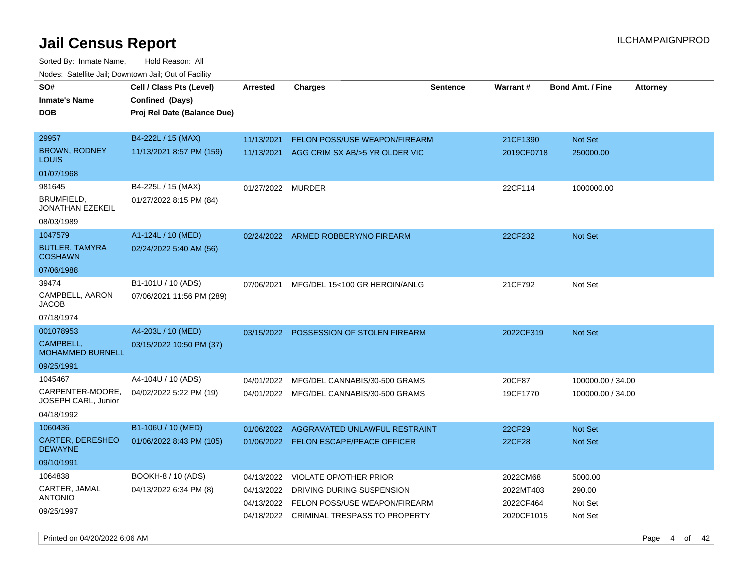Sorted By: Inmate Name, Hold Reason: All Nodes: Satellite Jail; Downtown Jail; Out of Facility

| SO#                                       | Cell / Class Pts (Level)                       | <b>Arrested</b> | <b>Charges</b>                           | <b>Sentence</b> | Warrant#   | <b>Bond Amt. / Fine</b> | <b>Attorney</b> |
|-------------------------------------------|------------------------------------------------|-----------------|------------------------------------------|-----------------|------------|-------------------------|-----------------|
| <b>Inmate's Name</b><br>DOB               | Confined (Days)<br>Proj Rel Date (Balance Due) |                 |                                          |                 |            |                         |                 |
| 29957                                     | B4-222L / 15 (MAX)                             | 11/13/2021      | FELON POSS/USE WEAPON/FIREARM            |                 | 21CF1390   | Not Set                 |                 |
| <b>BROWN, RODNEY</b><br>LOUIS             | 11/13/2021 8:57 PM (159)                       | 11/13/2021      | AGG CRIM SX AB/>5 YR OLDER VIC           |                 | 2019CF0718 | 250000.00               |                 |
| 01/07/1968                                |                                                |                 |                                          |                 |            |                         |                 |
| 981645                                    | B4-225L / 15 (MAX)                             | 01/27/2022      | MURDER                                   |                 | 22CF114    | 1000000.00              |                 |
| BRUMFIELD,<br>JONATHAN EZEKEIL            | 01/27/2022 8:15 PM (84)                        |                 |                                          |                 |            |                         |                 |
| 08/03/1989                                |                                                |                 |                                          |                 |            |                         |                 |
| 1047579                                   | A1-124L / 10 (MED)                             | 02/24/2022      | ARMED ROBBERY/NO FIREARM                 |                 | 22CF232    | <b>Not Set</b>          |                 |
| <b>BUTLER, TAMYRA</b><br><b>COSHAWN</b>   | 02/24/2022 5:40 AM (56)                        |                 |                                          |                 |            |                         |                 |
| 07/06/1988                                |                                                |                 |                                          |                 |            |                         |                 |
| 39474                                     | B1-101U / 10 (ADS)                             | 07/06/2021      | MFG/DEL 15<100 GR HEROIN/ANLG            |                 | 21CF792    | Not Set                 |                 |
| CAMPBELL, AARON<br>JACOB                  | 07/06/2021 11:56 PM (289)                      |                 |                                          |                 |            |                         |                 |
| 07/18/1974                                |                                                |                 |                                          |                 |            |                         |                 |
| 001078953                                 | A4-203L / 10 (MED)                             |                 | 03/15/2022 POSSESSION OF STOLEN FIREARM  |                 | 2022CF319  | Not Set                 |                 |
| CAMPBELL,<br><b>MOHAMMED BURNELL</b>      | 03/15/2022 10:50 PM (37)                       |                 |                                          |                 |            |                         |                 |
| 09/25/1991                                |                                                |                 |                                          |                 |            |                         |                 |
| 1045467                                   | A4-104U / 10 (ADS)                             | 04/01/2022      | MFG/DEL CANNABIS/30-500 GRAMS            |                 | 20CF87     | 100000.00 / 34.00       |                 |
| CARPENTER-MOORE.<br>JOSEPH CARL, Junior   | 04/02/2022 5:22 PM (19)                        |                 | 04/01/2022 MFG/DEL CANNABIS/30-500 GRAMS |                 | 19CF1770   | 100000.00 / 34.00       |                 |
| 04/18/1992                                |                                                |                 |                                          |                 |            |                         |                 |
| 1060436                                   | B1-106U / 10 (MED)                             | 01/06/2022      | AGGRAVATED UNLAWFUL RESTRAINT            |                 | 22CF29     | <b>Not Set</b>          |                 |
| <b>CARTER, DERESHEO</b><br><b>DEWAYNE</b> | 01/06/2022 8:43 PM (105)                       |                 | 01/06/2022 FELON ESCAPE/PEACE OFFICER    |                 | 22CF28     | Not Set                 |                 |
| 09/10/1991                                |                                                |                 |                                          |                 |            |                         |                 |
| 1064838                                   | BOOKH-8 / 10 (ADS)                             | 04/13/2022      | <b>VIOLATE OP/OTHER PRIOR</b>            |                 | 2022CM68   | 5000.00                 |                 |
| CARTER, JAMAL                             | 04/13/2022 6:34 PM (8)                         | 04/13/2022      | DRIVING DURING SUSPENSION                |                 | 2022MT403  | 290.00                  |                 |
| <b>ANTONIO</b>                            |                                                | 04/13/2022      | FELON POSS/USE WEAPON/FIREARM            |                 | 2022CF464  | Not Set                 |                 |
| 09/25/1997                                |                                                |                 | 04/18/2022 CRIMINAL TRESPASS TO PROPERTY |                 | 2020CF1015 | Not Set                 |                 |

Printed on 04/20/2022 6:06 AM Page 4 of 42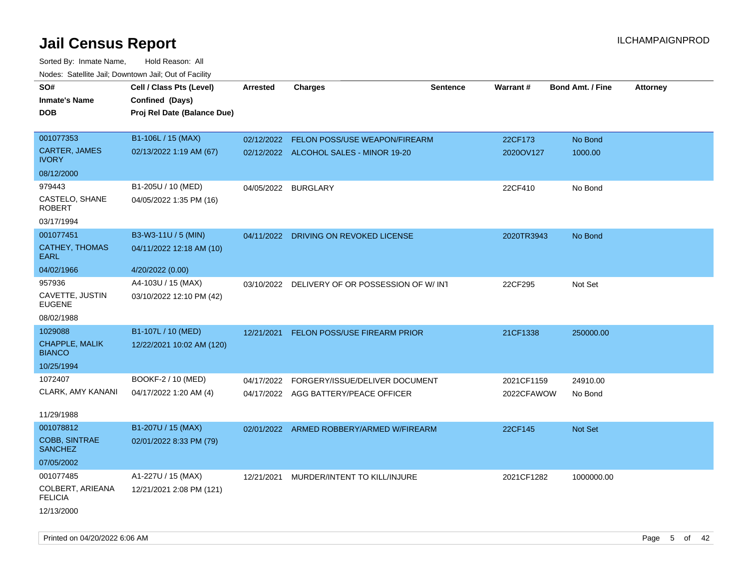| SO#                                    |                             |                     |                                               |                 | Warrant#   | <b>Bond Amt. / Fine</b> |                 |
|----------------------------------------|-----------------------------|---------------------|-----------------------------------------------|-----------------|------------|-------------------------|-----------------|
|                                        | Cell / Class Pts (Level)    | <b>Arrested</b>     | <b>Charges</b>                                | <b>Sentence</b> |            |                         | <b>Attorney</b> |
| <b>Inmate's Name</b>                   | Confined (Days)             |                     |                                               |                 |            |                         |                 |
| <b>DOB</b>                             | Proj Rel Date (Balance Due) |                     |                                               |                 |            |                         |                 |
| 001077353                              | B1-106L / 15 (MAX)          | 02/12/2022          | <b>FELON POSS/USE WEAPON/FIREARM</b>          |                 | 22CF173    | No Bond                 |                 |
| <b>CARTER, JAMES</b>                   | 02/13/2022 1:19 AM (67)     |                     |                                               |                 |            |                         |                 |
| <b>IVORY</b>                           |                             |                     | 02/12/2022 ALCOHOL SALES - MINOR 19-20        |                 | 2020OV127  | 1000.00                 |                 |
| 08/12/2000                             |                             |                     |                                               |                 |            |                         |                 |
| 979443                                 | B1-205U / 10 (MED)          | 04/05/2022 BURGLARY |                                               |                 | 22CF410    | No Bond                 |                 |
| CASTELO, SHANE<br><b>ROBERT</b>        | 04/05/2022 1:35 PM (16)     |                     |                                               |                 |            |                         |                 |
| 03/17/1994                             |                             |                     |                                               |                 |            |                         |                 |
| 001077451                              | B3-W3-11U / 5 (MIN)         |                     | 04/11/2022 DRIVING ON REVOKED LICENSE         |                 | 2020TR3943 | No Bond                 |                 |
| <b>CATHEY, THOMAS</b><br><b>EARL</b>   | 04/11/2022 12:18 AM (10)    |                     |                                               |                 |            |                         |                 |
| 04/02/1966                             | 4/20/2022 (0.00)            |                     |                                               |                 |            |                         |                 |
| 957936                                 | A4-103U / 15 (MAX)          |                     | 03/10/2022 DELIVERY OF OR POSSESSION OF W/INT |                 | 22CF295    | Not Set                 |                 |
| CAVETTE, JUSTIN<br><b>EUGENE</b>       | 03/10/2022 12:10 PM (42)    |                     |                                               |                 |            |                         |                 |
| 08/02/1988                             |                             |                     |                                               |                 |            |                         |                 |
| 1029088                                | B1-107L / 10 (MED)          | 12/21/2021          | FELON POSS/USE FIREARM PRIOR                  |                 | 21CF1338   | 250000.00               |                 |
| CHAPPLE, MALIK<br><b>BIANCO</b>        | 12/22/2021 10:02 AM (120)   |                     |                                               |                 |            |                         |                 |
| 10/25/1994                             |                             |                     |                                               |                 |            |                         |                 |
| 1072407                                | BOOKF-2 / 10 (MED)          | 04/17/2022          | FORGERY/ISSUE/DELIVER DOCUMENT                |                 | 2021CF1159 | 24910.00                |                 |
| CLARK, AMY KANANI                      | 04/17/2022 1:20 AM (4)      |                     | 04/17/2022 AGG BATTERY/PEACE OFFICER          |                 | 2022CFAWOW | No Bond                 |                 |
|                                        |                             |                     |                                               |                 |            |                         |                 |
| 11/29/1988                             |                             |                     |                                               |                 |            |                         |                 |
| 001078812                              | B1-207U / 15 (MAX)          |                     | 02/01/2022 ARMED ROBBERY/ARMED W/FIREARM      |                 | 22CF145    | <b>Not Set</b>          |                 |
| <b>COBB, SINTRAE</b><br><b>SANCHEZ</b> | 02/01/2022 8:33 PM (79)     |                     |                                               |                 |            |                         |                 |
| 07/05/2002                             |                             |                     |                                               |                 |            |                         |                 |
| 001077485                              | A1-227U / 15 (MAX)          | 12/21/2021          | MURDER/INTENT TO KILL/INJURE                  |                 | 2021CF1282 | 1000000.00              |                 |
| COLBERT, ARIEANA<br><b>FELICIA</b>     | 12/21/2021 2:08 PM (121)    |                     |                                               |                 |            |                         |                 |
| 12/13/2000                             |                             |                     |                                               |                 |            |                         |                 |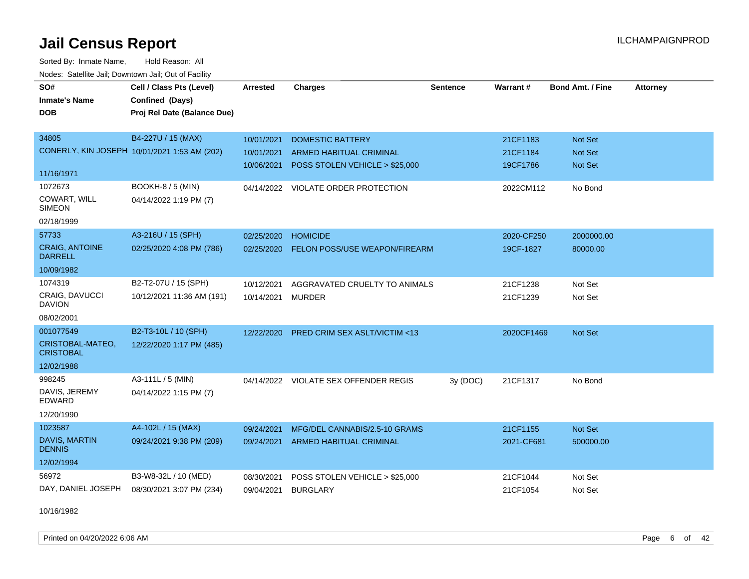Sorted By: Inmate Name, Hold Reason: All Nodes: Satellite Jail; Downtown Jail; Out of Facility

| nouco. Catolino can, Downtown can, Out of Facility |                                              |                 |                                       |                 |            |                         |                 |
|----------------------------------------------------|----------------------------------------------|-----------------|---------------------------------------|-----------------|------------|-------------------------|-----------------|
| SO#                                                | Cell / Class Pts (Level)                     | <b>Arrested</b> | <b>Charges</b>                        | <b>Sentence</b> | Warrant#   | <b>Bond Amt. / Fine</b> | <b>Attorney</b> |
| <b>Inmate's Name</b>                               | Confined (Days)                              |                 |                                       |                 |            |                         |                 |
| <b>DOB</b>                                         | Proj Rel Date (Balance Due)                  |                 |                                       |                 |            |                         |                 |
|                                                    |                                              |                 |                                       |                 |            |                         |                 |
| 34805                                              | B4-227U / 15 (MAX)                           | 10/01/2021      | <b>DOMESTIC BATTERY</b>               |                 | 21CF1183   | Not Set                 |                 |
|                                                    | CONERLY, KIN JOSEPH 10/01/2021 1:53 AM (202) | 10/01/2021      | <b>ARMED HABITUAL CRIMINAL</b>        |                 | 21CF1184   | <b>Not Set</b>          |                 |
|                                                    |                                              | 10/06/2021      | POSS STOLEN VEHICLE > \$25,000        |                 | 19CF1786   | Not Set                 |                 |
| 11/16/1971                                         |                                              |                 |                                       |                 |            |                         |                 |
| 1072673                                            | <b>BOOKH-8 / 5 (MIN)</b>                     |                 | 04/14/2022 VIOLATE ORDER PROTECTION   |                 | 2022CM112  | No Bond                 |                 |
| COWART, WILL<br><b>SIMEON</b>                      | 04/14/2022 1:19 PM (7)                       |                 |                                       |                 |            |                         |                 |
| 02/18/1999                                         |                                              |                 |                                       |                 |            |                         |                 |
| 57733                                              | A3-216U / 15 (SPH)                           | 02/25/2020      | <b>HOMICIDE</b>                       |                 | 2020-CF250 | 2000000.00              |                 |
| <b>CRAIG, ANTOINE</b><br><b>DARRELL</b>            | 02/25/2020 4:08 PM (786)                     | 02/25/2020      | FELON POSS/USE WEAPON/FIREARM         |                 | 19CF-1827  | 80000.00                |                 |
| 10/09/1982                                         |                                              |                 |                                       |                 |            |                         |                 |
| 1074319                                            | B2-T2-07U / 15 (SPH)                         | 10/12/2021      | AGGRAVATED CRUELTY TO ANIMALS         |                 | 21CF1238   | Not Set                 |                 |
| CRAIG, DAVUCCI<br><b>DAVION</b>                    | 10/12/2021 11:36 AM (191)                    | 10/14/2021      | <b>MURDER</b>                         |                 | 21CF1239   | Not Set                 |                 |
| 08/02/2001                                         |                                              |                 |                                       |                 |            |                         |                 |
| 001077549                                          | B2-T3-10L / 10 (SPH)                         | 12/22/2020      | PRED CRIM SEX ASLT/VICTIM <13         |                 | 2020CF1469 | Not Set                 |                 |
| CRISTOBAL-MATEO,<br><b>CRISTOBAL</b>               | 12/22/2020 1:17 PM (485)                     |                 |                                       |                 |            |                         |                 |
| 12/02/1988                                         |                                              |                 |                                       |                 |            |                         |                 |
| 998245                                             | A3-111L / 5 (MIN)                            |                 | 04/14/2022 VIOLATE SEX OFFENDER REGIS | 3y(DOC)         | 21CF1317   | No Bond                 |                 |
| DAVIS, JEREMY<br><b>EDWARD</b>                     | 04/14/2022 1:15 PM (7)                       |                 |                                       |                 |            |                         |                 |
| 12/20/1990                                         |                                              |                 |                                       |                 |            |                         |                 |
| 1023587                                            | A4-102L / 15 (MAX)                           | 09/24/2021      | MFG/DEL CANNABIS/2.5-10 GRAMS         |                 | 21CF1155   | Not Set                 |                 |
| <b>DAVIS, MARTIN</b><br><b>DENNIS</b>              | 09/24/2021 9:38 PM (209)                     |                 | 09/24/2021 ARMED HABITUAL CRIMINAL    |                 | 2021-CF681 | 500000.00               |                 |
| 12/02/1994                                         |                                              |                 |                                       |                 |            |                         |                 |
| 56972                                              | B3-W8-32L / 10 (MED)                         | 08/30/2021      | POSS STOLEN VEHICLE > \$25,000        |                 | 21CF1044   | Not Set                 |                 |
| DAY, DANIEL JOSEPH                                 | 08/30/2021 3:07 PM (234)                     | 09/04/2021      | <b>BURGLARY</b>                       |                 | 21CF1054   | Not Set                 |                 |

10/16/1982

Printed on 04/20/2022 6:06 AM Page 6 of 42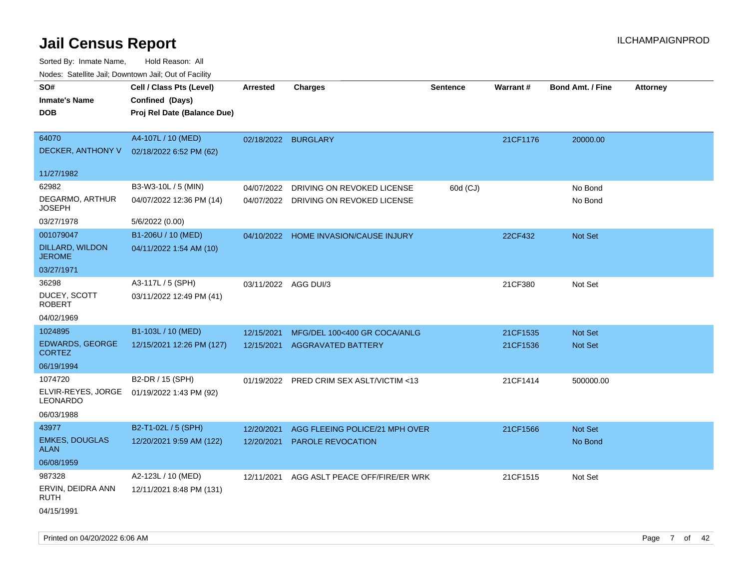| Noues. Salemie Jan, Downlown Jan, Out of Facility |                             |                      |                                          |                 |                 |                         |                 |
|---------------------------------------------------|-----------------------------|----------------------|------------------------------------------|-----------------|-----------------|-------------------------|-----------------|
| SO#                                               | Cell / Class Pts (Level)    | Arrested             | <b>Charges</b>                           | <b>Sentence</b> | <b>Warrant#</b> | <b>Bond Amt. / Fine</b> | <b>Attorney</b> |
| <b>Inmate's Name</b>                              | Confined (Days)             |                      |                                          |                 |                 |                         |                 |
| DOB                                               | Proj Rel Date (Balance Due) |                      |                                          |                 |                 |                         |                 |
|                                                   |                             |                      |                                          |                 |                 |                         |                 |
| 64070                                             | A4-107L / 10 (MED)          | 02/18/2022 BURGLARY  |                                          |                 | 21CF1176        | 20000.00                |                 |
| DECKER, ANTHONY V                                 | 02/18/2022 6:52 PM (62)     |                      |                                          |                 |                 |                         |                 |
| 11/27/1982                                        |                             |                      |                                          |                 |                 |                         |                 |
| 62982                                             | B3-W3-10L / 5 (MIN)         | 04/07/2022           | DRIVING ON REVOKED LICENSE               | 60d (CJ)        |                 | No Bond                 |                 |
| DEGARMO, ARTHUR<br><b>JOSEPH</b>                  | 04/07/2022 12:36 PM (14)    | 04/07/2022           | DRIVING ON REVOKED LICENSE               |                 |                 | No Bond                 |                 |
| 03/27/1978                                        | 5/6/2022 (0.00)             |                      |                                          |                 |                 |                         |                 |
| 001079047                                         | B1-206U / 10 (MED)          |                      | 04/10/2022 HOME INVASION/CAUSE INJURY    |                 | 22CF432         | Not Set                 |                 |
| DILLARD, WILDON<br><b>JEROME</b>                  | 04/11/2022 1:54 AM (10)     |                      |                                          |                 |                 |                         |                 |
| 03/27/1971                                        |                             |                      |                                          |                 |                 |                         |                 |
| 36298                                             | A3-117L / 5 (SPH)           | 03/11/2022 AGG DUI/3 |                                          |                 | 21CF380         | Not Set                 |                 |
| DUCEY, SCOTT<br><b>ROBERT</b>                     | 03/11/2022 12:49 PM (41)    |                      |                                          |                 |                 |                         |                 |
| 04/02/1969                                        |                             |                      |                                          |                 |                 |                         |                 |
| 1024895                                           | B1-103L / 10 (MED)          | 12/15/2021           | MFG/DEL 100<400 GR COCA/ANLG             |                 | 21CF1535        | Not Set                 |                 |
| <b>EDWARDS, GEORGE</b><br><b>CORTEZ</b>           | 12/15/2021 12:26 PM (127)   | 12/15/2021           | <b>AGGRAVATED BATTERY</b>                |                 | 21CF1536        | <b>Not Set</b>          |                 |
| 06/19/1994                                        |                             |                      |                                          |                 |                 |                         |                 |
| 1074720                                           | B2-DR / 15 (SPH)            |                      | 01/19/2022 PRED CRIM SEX ASLT/VICTIM <13 |                 | 21CF1414        | 500000.00               |                 |
| ELVIR-REYES, JORGE<br>LEONARDO                    | 01/19/2022 1:43 PM (92)     |                      |                                          |                 |                 |                         |                 |
| 06/03/1988                                        |                             |                      |                                          |                 |                 |                         |                 |
| 43977                                             | B2-T1-02L / 5 (SPH)         | 12/20/2021           | AGG FLEEING POLICE/21 MPH OVER           |                 | 21CF1566        | <b>Not Set</b>          |                 |
| <b>EMKES, DOUGLAS</b><br><b>ALAN</b>              | 12/20/2021 9:59 AM (122)    | 12/20/2021           | PAROLE REVOCATION                        |                 |                 | No Bond                 |                 |
| 06/08/1959                                        |                             |                      |                                          |                 |                 |                         |                 |
| 987328                                            | A2-123L / 10 (MED)          | 12/11/2021           | AGG ASLT PEACE OFF/FIRE/ER WRK           |                 | 21CF1515        | Not Set                 |                 |
| ERVIN, DEIDRA ANN<br>RUTH                         | 12/11/2021 8:48 PM (131)    |                      |                                          |                 |                 |                         |                 |
| 04/15/1991                                        |                             |                      |                                          |                 |                 |                         |                 |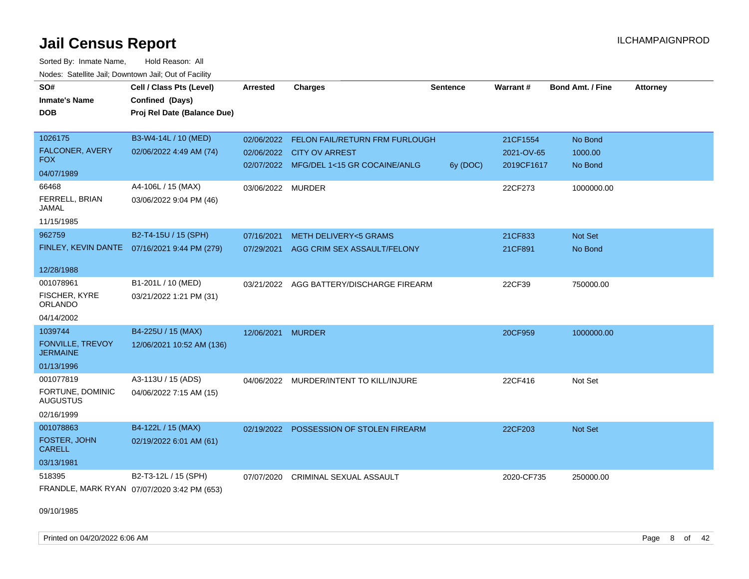Sorted By: Inmate Name, Hold Reason: All Nodes: Satellite Jail; Downtown Jail; Out of Facility

| SO#<br><b>Inmate's Name</b><br><b>DOB</b> | Cell / Class Pts (Level)<br>Confined (Days)<br>Proj Rel Date (Balance Due) | <b>Arrested</b>   | <b>Charges</b>                                                       | <b>Sentence</b> | Warrant#                 | <b>Bond Amt. / Fine</b> | <b>Attorney</b> |
|-------------------------------------------|----------------------------------------------------------------------------|-------------------|----------------------------------------------------------------------|-----------------|--------------------------|-------------------------|-----------------|
| 1026175                                   | B3-W4-14L / 10 (MED)                                                       |                   | 02/06/2022 FELON FAIL/RETURN FRM FURLOUGH                            |                 | 21CF1554                 | No Bond                 |                 |
| FALCONER, AVERY<br><b>FOX</b>             | 02/06/2022 4:49 AM (74)                                                    |                   | 02/06/2022 CITY OV ARREST<br>02/07/2022 MFG/DEL 1<15 GR COCAINE/ANLG |                 | 2021-OV-65<br>2019CF1617 | 1000.00<br>No Bond      |                 |
| 04/07/1989                                |                                                                            |                   |                                                                      | 6y (DOC)        |                          |                         |                 |
| 66468                                     | A4-106L / 15 (MAX)                                                         | 03/06/2022 MURDER |                                                                      |                 | 22CF273                  | 1000000.00              |                 |
| FERRELL, BRIAN<br>JAMAL                   | 03/06/2022 9:04 PM (46)                                                    |                   |                                                                      |                 |                          |                         |                 |
| 11/15/1985                                |                                                                            |                   |                                                                      |                 |                          |                         |                 |
| 962759                                    | B2-T4-15U / 15 (SPH)                                                       | 07/16/2021        | <b>METH DELIVERY&lt;5 GRAMS</b>                                      |                 | 21CF833                  | Not Set                 |                 |
|                                           | FINLEY, KEVIN DANTE 07/16/2021 9:44 PM (279)                               | 07/29/2021        | AGG CRIM SEX ASSAULT/FELONY                                          |                 | 21CF891                  | No Bond                 |                 |
| 12/28/1988                                |                                                                            |                   |                                                                      |                 |                          |                         |                 |
| 001078961                                 | B1-201L / 10 (MED)                                                         |                   | 03/21/2022 AGG BATTERY/DISCHARGE FIREARM                             |                 | 22CF39                   | 750000.00               |                 |
| FISCHER, KYRE<br><b>ORLANDO</b>           | 03/21/2022 1:21 PM (31)                                                    |                   |                                                                      |                 |                          |                         |                 |
| 04/14/2002                                |                                                                            |                   |                                                                      |                 |                          |                         |                 |
| 1039744                                   | B4-225U / 15 (MAX)                                                         | 12/06/2021 MURDER |                                                                      |                 | 20CF959                  | 1000000.00              |                 |
| FONVILLE, TREVOY<br><b>JERMAINE</b>       | 12/06/2021 10:52 AM (136)                                                  |                   |                                                                      |                 |                          |                         |                 |
| 01/13/1996                                |                                                                            |                   |                                                                      |                 |                          |                         |                 |
| 001077819                                 | A3-113U / 15 (ADS)                                                         |                   | 04/06/2022 MURDER/INTENT TO KILL/INJURE                              |                 | 22CF416                  | Not Set                 |                 |
| FORTUNE, DOMINIC<br><b>AUGUSTUS</b>       | 04/06/2022 7:15 AM (15)                                                    |                   |                                                                      |                 |                          |                         |                 |
| 02/16/1999                                |                                                                            |                   |                                                                      |                 |                          |                         |                 |
| 001078863                                 | B4-122L / 15 (MAX)                                                         | 02/19/2022        | POSSESSION OF STOLEN FIREARM                                         |                 | 22CF203                  | Not Set                 |                 |
| FOSTER, JOHN<br><b>CARELL</b>             | 02/19/2022 6:01 AM (61)                                                    |                   |                                                                      |                 |                          |                         |                 |
| 03/13/1981                                |                                                                            |                   |                                                                      |                 |                          |                         |                 |
| 518395                                    | B2-T3-12L / 15 (SPH)                                                       | 07/07/2020        | <b>CRIMINAL SEXUAL ASSAULT</b>                                       |                 | 2020-CF735               | 250000.00               |                 |
|                                           | FRANDLE, MARK RYAN 07/07/2020 3:42 PM (653)                                |                   |                                                                      |                 |                          |                         |                 |

09/10/1985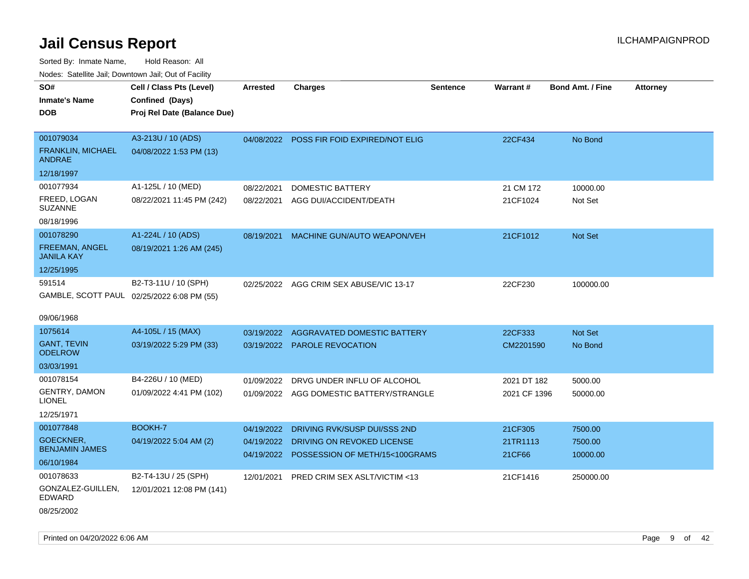Sorted By: Inmate Name, Hold Reason: All Nodes: Satellite Jail; Downtown Jail; Out of Facility

| Noues. Sateme Jan, Downtown Jan, Out of Facility |                                            |                 |                                           |                 |                 |                         |                 |
|--------------------------------------------------|--------------------------------------------|-----------------|-------------------------------------------|-----------------|-----------------|-------------------------|-----------------|
| SO#                                              | Cell / Class Pts (Level)                   | <b>Arrested</b> | <b>Charges</b>                            | <b>Sentence</b> | <b>Warrant#</b> | <b>Bond Amt. / Fine</b> | <b>Attorney</b> |
| <b>Inmate's Name</b>                             | Confined (Days)                            |                 |                                           |                 |                 |                         |                 |
| DOB                                              | Proj Rel Date (Balance Due)                |                 |                                           |                 |                 |                         |                 |
|                                                  |                                            |                 |                                           |                 |                 |                         |                 |
| 001079034                                        | A3-213U / 10 (ADS)                         |                 | 04/08/2022 POSS FIR FOID EXPIRED/NOT ELIG |                 | 22CF434         | No Bond                 |                 |
| <b>FRANKLIN, MICHAEL</b><br>ANDRAE               | 04/08/2022 1:53 PM (13)                    |                 |                                           |                 |                 |                         |                 |
| 12/18/1997                                       |                                            |                 |                                           |                 |                 |                         |                 |
| 001077934                                        | A1-125L / 10 (MED)                         | 08/22/2021      | DOMESTIC BATTERY                          |                 | 21 CM 172       | 10000.00                |                 |
| FREED, LOGAN<br>SUZANNE                          | 08/22/2021 11:45 PM (242)                  | 08/22/2021      | AGG DUI/ACCIDENT/DEATH                    |                 | 21CF1024        | Not Set                 |                 |
| 08/18/1996                                       |                                            |                 |                                           |                 |                 |                         |                 |
| 001078290                                        | A1-224L / 10 (ADS)                         | 08/19/2021      | MACHINE GUN/AUTO WEAPON/VEH               |                 | 21CF1012        | Not Set                 |                 |
| <b>FREEMAN, ANGEL</b><br>JANILA KAY              | 08/19/2021 1:26 AM (245)                   |                 |                                           |                 |                 |                         |                 |
| 12/25/1995                                       |                                            |                 |                                           |                 |                 |                         |                 |
| 591514                                           | B2-T3-11U / 10 (SPH)                       | 02/25/2022      | AGG CRIM SEX ABUSE/VIC 13-17              |                 | 22CF230         | 100000.00               |                 |
|                                                  | GAMBLE, SCOTT PAUL 02/25/2022 6:08 PM (55) |                 |                                           |                 |                 |                         |                 |
| 09/06/1968                                       |                                            |                 |                                           |                 |                 |                         |                 |
| 1075614                                          | A4-105L / 15 (MAX)                         | 03/19/2022      | <b>AGGRAVATED DOMESTIC BATTERY</b>        |                 | 22CF333         | <b>Not Set</b>          |                 |
| <b>GANT, TEVIN</b><br>ODELROW                    | 03/19/2022 5:29 PM (33)                    | 03/19/2022      | <b>PAROLE REVOCATION</b>                  |                 | CM2201590       | No Bond                 |                 |
| 03/03/1991                                       |                                            |                 |                                           |                 |                 |                         |                 |
| 001078154                                        | B4-226U / 10 (MED)                         | 01/09/2022      | DRVG UNDER INFLU OF ALCOHOL               |                 | 2021 DT 182     | 5000.00                 |                 |
| <b>GENTRY, DAMON</b><br>LIONEL                   | 01/09/2022 4:41 PM (102)                   | 01/09/2022      | AGG DOMESTIC BATTERY/STRANGLE             |                 | 2021 CF 1396    | 50000.00                |                 |
| 12/25/1971                                       |                                            |                 |                                           |                 |                 |                         |                 |
| 001077848                                        | <b>BOOKH-7</b>                             | 04/19/2022      | DRIVING RVK/SUSP DUI/SSS 2ND              |                 | 21CF305         | 7500.00                 |                 |
| GOECKNER,                                        | 04/19/2022 5:04 AM (2)                     | 04/19/2022      | DRIVING ON REVOKED LICENSE                |                 | 21TR1113        | 7500.00                 |                 |
| <b>BENJAMIN JAMES</b>                            |                                            | 04/19/2022      | POSSESSION OF METH/15<100GRAMS            |                 | 21CF66          | 10000.00                |                 |
| 06/10/1984                                       |                                            |                 |                                           |                 |                 |                         |                 |
| 001078633                                        | B2-T4-13U / 25 (SPH)                       | 12/01/2021      | PRED CRIM SEX ASLT/VICTIM <13             |                 | 21CF1416        | 250000.00               |                 |
| GONZALEZ-GUILLEN,<br>EDWARD                      | 12/01/2021 12:08 PM (141)                  |                 |                                           |                 |                 |                         |                 |
|                                                  |                                            |                 |                                           |                 |                 |                         |                 |

08/25/2002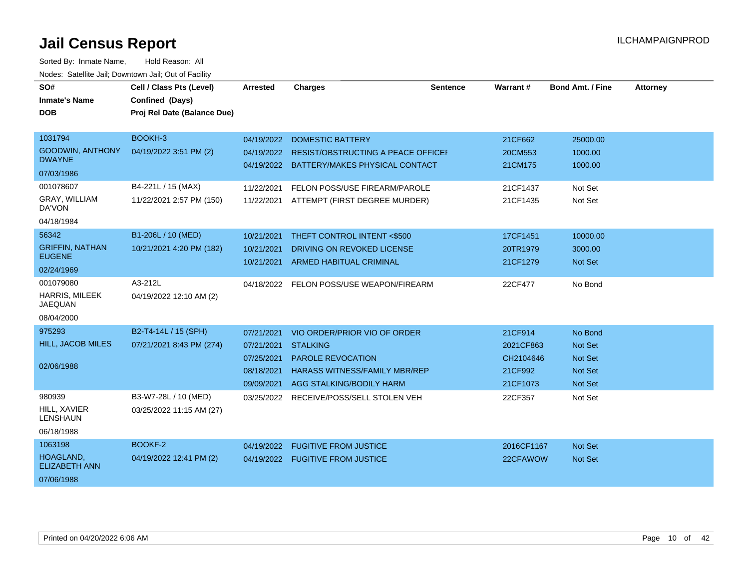| SO#                                      | Cell / Class Pts (Level)    | <b>Arrested</b> | <b>Charges</b>                            | <b>Sentence</b> | Warrant #  | <b>Bond Amt. / Fine</b> | <b>Attorney</b> |
|------------------------------------------|-----------------------------|-----------------|-------------------------------------------|-----------------|------------|-------------------------|-----------------|
| <b>Inmate's Name</b>                     | Confined (Days)             |                 |                                           |                 |            |                         |                 |
| <b>DOB</b>                               | Proj Rel Date (Balance Due) |                 |                                           |                 |            |                         |                 |
|                                          |                             |                 |                                           |                 |            |                         |                 |
| 1031794                                  | BOOKH-3                     | 04/19/2022      | <b>DOMESTIC BATTERY</b>                   |                 | 21CF662    | 25000.00                |                 |
| <b>GOODWIN, ANTHONY</b><br><b>DWAYNE</b> | 04/19/2022 3:51 PM (2)      | 04/19/2022      | <b>RESIST/OBSTRUCTING A PEACE OFFICEF</b> |                 | 20CM553    | 1000.00                 |                 |
| 07/03/1986                               |                             |                 | 04/19/2022 BATTERY/MAKES PHYSICAL CONTACT |                 | 21CM175    | 1000.00                 |                 |
| 001078607                                | B4-221L / 15 (MAX)          | 11/22/2021      | FELON POSS/USE FIREARM/PAROLE             |                 | 21CF1437   | Not Set                 |                 |
| GRAY, WILLIAM<br>DA'VON                  | 11/22/2021 2:57 PM (150)    | 11/22/2021      | ATTEMPT (FIRST DEGREE MURDER)             |                 | 21CF1435   | Not Set                 |                 |
| 04/18/1984                               |                             |                 |                                           |                 |            |                         |                 |
| 56342                                    | B1-206L / 10 (MED)          | 10/21/2021      | THEFT CONTROL INTENT <\$500               |                 | 17CF1451   | 10000.00                |                 |
| <b>GRIFFIN, NATHAN</b>                   | 10/21/2021 4:20 PM (182)    | 10/21/2021      | DRIVING ON REVOKED LICENSE                |                 | 20TR1979   | 3000.00                 |                 |
| <b>EUGENE</b>                            |                             | 10/21/2021      | <b>ARMED HABITUAL CRIMINAL</b>            |                 | 21CF1279   | Not Set                 |                 |
| 02/24/1969                               |                             |                 |                                           |                 |            |                         |                 |
| 001079080                                | A3-212L                     |                 | 04/18/2022 FELON POSS/USE WEAPON/FIREARM  |                 | 22CF477    | No Bond                 |                 |
| <b>HARRIS, MILEEK</b><br><b>JAEQUAN</b>  | 04/19/2022 12:10 AM (2)     |                 |                                           |                 |            |                         |                 |
| 08/04/2000                               |                             |                 |                                           |                 |            |                         |                 |
| 975293                                   | B2-T4-14L / 15 (SPH)        | 07/21/2021      | VIO ORDER/PRIOR VIO OF ORDER              |                 | 21CF914    | No Bond                 |                 |
| <b>HILL, JACOB MILES</b>                 | 07/21/2021 8:43 PM (274)    | 07/21/2021      | <b>STALKING</b>                           |                 | 2021CF863  | Not Set                 |                 |
|                                          |                             | 07/25/2021      | <b>PAROLE REVOCATION</b>                  |                 | CH2104646  | <b>Not Set</b>          |                 |
| 02/06/1988                               |                             | 08/18/2021      | <b>HARASS WITNESS/FAMILY MBR/REP</b>      |                 | 21CF992    | <b>Not Set</b>          |                 |
|                                          |                             | 09/09/2021      | AGG STALKING/BODILY HARM                  |                 | 21CF1073   | <b>Not Set</b>          |                 |
| 980939                                   | B3-W7-28L / 10 (MED)        | 03/25/2022      | RECEIVE/POSS/SELL STOLEN VEH              |                 | 22CF357    | Not Set                 |                 |
| HILL, XAVIER<br><b>LENSHAUN</b>          | 03/25/2022 11:15 AM (27)    |                 |                                           |                 |            |                         |                 |
| 06/18/1988                               |                             |                 |                                           |                 |            |                         |                 |
| 1063198                                  | BOOKF-2                     | 04/19/2022      | <b>FUGITIVE FROM JUSTICE</b>              |                 | 2016CF1167 | <b>Not Set</b>          |                 |
| HOAGLAND,<br><b>ELIZABETH ANN</b>        | 04/19/2022 12:41 PM (2)     |                 | 04/19/2022 FUGITIVE FROM JUSTICE          |                 | 22CFAWOW   | Not Set                 |                 |
| 07/06/1988                               |                             |                 |                                           |                 |            |                         |                 |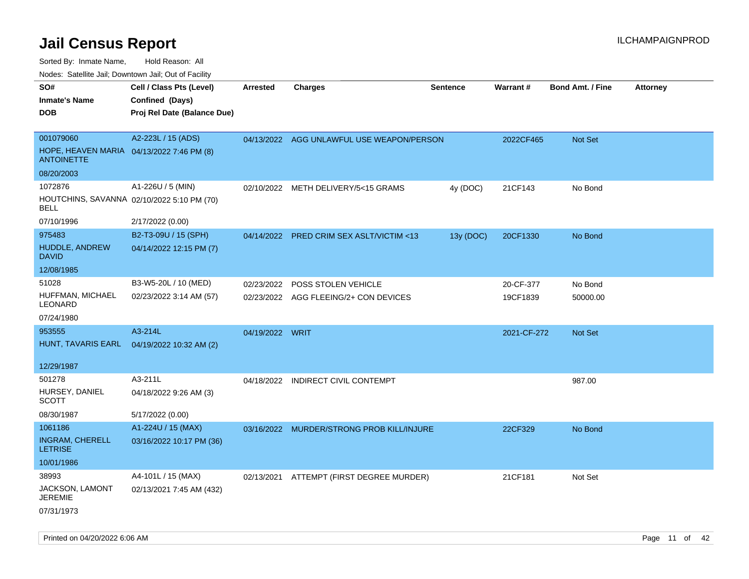Sorted By: Inmate Name, Hold Reason: All

Nodes: Satellite Jail; Downtown Jail; Out of Facility

| SO#<br><b>Inmate's Name</b><br><b>DOB</b>                                                 | Cell / Class Pts (Level)<br>Confined (Days)<br>Proj Rel Date (Balance Due) | <b>Arrested</b> | <b>Charges</b>                                               | <b>Sentence</b> | <b>Warrant#</b>       | <b>Bond Amt. / Fine</b> | <b>Attorney</b> |
|-------------------------------------------------------------------------------------------|----------------------------------------------------------------------------|-----------------|--------------------------------------------------------------|-----------------|-----------------------|-------------------------|-----------------|
| 001079060<br>HOPE, HEAVEN MARIA 04/13/2022 7:46 PM (8)<br><b>ANTOINETTE</b>               | A2-223L / 15 (ADS)                                                         |                 | 04/13/2022 AGG UNLAWFUL USE WEAPON/PERSON                    |                 | 2022CF465             | <b>Not Set</b>          |                 |
| 08/20/2003<br>1072876<br>HOUTCHINS, SAVANNA 02/10/2022 5:10 PM (70)<br>BELL<br>07/10/1996 | A1-226U / 5 (MIN)<br>2/17/2022 (0.00)                                      |                 | 02/10/2022 METH DELIVERY/5<15 GRAMS                          | 4y (DOC)        | 21CF143               | No Bond                 |                 |
| 975483<br>HUDDLE, ANDREW<br><b>DAVID</b><br>12/08/1985                                    | B2-T3-09U / 15 (SPH)<br>04/14/2022 12:15 PM (7)                            |                 | 04/14/2022 PRED CRIM SEX ASLT/VICTIM <13                     | 13y (DOC)       | 20CF1330              | No Bond                 |                 |
| 51028<br>HUFFMAN, MICHAEL<br>LEONARD<br>07/24/1980                                        | B3-W5-20L / 10 (MED)<br>02/23/2022 3:14 AM (57)                            | 02/23/2022      | POSS STOLEN VEHICLE<br>02/23/2022 AGG FLEEING/2+ CON DEVICES |                 | 20-CF-377<br>19CF1839 | No Bond<br>50000.00     |                 |
| 953555<br>HUNT, TAVARIS EARL<br>12/29/1987                                                | A3-214L<br>04/19/2022 10:32 AM (2)                                         | 04/19/2022 WRIT |                                                              |                 | 2021-CF-272           | Not Set                 |                 |
| 501278<br>HURSEY, DANIEL<br><b>SCOTT</b><br>08/30/1987                                    | A3-211L<br>04/18/2022 9:26 AM (3)<br>5/17/2022 (0.00)                      |                 | 04/18/2022 INDIRECT CIVIL CONTEMPT                           |                 |                       | 987.00                  |                 |
| 1061186<br>INGRAM, CHERELL<br><b>LETRISE</b><br>10/01/1986                                | A1-224U / 15 (MAX)<br>03/16/2022 10:17 PM (36)                             |                 | 03/16/2022 MURDER/STRONG PROB KILL/INJURE                    |                 | 22CF329               | No Bond                 |                 |
| 38993<br>JACKSON, LAMONT<br><b>JEREMIE</b><br>07/31/1973                                  | A4-101L / 15 (MAX)<br>02/13/2021 7:45 AM (432)                             |                 | 02/13/2021 ATTEMPT (FIRST DEGREE MURDER)                     |                 | 21CF181               | Not Set                 |                 |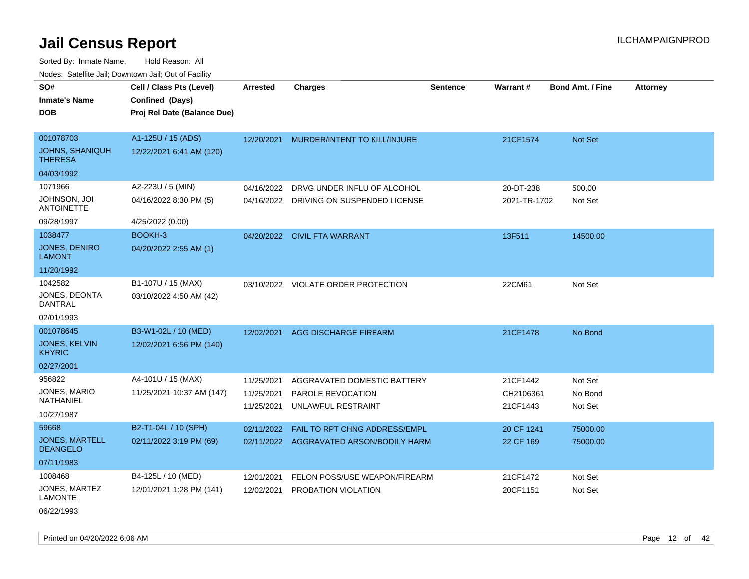Sorted By: Inmate Name, Hold Reason: All Nodes: Satellite Jail; Downtown Jail; Out of Facility

| SO#<br><b>Inmate's Name</b>              | Cell / Class Pts (Level)<br>Confined (Days) | <b>Arrested</b> | <b>Charges</b>                          | <b>Sentence</b> | Warrant#     | <b>Bond Amt. / Fine</b> | <b>Attorney</b> |
|------------------------------------------|---------------------------------------------|-----------------|-----------------------------------------|-----------------|--------------|-------------------------|-----------------|
|                                          |                                             |                 |                                         |                 |              |                         |                 |
| <b>DOB</b>                               | Proj Rel Date (Balance Due)                 |                 |                                         |                 |              |                         |                 |
|                                          |                                             |                 |                                         |                 |              |                         |                 |
| 001078703                                | A1-125U / 15 (ADS)                          | 12/20/2021      | MURDER/INTENT TO KILL/INJURE            |                 | 21CF1574     | <b>Not Set</b>          |                 |
| <b>JOHNS, SHANIQUH</b><br><b>THERESA</b> | 12/22/2021 6:41 AM (120)                    |                 |                                         |                 |              |                         |                 |
| 04/03/1992                               |                                             |                 |                                         |                 |              |                         |                 |
| 1071966                                  | A2-223U / 5 (MIN)                           | 04/16/2022      | DRVG UNDER INFLU OF ALCOHOL             |                 | 20-DT-238    | 500.00                  |                 |
| JOHNSON, JOI<br><b>ANTOINETTE</b>        | 04/16/2022 8:30 PM (5)                      | 04/16/2022      | DRIVING ON SUSPENDED LICENSE            |                 | 2021-TR-1702 | Not Set                 |                 |
| 09/28/1997                               | 4/25/2022 (0.00)                            |                 |                                         |                 |              |                         |                 |
| 1038477                                  | BOOKH-3                                     | 04/20/2022      | <b>CIVIL FTA WARRANT</b>                |                 | 13F511       | 14500.00                |                 |
| <b>JONES, DENIRO</b><br><b>LAMONT</b>    | 04/20/2022 2:55 AM (1)                      |                 |                                         |                 |              |                         |                 |
| 11/20/1992                               |                                             |                 |                                         |                 |              |                         |                 |
| 1042582                                  | B1-107U / 15 (MAX)                          |                 | 03/10/2022 VIOLATE ORDER PROTECTION     |                 | 22CM61       | Not Set                 |                 |
| JONES, DEONTA<br>DANTRAL                 | 03/10/2022 4:50 AM (42)                     |                 |                                         |                 |              |                         |                 |
| 02/01/1993                               |                                             |                 |                                         |                 |              |                         |                 |
| 001078645                                | B3-W1-02L / 10 (MED)                        | 12/02/2021      | <b>AGG DISCHARGE FIREARM</b>            |                 | 21CF1478     | No Bond                 |                 |
| <b>JONES, KELVIN</b><br><b>KHYRIC</b>    | 12/02/2021 6:56 PM (140)                    |                 |                                         |                 |              |                         |                 |
| 02/27/2001                               |                                             |                 |                                         |                 |              |                         |                 |
| 956822                                   | A4-101U / 15 (MAX)                          | 11/25/2021      | AGGRAVATED DOMESTIC BATTERY             |                 | 21CF1442     | Not Set                 |                 |
| JONES, MARIO<br>NATHANIEL                | 11/25/2021 10:37 AM (147)                   | 11/25/2021      | PAROLE REVOCATION                       |                 | CH2106361    | No Bond                 |                 |
| 10/27/1987                               |                                             | 11/25/2021      | UNLAWFUL RESTRAINT                      |                 | 21CF1443     | Not Set                 |                 |
| 59668                                    | B2-T1-04L / 10 (SPH)                        | 02/11/2022      | FAIL TO RPT CHNG ADDRESS/EMPL           |                 | 20 CF 1241   | 75000.00                |                 |
| <b>JONES, MARTELL</b>                    | 02/11/2022 3:19 PM (69)                     |                 | 02/11/2022 AGGRAVATED ARSON/BODILY HARM |                 | 22 CF 169    | 75000.00                |                 |
| <b>DEANGELO</b>                          |                                             |                 |                                         |                 |              |                         |                 |
| 07/11/1983                               |                                             |                 |                                         |                 |              |                         |                 |
| 1008468                                  | B4-125L / 10 (MED)                          | 12/01/2021      | FELON POSS/USE WEAPON/FIREARM           |                 | 21CF1472     | Not Set                 |                 |
| JONES, MARTEZ<br><b>LAMONTE</b>          | 12/01/2021 1:28 PM (141)                    | 12/02/2021      | PROBATION VIOLATION                     |                 | 20CF1151     | Not Set                 |                 |

06/22/1993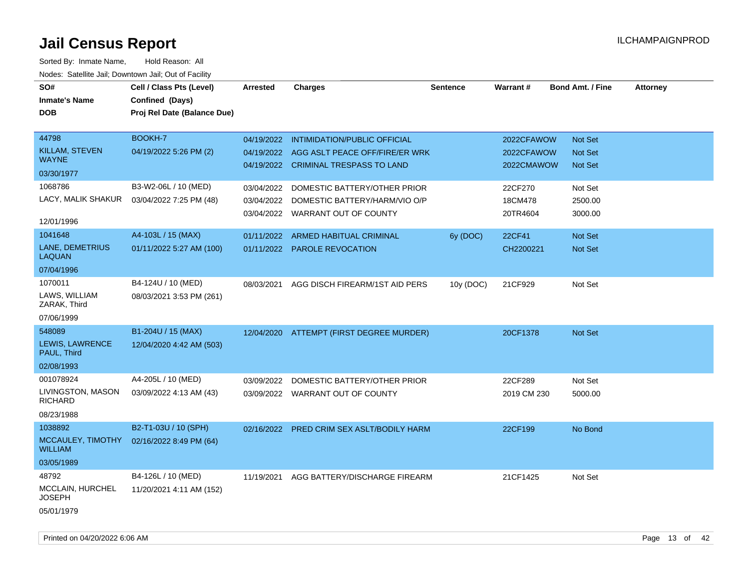| SO#                                   | Cell / Class Pts (Level)    | <b>Arrested</b> | <b>Charges</b>                            | <b>Sentence</b> | Warrant#    | <b>Bond Amt. / Fine</b> | <b>Attorney</b> |
|---------------------------------------|-----------------------------|-----------------|-------------------------------------------|-----------------|-------------|-------------------------|-----------------|
| <b>Inmate's Name</b>                  |                             |                 |                                           |                 |             |                         |                 |
|                                       | Confined (Days)             |                 |                                           |                 |             |                         |                 |
| <b>DOB</b>                            | Proj Rel Date (Balance Due) |                 |                                           |                 |             |                         |                 |
|                                       |                             |                 |                                           |                 |             |                         |                 |
| 44798                                 | BOOKH-7                     | 04/19/2022      | <b>INTIMIDATION/PUBLIC OFFICIAL</b>       |                 | 2022CFAWOW  | Not Set                 |                 |
| <b>KILLAM, STEVEN</b><br><b>WAYNE</b> | 04/19/2022 5:26 PM (2)      |                 | 04/19/2022 AGG ASLT PEACE OFF/FIRE/ER WRK |                 | 2022CFAWOW  | Not Set                 |                 |
| 03/30/1977                            |                             |                 | 04/19/2022 CRIMINAL TRESPASS TO LAND      |                 | 2022CMAWOW  | <b>Not Set</b>          |                 |
| 1068786                               | B3-W2-06L / 10 (MED)        | 03/04/2022      | DOMESTIC BATTERY/OTHER PRIOR              |                 | 22CF270     | Not Set                 |                 |
| LACY, MALIK SHAKUR                    | 03/04/2022 7:25 PM (48)     | 03/04/2022      | DOMESTIC BATTERY/HARM/VIO O/P             |                 | 18CM478     | 2500.00                 |                 |
|                                       |                             |                 | 03/04/2022 WARRANT OUT OF COUNTY          |                 | 20TR4604    | 3000.00                 |                 |
| 12/01/1996                            |                             |                 |                                           |                 |             |                         |                 |
| 1041648                               | A4-103L / 15 (MAX)          |                 | 01/11/2022 ARMED HABITUAL CRIMINAL        | 6y (DOC)        | 22CF41      | Not Set                 |                 |
| LANE, DEMETRIUS<br><b>LAQUAN</b>      | 01/11/2022 5:27 AM (100)    |                 | 01/11/2022 PAROLE REVOCATION              |                 | CH2200221   | Not Set                 |                 |
| 07/04/1996                            |                             |                 |                                           |                 |             |                         |                 |
| 1070011                               | B4-124U / 10 (MED)          | 08/03/2021      | AGG DISCH FIREARM/1ST AID PERS            | 10y (DOC)       | 21CF929     | Not Set                 |                 |
| LAWS, WILLIAM<br>ZARAK, Third         | 08/03/2021 3:53 PM (261)    |                 |                                           |                 |             |                         |                 |
| 07/06/1999                            |                             |                 |                                           |                 |             |                         |                 |
| 548089                                | B1-204U / 15 (MAX)          |                 | 12/04/2020 ATTEMPT (FIRST DEGREE MURDER)  |                 | 20CF1378    | Not Set                 |                 |
| LEWIS, LAWRENCE<br>PAUL, Third        | 12/04/2020 4:42 AM (503)    |                 |                                           |                 |             |                         |                 |
| 02/08/1993                            |                             |                 |                                           |                 |             |                         |                 |
| 001078924                             | A4-205L / 10 (MED)          | 03/09/2022      | DOMESTIC BATTERY/OTHER PRIOR              |                 | 22CF289     | Not Set                 |                 |
| LIVINGSTON, MASON<br><b>RICHARD</b>   | 03/09/2022 4:13 AM (43)     |                 | 03/09/2022 WARRANT OUT OF COUNTY          |                 | 2019 CM 230 | 5000.00                 |                 |
| 08/23/1988                            |                             |                 |                                           |                 |             |                         |                 |
| 1038892                               | B2-T1-03U / 10 (SPH)        |                 | 02/16/2022 PRED CRIM SEX ASLT/BODILY HARM |                 | 22CF199     | No Bond                 |                 |
| MCCAULEY, TIMOTHY<br><b>WILLIAM</b>   | 02/16/2022 8:49 PM (64)     |                 |                                           |                 |             |                         |                 |
| 03/05/1989                            |                             |                 |                                           |                 |             |                         |                 |
| 48792                                 | B4-126L / 10 (MED)          | 11/19/2021      | AGG BATTERY/DISCHARGE FIREARM             |                 | 21CF1425    | Not Set                 |                 |
| MCCLAIN, HURCHEL<br><b>JOSEPH</b>     | 11/20/2021 4:11 AM (152)    |                 |                                           |                 |             |                         |                 |
| 05/01/1979                            |                             |                 |                                           |                 |             |                         |                 |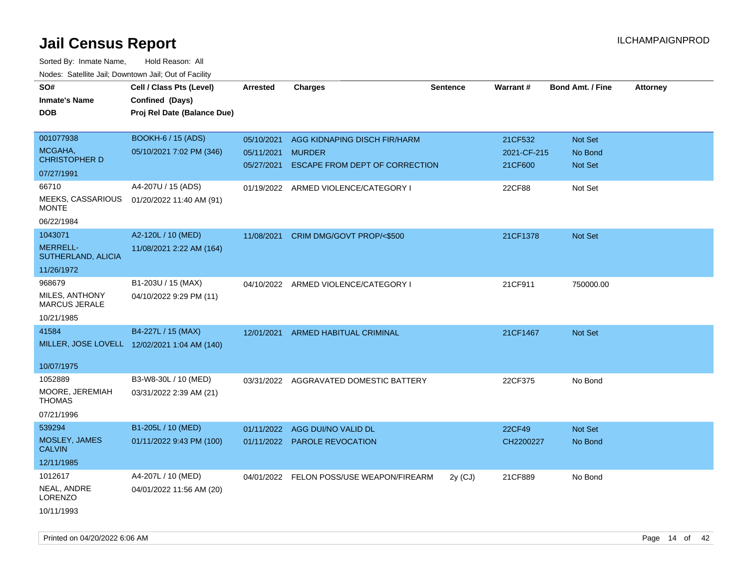| SO#                                    | Cell / Class Pts (Level)                     | <b>Arrested</b> | <b>Charges</b>                           | <b>Sentence</b> | Warrant#    | <b>Bond Amt. / Fine</b> | <b>Attorney</b> |
|----------------------------------------|----------------------------------------------|-----------------|------------------------------------------|-----------------|-------------|-------------------------|-----------------|
| <b>Inmate's Name</b>                   | Confined (Days)                              |                 |                                          |                 |             |                         |                 |
| <b>DOB</b>                             | Proj Rel Date (Balance Due)                  |                 |                                          |                 |             |                         |                 |
|                                        |                                              |                 |                                          |                 |             |                         |                 |
| 001077938                              | <b>BOOKH-6 / 15 (ADS)</b>                    | 05/10/2021      | AGG KIDNAPING DISCH FIR/HARM             |                 | 21CF532     | Not Set                 |                 |
| MCGAHA,                                | 05/10/2021 7:02 PM (346)                     | 05/11/2021      | <b>MURDER</b>                            |                 | 2021-CF-215 | No Bond                 |                 |
| <b>CHRISTOPHER D</b>                   |                                              | 05/27/2021      | <b>ESCAPE FROM DEPT OF CORRECTION</b>    |                 | 21CF600     | Not Set                 |                 |
| 07/27/1991                             |                                              |                 |                                          |                 |             |                         |                 |
| 66710                                  | A4-207U / 15 (ADS)                           |                 | 01/19/2022 ARMED VIOLENCE/CATEGORY I     |                 | 22CF88      | Not Set                 |                 |
| MEEKS, CASSARIOUS<br><b>MONTE</b>      | 01/20/2022 11:40 AM (91)                     |                 |                                          |                 |             |                         |                 |
| 06/22/1984                             |                                              |                 |                                          |                 |             |                         |                 |
| 1043071                                | A2-120L / 10 (MED)                           | 11/08/2021      | CRIM DMG/GOVT PROP/<\$500                |                 | 21CF1378    | Not Set                 |                 |
| <b>MERRELL-</b><br>SUTHERLAND, ALICIA  | 11/08/2021 2:22 AM (164)                     |                 |                                          |                 |             |                         |                 |
| 11/26/1972                             |                                              |                 |                                          |                 |             |                         |                 |
| 968679                                 | B1-203U / 15 (MAX)                           |                 | 04/10/2022 ARMED VIOLENCE/CATEGORY I     |                 | 21CF911     | 750000.00               |                 |
| MILES, ANTHONY<br><b>MARCUS JERALE</b> | 04/10/2022 9:29 PM (11)                      |                 |                                          |                 |             |                         |                 |
| 10/21/1985                             |                                              |                 |                                          |                 |             |                         |                 |
| 41584                                  | B4-227L / 15 (MAX)                           | 12/01/2021      | <b>ARMED HABITUAL CRIMINAL</b>           |                 | 21CF1467    | Not Set                 |                 |
|                                        | MILLER, JOSE LOVELL 12/02/2021 1:04 AM (140) |                 |                                          |                 |             |                         |                 |
|                                        |                                              |                 |                                          |                 |             |                         |                 |
| 10/07/1975                             |                                              |                 |                                          |                 |             |                         |                 |
| 1052889                                | B3-W8-30L / 10 (MED)                         |                 | 03/31/2022 AGGRAVATED DOMESTIC BATTERY   |                 | 22CF375     | No Bond                 |                 |
| MOORE, JEREMIAH<br><b>THOMAS</b>       | 03/31/2022 2:39 AM (21)                      |                 |                                          |                 |             |                         |                 |
| 07/21/1996                             |                                              |                 |                                          |                 |             |                         |                 |
| 539294                                 | B1-205L / 10 (MED)                           | 01/11/2022      | AGG DUI/NO VALID DL                      |                 | 22CF49      | Not Set                 |                 |
| MOSLEY, JAMES<br><b>CALVIN</b>         | 01/11/2022 9:43 PM (100)                     |                 | 01/11/2022 PAROLE REVOCATION             |                 | CH2200227   | No Bond                 |                 |
| 12/11/1985                             |                                              |                 |                                          |                 |             |                         |                 |
| 1012617                                | A4-207L / 10 (MED)                           |                 | 04/01/2022 FELON POSS/USE WEAPON/FIREARM | $2y$ (CJ)       | 21CF889     | No Bond                 |                 |
| NEAL, ANDRE<br>LORENZO                 | 04/01/2022 11:56 AM (20)                     |                 |                                          |                 |             |                         |                 |
| 10/11/1993                             |                                              |                 |                                          |                 |             |                         |                 |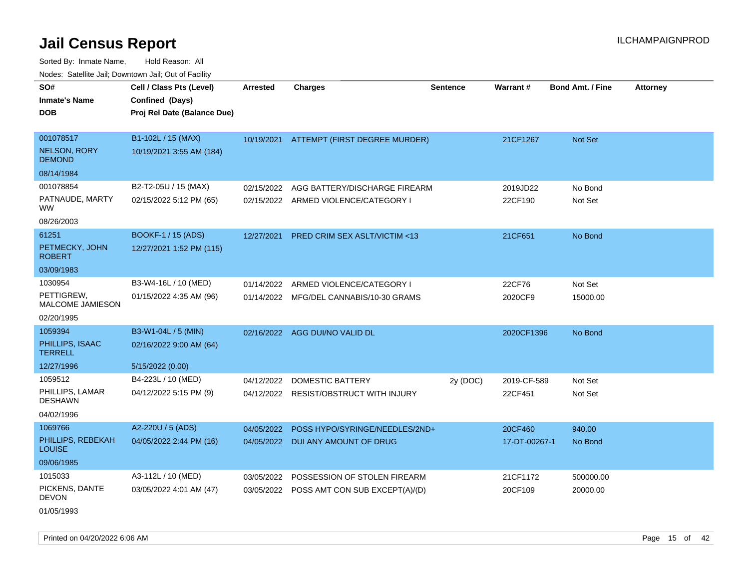Sorted By: Inmate Name, Hold Reason: All Nodes: Satellite Jail; Downtown Jail; Out of Facility

| roaco. Calcillo dall, Downtown dall, Cal of Fability |                             |            |                                          |                 |               |                         |                 |
|------------------------------------------------------|-----------------------------|------------|------------------------------------------|-----------------|---------------|-------------------------|-----------------|
| SO#                                                  | Cell / Class Pts (Level)    | Arrested   | <b>Charges</b>                           | <b>Sentence</b> | Warrant#      | <b>Bond Amt. / Fine</b> | <b>Attorney</b> |
| <b>Inmate's Name</b>                                 | Confined (Days)             |            |                                          |                 |               |                         |                 |
| <b>DOB</b>                                           | Proj Rel Date (Balance Due) |            |                                          |                 |               |                         |                 |
|                                                      |                             |            |                                          |                 |               |                         |                 |
| 001078517                                            | B1-102L / 15 (MAX)          |            | 10/19/2021 ATTEMPT (FIRST DEGREE MURDER) |                 | 21CF1267      | Not Set                 |                 |
| <b>NELSON, RORY</b><br><b>DEMOND</b>                 | 10/19/2021 3:55 AM (184)    |            |                                          |                 |               |                         |                 |
| 08/14/1984                                           |                             |            |                                          |                 |               |                         |                 |
| 001078854                                            | B2-T2-05U / 15 (MAX)        | 02/15/2022 | AGG BATTERY/DISCHARGE FIREARM            |                 | 2019JD22      | No Bond                 |                 |
| PATNAUDE, MARTY<br><b>WW</b>                         | 02/15/2022 5:12 PM (65)     |            | 02/15/2022 ARMED VIOLENCE/CATEGORY I     |                 | 22CF190       | Not Set                 |                 |
| 08/26/2003                                           |                             |            |                                          |                 |               |                         |                 |
| 61251                                                | <b>BOOKF-1 / 15 (ADS)</b>   | 12/27/2021 | <b>PRED CRIM SEX ASLT/VICTIM &lt;13</b>  |                 | 21CF651       | No Bond                 |                 |
| PETMECKY, JOHN<br><b>ROBERT</b>                      | 12/27/2021 1:52 PM (115)    |            |                                          |                 |               |                         |                 |
| 03/09/1983                                           |                             |            |                                          |                 |               |                         |                 |
| 1030954                                              | B3-W4-16L / 10 (MED)        | 01/14/2022 | ARMED VIOLENCE/CATEGORY I                |                 | 22CF76        | Not Set                 |                 |
| PETTIGREW,<br><b>MALCOME JAMIESON</b>                | 01/15/2022 4:35 AM (96)     |            | 01/14/2022 MFG/DEL CANNABIS/10-30 GRAMS  |                 | 2020CF9       | 15000.00                |                 |
| 02/20/1995                                           |                             |            |                                          |                 |               |                         |                 |
| 1059394                                              | B3-W1-04L / 5 (MIN)         |            | 02/16/2022 AGG DUI/NO VALID DL           |                 | 2020CF1396    | No Bond                 |                 |
| PHILLIPS, ISAAC<br><b>TERRELL</b>                    | 02/16/2022 9:00 AM (64)     |            |                                          |                 |               |                         |                 |
| 12/27/1996                                           | 5/15/2022 (0.00)            |            |                                          |                 |               |                         |                 |
| 1059512                                              | B4-223L / 10 (MED)          | 04/12/2022 | <b>DOMESTIC BATTERY</b>                  | 2y (DOC)        | 2019-CF-589   | Not Set                 |                 |
| PHILLIPS, LAMAR<br><b>DESHAWN</b>                    | 04/12/2022 5:15 PM (9)      |            | 04/12/2022 RESIST/OBSTRUCT WITH INJURY   |                 | 22CF451       | Not Set                 |                 |
| 04/02/1996                                           |                             |            |                                          |                 |               |                         |                 |
| 1069766                                              | A2-220U / 5 (ADS)           | 04/05/2022 | POSS HYPO/SYRINGE/NEEDLES/2ND+           |                 | 20CF460       | 940.00                  |                 |
| PHILLIPS, REBEKAH<br><b>LOUISE</b>                   | 04/05/2022 2:44 PM (16)     |            | 04/05/2022 DUI ANY AMOUNT OF DRUG        |                 | 17-DT-00267-1 | No Bond                 |                 |
| 09/06/1985                                           |                             |            |                                          |                 |               |                         |                 |
| 1015033                                              | A3-112L / 10 (MED)          | 03/05/2022 | POSSESSION OF STOLEN FIREARM             |                 | 21CF1172      | 500000.00               |                 |
| PICKENS, DANTE<br><b>DEVON</b>                       | 03/05/2022 4:01 AM (47)     | 03/05/2022 | POSS AMT CON SUB EXCEPT(A)/(D)           |                 | 20CF109       | 20000.00                |                 |
| 01/05/1993                                           |                             |            |                                          |                 |               |                         |                 |

Printed on 04/20/2022 6:06 AM Page 15 of 42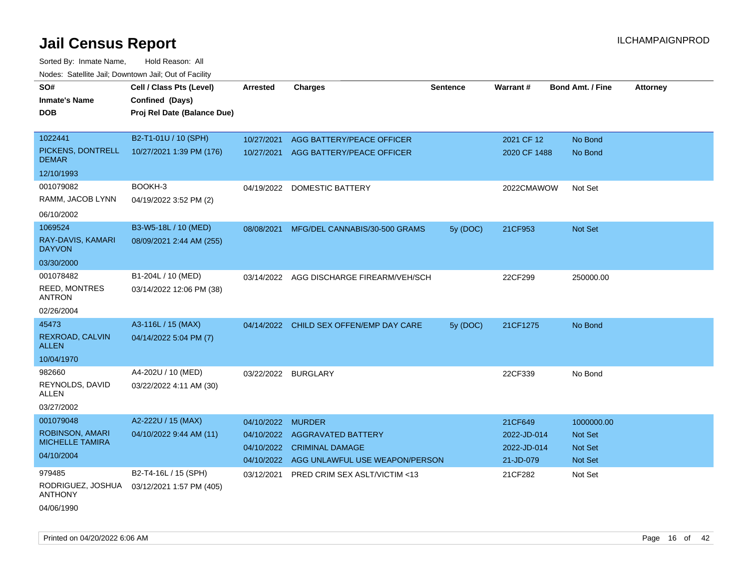| rouce. Calcinic Jan, Downtown Jan, Out of Facility |                             |                     |                                           |          |              |                         |                 |
|----------------------------------------------------|-----------------------------|---------------------|-------------------------------------------|----------|--------------|-------------------------|-----------------|
| SO#                                                | Cell / Class Pts (Level)    | <b>Arrested</b>     | <b>Charges</b>                            | Sentence | Warrant#     | <b>Bond Amt. / Fine</b> | <b>Attorney</b> |
| <b>Inmate's Name</b>                               | Confined (Days)             |                     |                                           |          |              |                         |                 |
| DOB                                                | Proj Rel Date (Balance Due) |                     |                                           |          |              |                         |                 |
|                                                    |                             |                     |                                           |          |              |                         |                 |
| 1022441                                            | B2-T1-01U / 10 (SPH)        | 10/27/2021          | AGG BATTERY/PEACE OFFICER                 |          | 2021 CF 12   | No Bond                 |                 |
| PICKENS, DONTRELL<br>DEMAR                         | 10/27/2021 1:39 PM (176)    | 10/27/2021          | AGG BATTERY/PEACE OFFICER                 |          | 2020 CF 1488 | No Bond                 |                 |
| 12/10/1993                                         |                             |                     |                                           |          |              |                         |                 |
| 001079082                                          | BOOKH-3                     | 04/19/2022          | <b>DOMESTIC BATTERY</b>                   |          | 2022CMAWOW   | Not Set                 |                 |
| RAMM, JACOB LYNN                                   | 04/19/2022 3:52 PM (2)      |                     |                                           |          |              |                         |                 |
| 06/10/2002                                         |                             |                     |                                           |          |              |                         |                 |
| 1069524                                            | B3-W5-18L / 10 (MED)        | 08/08/2021          | MFG/DEL CANNABIS/30-500 GRAMS             | 5y (DOC) | 21CF953      | Not Set                 |                 |
| RAY-DAVIS, KAMARI<br><b>DAYVON</b>                 | 08/09/2021 2:44 AM (255)    |                     |                                           |          |              |                         |                 |
| 03/30/2000                                         |                             |                     |                                           |          |              |                         |                 |
| 001078482                                          | B1-204L / 10 (MED)          |                     | 03/14/2022 AGG DISCHARGE FIREARM/VEH/SCH  |          | 22CF299      | 250000.00               |                 |
| <b>REED, MONTRES</b><br><b>ANTRON</b>              | 03/14/2022 12:06 PM (38)    |                     |                                           |          |              |                         |                 |
| 02/26/2004                                         |                             |                     |                                           |          |              |                         |                 |
| 45473                                              | A3-116L / 15 (MAX)          |                     | 04/14/2022 CHILD SEX OFFEN/EMP DAY CARE   | 5y (DOC) | 21CF1275     | No Bond                 |                 |
| REXROAD, CALVIN<br><b>ALLEN</b>                    | 04/14/2022 5:04 PM (7)      |                     |                                           |          |              |                         |                 |
| 10/04/1970                                         |                             |                     |                                           |          |              |                         |                 |
| 982660                                             | A4-202U / 10 (MED)          | 03/22/2022 BURGLARY |                                           |          | 22CF339      | No Bond                 |                 |
| REYNOLDS, DAVID<br>ALLEN                           | 03/22/2022 4:11 AM (30)     |                     |                                           |          |              |                         |                 |
| 03/27/2002                                         |                             |                     |                                           |          |              |                         |                 |
| 001079048                                          | A2-222U / 15 (MAX)          | 04/10/2022 MURDER   |                                           |          | 21CF649      | 1000000.00              |                 |
| ROBINSON, AMARI                                    | 04/10/2022 9:44 AM (11)     | 04/10/2022          | <b>AGGRAVATED BATTERY</b>                 |          | 2022-JD-014  | <b>Not Set</b>          |                 |
| <b>MICHELLE TAMIRA</b>                             |                             | 04/10/2022          | <b>CRIMINAL DAMAGE</b>                    |          | 2022-JD-014  | Not Set                 |                 |
| 04/10/2004                                         |                             |                     | 04/10/2022 AGG UNLAWFUL USE WEAPON/PERSON |          | 21-JD-079    | Not Set                 |                 |
| 979485                                             | B2-T4-16L / 15 (SPH)        | 03/12/2021          | <b>PRED CRIM SEX ASLT/VICTIM &lt;13</b>   |          | 21CF282      | Not Set                 |                 |
| RODRIGUEZ, JOSHUA<br><b>ANTHONY</b>                | 03/12/2021 1:57 PM (405)    |                     |                                           |          |              |                         |                 |
| 04/06/1990                                         |                             |                     |                                           |          |              |                         |                 |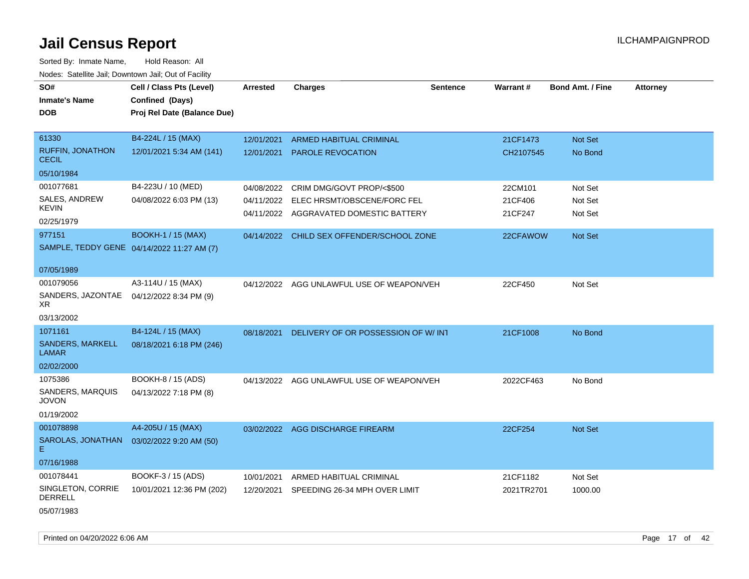Sorted By: Inmate Name, Hold Reason: All Nodes: Satellite Jail; Downtown Jail; Out of Facility

| roaco. Catolino cali, Domntonn cali, Out of Facility |                                            |            |                                           |                 |            |                         |                 |
|------------------------------------------------------|--------------------------------------------|------------|-------------------------------------------|-----------------|------------|-------------------------|-----------------|
| SO#                                                  | Cell / Class Pts (Level)                   | Arrested   | <b>Charges</b>                            | <b>Sentence</b> | Warrant#   | <b>Bond Amt. / Fine</b> | <b>Attorney</b> |
| <b>Inmate's Name</b>                                 | Confined (Days)                            |            |                                           |                 |            |                         |                 |
| <b>DOB</b>                                           | Proj Rel Date (Balance Due)                |            |                                           |                 |            |                         |                 |
|                                                      |                                            |            |                                           |                 |            |                         |                 |
| 61330                                                | B4-224L / 15 (MAX)                         | 12/01/2021 | ARMED HABITUAL CRIMINAL                   |                 | 21CF1473   | Not Set                 |                 |
| <b>RUFFIN, JONATHON</b><br><b>CECIL</b>              | 12/01/2021 5:34 AM (141)                   | 12/01/2021 | <b>PAROLE REVOCATION</b>                  |                 | CH2107545  | No Bond                 |                 |
| 05/10/1984                                           |                                            |            |                                           |                 |            |                         |                 |
| 001077681                                            | B4-223U / 10 (MED)                         | 04/08/2022 | CRIM DMG/GOVT PROP/<\$500                 |                 | 22CM101    | Not Set                 |                 |
| SALES, ANDREW                                        | 04/08/2022 6:03 PM (13)                    | 04/11/2022 | ELEC HRSMT/OBSCENE/FORC FEL               |                 | 21CF406    | Not Set                 |                 |
| <b>KEVIN</b>                                         |                                            |            | 04/11/2022 AGGRAVATED DOMESTIC BATTERY    |                 | 21CF247    | Not Set                 |                 |
| 02/25/1979                                           |                                            |            |                                           |                 |            |                         |                 |
| 977151                                               | <b>BOOKH-1 / 15 (MAX)</b>                  |            | 04/14/2022 CHILD SEX OFFENDER/SCHOOL ZONE |                 | 22CFAWOW   | Not Set                 |                 |
|                                                      | SAMPLE, TEDDY GENE 04/14/2022 11:27 AM (7) |            |                                           |                 |            |                         |                 |
| 07/05/1989                                           |                                            |            |                                           |                 |            |                         |                 |
| 001079056                                            | A3-114U / 15 (MAX)                         |            | 04/12/2022 AGG UNLAWFUL USE OF WEAPON/VEH |                 | 22CF450    | Not Set                 |                 |
| SANDERS, JAZONTAE<br>XR.                             | 04/12/2022 8:34 PM (9)                     |            |                                           |                 |            |                         |                 |
| 03/13/2002                                           |                                            |            |                                           |                 |            |                         |                 |
| 1071161                                              | B4-124L / 15 (MAX)                         | 08/18/2021 | DELIVERY OF OR POSSESSION OF W/INT        |                 | 21CF1008   | No Bond                 |                 |
| <b>SANDERS, MARKELL</b><br><b>LAMAR</b>              | 08/18/2021 6:18 PM (246)                   |            |                                           |                 |            |                         |                 |
| 02/02/2000                                           |                                            |            |                                           |                 |            |                         |                 |
| 1075386                                              | BOOKH-8 / 15 (ADS)                         |            | 04/13/2022 AGG UNLAWFUL USE OF WEAPON/VEH |                 | 2022CF463  | No Bond                 |                 |
| SANDERS, MARQUIS<br><b>JOVON</b>                     | 04/13/2022 7:18 PM (8)                     |            |                                           |                 |            |                         |                 |
| 01/19/2002                                           |                                            |            |                                           |                 |            |                         |                 |
| 001078898                                            | A4-205U / 15 (MAX)                         |            | 03/02/2022 AGG DISCHARGE FIREARM          |                 | 22CF254    | Not Set                 |                 |
| SAROLAS, JONATHAN<br>Е                               | 03/02/2022 9:20 AM (50)                    |            |                                           |                 |            |                         |                 |
| 07/16/1988                                           |                                            |            |                                           |                 |            |                         |                 |
| 001078441                                            | BOOKF-3 / 15 (ADS)                         | 10/01/2021 | ARMED HABITUAL CRIMINAL                   |                 | 21CF1182   | Not Set                 |                 |
| SINGLETON, CORRIE<br><b>DERRELL</b>                  | 10/01/2021 12:36 PM (202)                  | 12/20/2021 | SPEEDING 26-34 MPH OVER LIMIT             |                 | 2021TR2701 | 1000.00                 |                 |
| 05/07/1983                                           |                                            |            |                                           |                 |            |                         |                 |

Printed on 04/20/2022 6:06 AM Page 17 of 42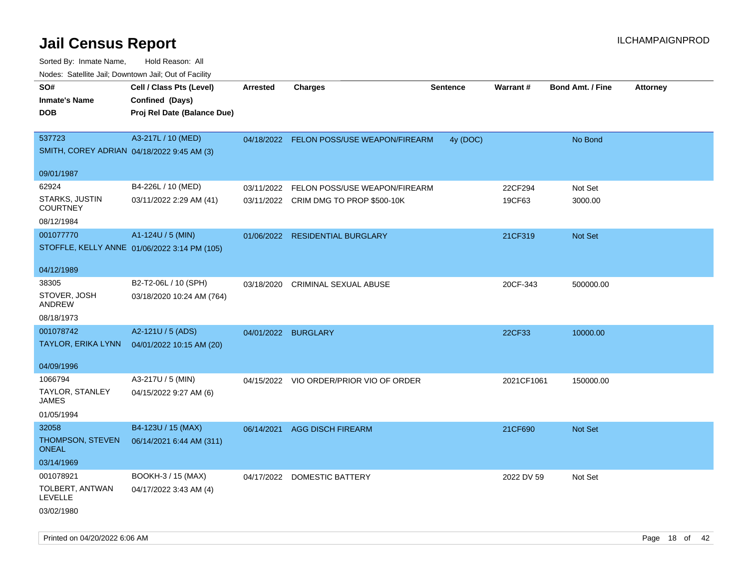| roacs. Calcinic Jan, Downtown Jan, Out of Facility           |                                                                            |                     |                                                                        |                 |                   |                         |                 |
|--------------------------------------------------------------|----------------------------------------------------------------------------|---------------------|------------------------------------------------------------------------|-----------------|-------------------|-------------------------|-----------------|
| SO#<br><b>Inmate's Name</b><br><b>DOB</b>                    | Cell / Class Pts (Level)<br>Confined (Days)<br>Proj Rel Date (Balance Due) | <b>Arrested</b>     | <b>Charges</b>                                                         | <b>Sentence</b> | <b>Warrant#</b>   | <b>Bond Amt. / Fine</b> | <b>Attorney</b> |
| 537723<br>SMITH, COREY ADRIAN 04/18/2022 9:45 AM (3)         | A3-217L / 10 (MED)                                                         |                     | 04/18/2022 FELON POSS/USE WEAPON/FIREARM                               | 4y (DOC)        |                   | No Bond                 |                 |
| 09/01/1987                                                   |                                                                            |                     |                                                                        |                 |                   |                         |                 |
| 62924<br>STARKS, JUSTIN<br><b>COURTNEY</b>                   | B4-226L / 10 (MED)<br>03/11/2022 2:29 AM (41)                              | 03/11/2022          | FELON POSS/USE WEAPON/FIREARM<br>03/11/2022 CRIM DMG TO PROP \$500-10K |                 | 22CF294<br>19CF63 | Not Set<br>3000.00      |                 |
| 08/12/1984<br>001077770                                      | A1-124U / 5 (MIN)<br>STOFFLE, KELLY ANNE 01/06/2022 3:14 PM (105)          |                     | 01/06/2022 RESIDENTIAL BURGLARY                                        |                 | 21CF319           | Not Set                 |                 |
| 04/12/1989                                                   |                                                                            |                     |                                                                        |                 |                   |                         |                 |
| 38305<br>STOVER, JOSH<br><b>ANDREW</b>                       | B2-T2-06L / 10 (SPH)<br>03/18/2020 10:24 AM (764)                          | 03/18/2020          | CRIMINAL SEXUAL ABUSE                                                  |                 | 20CF-343          | 500000.00               |                 |
| 08/18/1973                                                   |                                                                            |                     |                                                                        |                 |                   |                         |                 |
| 001078742<br><b>TAYLOR, ERIKA LYNN</b>                       | A2-121U / 5 (ADS)<br>04/01/2022 10:15 AM (20)                              | 04/01/2022 BURGLARY |                                                                        |                 | 22CF33            | 10000.00                |                 |
| 04/09/1996                                                   |                                                                            |                     |                                                                        |                 |                   |                         |                 |
| 1066794<br>TAYLOR, STANLEY<br><b>JAMES</b><br>01/05/1994     | A3-217U / 5 (MIN)<br>04/15/2022 9:27 AM (6)                                |                     | 04/15/2022 VIO ORDER/PRIOR VIO OF ORDER                                |                 | 2021CF1061        | 150000.00               |                 |
| 32058<br>THOMPSON, STEVEN<br><b>ONEAL</b><br>03/14/1969      | B4-123U / 15 (MAX)<br>06/14/2021 6:44 AM (311)                             | 06/14/2021          | <b>AGG DISCH FIREARM</b>                                               |                 | 21CF690           | <b>Not Set</b>          |                 |
| 001078921<br>TOLBERT, ANTWAN<br><b>LEVELLE</b><br>03/02/1980 | BOOKH-3 / 15 (MAX)<br>04/17/2022 3:43 AM (4)                               |                     | 04/17/2022 DOMESTIC BATTERY                                            |                 | 2022 DV 59        | Not Set                 |                 |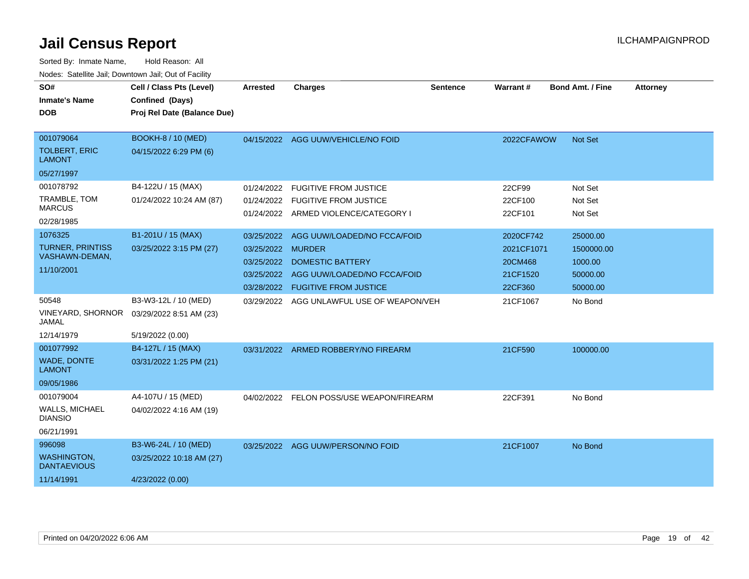| SO#                                       | Cell / Class Pts (Level)    | Arrested          | <b>Charges</b>                            | <b>Sentence</b> | Warrant#   | <b>Bond Amt. / Fine</b> | <b>Attorney</b> |
|-------------------------------------------|-----------------------------|-------------------|-------------------------------------------|-----------------|------------|-------------------------|-----------------|
| <b>Inmate's Name</b>                      | Confined (Days)             |                   |                                           |                 |            |                         |                 |
| <b>DOB</b>                                | Proj Rel Date (Balance Due) |                   |                                           |                 |            |                         |                 |
|                                           |                             |                   |                                           |                 |            |                         |                 |
| 001079064                                 | <b>BOOKH-8 / 10 (MED)</b>   |                   | 04/15/2022 AGG UUW/VEHICLE/NO FOID        |                 | 2022CFAWOW | Not Set                 |                 |
| <b>TOLBERT, ERIC</b><br><b>LAMONT</b>     | 04/15/2022 6:29 PM (6)      |                   |                                           |                 |            |                         |                 |
| 05/27/1997                                |                             |                   |                                           |                 |            |                         |                 |
| 001078792                                 | B4-122U / 15 (MAX)          | 01/24/2022        | <b>FUGITIVE FROM JUSTICE</b>              |                 | 22CF99     | Not Set                 |                 |
| TRAMBLE, TOM                              | 01/24/2022 10:24 AM (87)    | 01/24/2022        | <b>FUGITIVE FROM JUSTICE</b>              |                 | 22CF100    | Not Set                 |                 |
| <b>MARCUS</b>                             |                             |                   | 01/24/2022 ARMED VIOLENCE/CATEGORY I      |                 | 22CF101    | Not Set                 |                 |
| 02/28/1985                                |                             |                   |                                           |                 |            |                         |                 |
| 1076325                                   | B1-201U / 15 (MAX)          | 03/25/2022        | AGG UUW/LOADED/NO FCCA/FOID               |                 | 2020CF742  | 25000.00                |                 |
| <b>TURNER, PRINTISS</b><br>VASHAWN-DEMAN, | 03/25/2022 3:15 PM (27)     | 03/25/2022 MURDER |                                           |                 | 2021CF1071 | 1500000.00              |                 |
| 11/10/2001                                |                             | 03/25/2022        | <b>DOMESTIC BATTERY</b>                   |                 | 20CM468    | 1000.00                 |                 |
|                                           |                             |                   | 03/25/2022 AGG UUW/LOADED/NO FCCA/FOID    |                 | 21CF1520   | 50000.00                |                 |
|                                           |                             |                   | 03/28/2022 FUGITIVE FROM JUSTICE          |                 | 22CF360    | 50000.00                |                 |
| 50548                                     | B3-W3-12L / 10 (MED)        |                   | 03/29/2022 AGG UNLAWFUL USE OF WEAPON/VEH |                 | 21CF1067   | No Bond                 |                 |
| VINEYARD, SHORNOR<br><b>JAMAL</b>         | 03/29/2022 8:51 AM (23)     |                   |                                           |                 |            |                         |                 |
| 12/14/1979                                | 5/19/2022 (0.00)            |                   |                                           |                 |            |                         |                 |
| 001077992                                 | B4-127L / 15 (MAX)          |                   | 03/31/2022 ARMED ROBBERY/NO FIREARM       |                 | 21CF590    | 100000.00               |                 |
| WADE, DONTE<br><b>LAMONT</b>              | 03/31/2022 1:25 PM (21)     |                   |                                           |                 |            |                         |                 |
| 09/05/1986                                |                             |                   |                                           |                 |            |                         |                 |
| 001079004                                 | A4-107U / 15 (MED)          |                   | 04/02/2022 FELON POSS/USE WEAPON/FIREARM  |                 | 22CF391    | No Bond                 |                 |
| <b>WALLS, MICHAEL</b><br><b>DIANSIO</b>   | 04/02/2022 4:16 AM (19)     |                   |                                           |                 |            |                         |                 |
| 06/21/1991                                |                             |                   |                                           |                 |            |                         |                 |
| 996098                                    | B3-W6-24L / 10 (MED)        |                   | 03/25/2022 AGG UUW/PERSON/NO FOID         |                 | 21CF1007   | No Bond                 |                 |
| <b>WASHINGTON,</b><br><b>DANTAEVIOUS</b>  | 03/25/2022 10:18 AM (27)    |                   |                                           |                 |            |                         |                 |
| 11/14/1991                                | 4/23/2022 (0.00)            |                   |                                           |                 |            |                         |                 |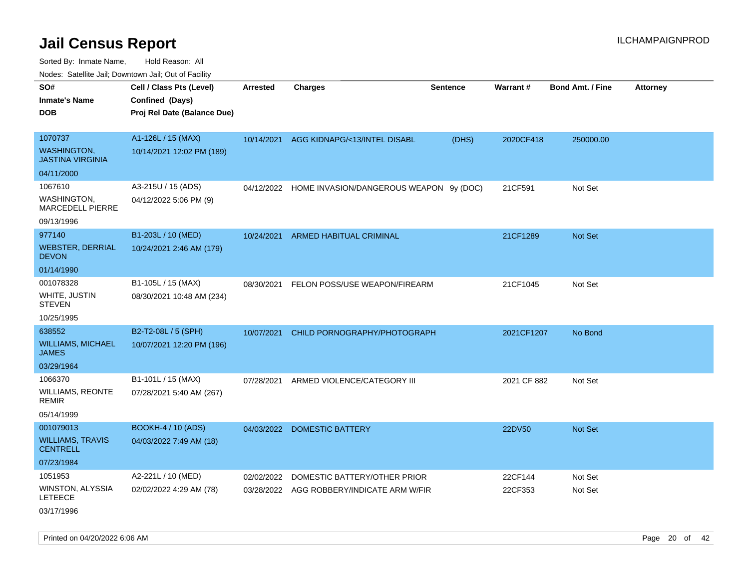| ivouss. Satellite Jali, Downtown Jali, Out of Facility                 |                                                                            |                 |                                                                           |                 |                    |                         |                 |
|------------------------------------------------------------------------|----------------------------------------------------------------------------|-----------------|---------------------------------------------------------------------------|-----------------|--------------------|-------------------------|-----------------|
| SO#<br>Inmate's Name<br>DOB                                            | Cell / Class Pts (Level)<br>Confined (Days)<br>Proj Rel Date (Balance Due) | <b>Arrested</b> | <b>Charges</b>                                                            | <b>Sentence</b> | Warrant#           | <b>Bond Amt. / Fine</b> | <b>Attorney</b> |
| 1070737<br><b>WASHINGTON.</b><br><b>JASTINA VIRGINIA</b>               | A1-126L / 15 (MAX)<br>10/14/2021 12:02 PM (189)                            |                 | 10/14/2021 AGG KIDNAPG/<13/INTEL DISABL                                   | (DHS)           | 2020CF418          | 250000.00               |                 |
| 04/11/2000<br>1067610<br>WASHINGTON,<br>MARCEDELL PIERRE<br>09/13/1996 | A3-215U / 15 (ADS)<br>04/12/2022 5:06 PM (9)                               |                 | 04/12/2022 HOME INVASION/DANGEROUS WEAPON 9y (DOC)                        |                 | 21CF591            | Not Set                 |                 |
| 977140<br><b>WEBSTER, DERRIAL</b><br><b>DEVON</b><br>01/14/1990        | B1-203L / 10 (MED)<br>10/24/2021 2:46 AM (179)                             | 10/24/2021      | ARMED HABITUAL CRIMINAL                                                   |                 | 21CF1289           | <b>Not Set</b>          |                 |
| 001078328<br>WHITE, JUSTIN<br>STEVEN<br>10/25/1995                     | B1-105L / 15 (MAX)<br>08/30/2021 10:48 AM (234)                            | 08/30/2021      | FELON POSS/USE WEAPON/FIREARM                                             |                 | 21CF1045           | Not Set                 |                 |
| 638552<br><b>WILLIAMS, MICHAEL</b><br>JAMES<br>03/29/1964              | B2-T2-08L / 5 (SPH)<br>10/07/2021 12:20 PM (196)                           | 10/07/2021      | CHILD PORNOGRAPHY/PHOTOGRAPH                                              |                 | 2021CF1207         | No Bond                 |                 |
| 1066370<br>WILLIAMS, REONTE<br>remir<br>05/14/1999                     | B1-101L / 15 (MAX)<br>07/28/2021 5:40 AM (267)                             | 07/28/2021      | ARMED VIOLENCE/CATEGORY III                                               |                 | 2021 CF 882        | Not Set                 |                 |
| 001079013<br>WILLIAMS, TRAVIS<br>CENTRELL<br>07/23/1984                | <b>BOOKH-4 / 10 (ADS)</b><br>04/03/2022 7:49 AM (18)                       | 04/03/2022      | DOMESTIC BATTERY                                                          |                 | 22DV50             | <b>Not Set</b>          |                 |
| 1051953<br>WINSTON, ALYSSIA<br>LETEECE<br>03/17/1996                   | A2-221L / 10 (MED)<br>02/02/2022 4:29 AM (78)                              | 02/02/2022      | DOMESTIC BATTERY/OTHER PRIOR<br>03/28/2022 AGG ROBBERY/INDICATE ARM W/FIR |                 | 22CF144<br>22CF353 | Not Set<br>Not Set      |                 |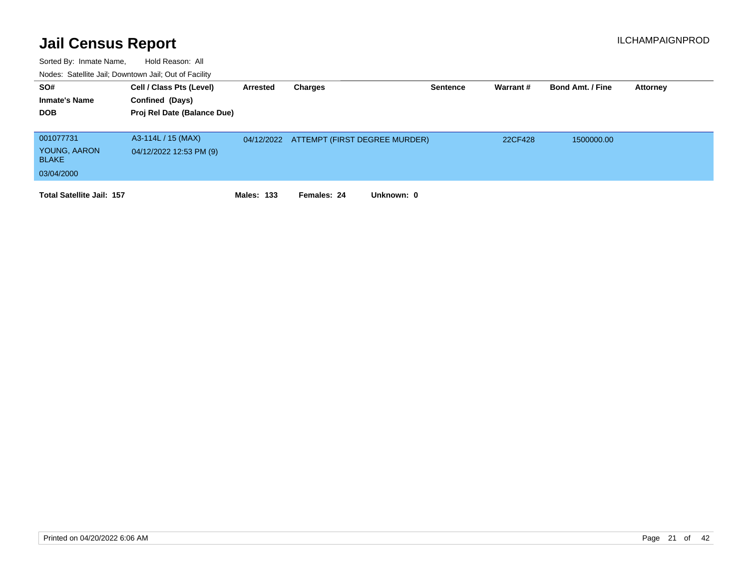| SO#<br><b>Inmate's Name</b><br><b>DOB</b>               | Cell / Class Pts (Level)<br>Confined (Days)<br>Proj Rel Date (Balance Due) | Arrested          | Charges                                  | <b>Sentence</b> | Warrant# | <b>Bond Amt. / Fine</b> | <b>Attorney</b> |
|---------------------------------------------------------|----------------------------------------------------------------------------|-------------------|------------------------------------------|-----------------|----------|-------------------------|-----------------|
| 001077731<br>YOUNG, AARON<br><b>BLAKE</b><br>03/04/2000 | A3-114L / 15 (MAX)<br>04/12/2022 12:53 PM (9)                              |                   | 04/12/2022 ATTEMPT (FIRST DEGREE MURDER) |                 | 22CF428  | 1500000.00              |                 |
| <b>Total Satellite Jail: 157</b>                        |                                                                            | <b>Males: 133</b> | Unknown: 0<br>Females: 24                |                 |          |                         |                 |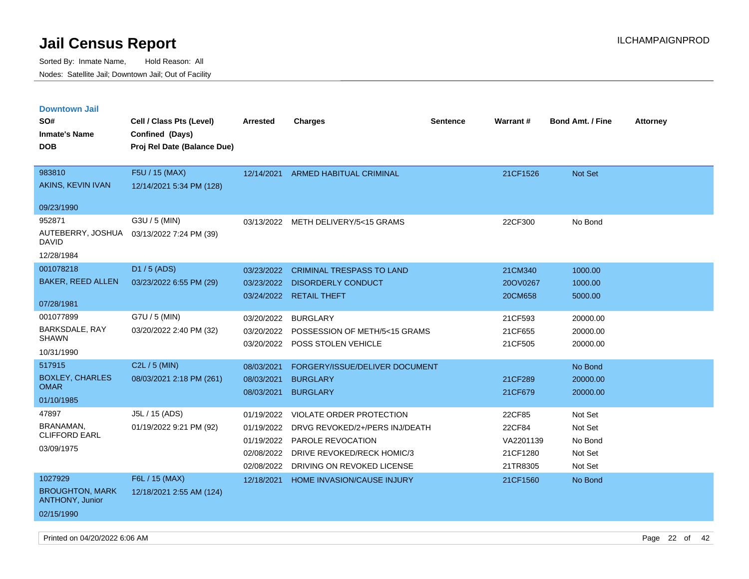| <b>Downtown Jail</b>                             |                             |                 |                                   |                 |                 |                         |                 |
|--------------------------------------------------|-----------------------------|-----------------|-----------------------------------|-----------------|-----------------|-------------------------|-----------------|
| SO#                                              | Cell / Class Pts (Level)    | <b>Arrested</b> | <b>Charges</b>                    | <b>Sentence</b> | <b>Warrant#</b> | <b>Bond Amt. / Fine</b> | <b>Attorney</b> |
| <b>Inmate's Name</b>                             | Confined (Days)             |                 |                                   |                 |                 |                         |                 |
| <b>DOB</b>                                       | Proj Rel Date (Balance Due) |                 |                                   |                 |                 |                         |                 |
|                                                  |                             |                 |                                   |                 |                 |                         |                 |
| 983810                                           | F5U / 15 (MAX)              | 12/14/2021      | <b>ARMED HABITUAL CRIMINAL</b>    |                 | 21CF1526        | Not Set                 |                 |
| AKINS, KEVIN IVAN                                | 12/14/2021 5:34 PM (128)    |                 |                                   |                 |                 |                         |                 |
| 09/23/1990                                       |                             |                 |                                   |                 |                 |                         |                 |
| 952871                                           | G3U / 5 (MIN)               | 03/13/2022      | METH DELIVERY/5<15 GRAMS          |                 | 22CF300         | No Bond                 |                 |
| AUTEBERRY, JOSHUA<br>DAVID                       | 03/13/2022 7:24 PM (39)     |                 |                                   |                 |                 |                         |                 |
| 12/28/1984                                       |                             |                 |                                   |                 |                 |                         |                 |
| 001078218                                        | D1 / 5 (ADS)                | 03/23/2022      | <b>CRIMINAL TRESPASS TO LAND</b>  |                 | 21CM340         | 1000.00                 |                 |
| <b>BAKER, REED ALLEN</b>                         | 03/23/2022 6:55 PM (29)     | 03/23/2022      | <b>DISORDERLY CONDUCT</b>         |                 | 20OV0267        | 1000.00                 |                 |
|                                                  |                             |                 | 03/24/2022 RETAIL THEFT           |                 | 20CM658         | 5000.00                 |                 |
| 07/28/1981                                       |                             |                 |                                   |                 |                 |                         |                 |
| 001077899                                        | G7U / 5 (MIN)               | 03/20/2022      | <b>BURGLARY</b>                   |                 | 21CF593         | 20000.00                |                 |
| <b>BARKSDALE, RAY</b><br><b>SHAWN</b>            | 03/20/2022 2:40 PM (32)     | 03/20/2022      | POSSESSION OF METH/5<15 GRAMS     |                 | 21CF655         | 20000.00                |                 |
| 10/31/1990                                       |                             | 03/20/2022      | POSS STOLEN VEHICLE               |                 | 21CF505         | 20000.00                |                 |
| 517915                                           | C2L / 5 (MIN)               |                 |                                   |                 |                 |                         |                 |
| <b>BOXLEY, CHARLES</b>                           |                             | 08/03/2021      | FORGERY/ISSUE/DELIVER DOCUMENT    |                 |                 | No Bond                 |                 |
| <b>OMAR</b>                                      | 08/03/2021 2:18 PM (261)    | 08/03/2021      | <b>BURGLARY</b>                   |                 | 21CF289         | 20000.00                |                 |
| 01/10/1985                                       |                             | 08/03/2021      | <b>BURGLARY</b>                   |                 | 21CF679         | 20000.00                |                 |
| 47897                                            | J5L / 15 (ADS)              | 01/19/2022      | VIOLATE ORDER PROTECTION          |                 | 22CF85          | Not Set                 |                 |
| BRANAMAN,                                        | 01/19/2022 9:21 PM (92)     | 01/19/2022      | DRVG REVOKED/2+/PERS INJ/DEATH    |                 | 22CF84          | Not Set                 |                 |
| <b>CLIFFORD EARL</b>                             |                             | 01/19/2022      | PAROLE REVOCATION                 |                 | VA2201139       | No Bond                 |                 |
| 03/09/1975                                       |                             | 02/08/2022      | DRIVE REVOKED/RECK HOMIC/3        |                 | 21CF1280        | Not Set                 |                 |
|                                                  |                             | 02/08/2022      | DRIVING ON REVOKED LICENSE        |                 | 21TR8305        | Not Set                 |                 |
| 1027929                                          | F6L / 15 (MAX)              | 12/18/2021      | <b>HOME INVASION/CAUSE INJURY</b> |                 | 21CF1560        | No Bond                 |                 |
| <b>BROUGHTON, MARK</b><br><b>ANTHONY, Junior</b> | 12/18/2021 2:55 AM (124)    |                 |                                   |                 |                 |                         |                 |
| 02/15/1990                                       |                             |                 |                                   |                 |                 |                         |                 |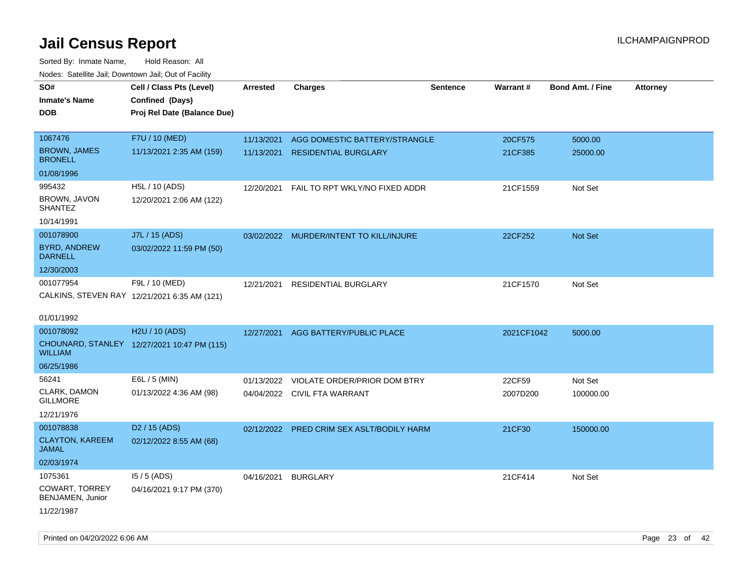| roaco. Oatomto dan, Downtown dan, Oat or Fability |                                              |                 |                                           |                 |            |                         |                 |
|---------------------------------------------------|----------------------------------------------|-----------------|-------------------------------------------|-----------------|------------|-------------------------|-----------------|
| SO#                                               | Cell / Class Pts (Level)                     | <b>Arrested</b> | <b>Charges</b>                            | <b>Sentence</b> | Warrant#   | <b>Bond Amt. / Fine</b> | <b>Attorney</b> |
| <b>Inmate's Name</b>                              | Confined (Days)                              |                 |                                           |                 |            |                         |                 |
| <b>DOB</b>                                        | Proj Rel Date (Balance Due)                  |                 |                                           |                 |            |                         |                 |
|                                                   |                                              |                 |                                           |                 |            |                         |                 |
| 1067476                                           | F7U / 10 (MED)                               | 11/13/2021      | AGG DOMESTIC BATTERY/STRANGLE             |                 | 20CF575    | 5000.00                 |                 |
| <b>BROWN, JAMES</b><br><b>BRONELL</b>             | 11/13/2021 2:35 AM (159)                     | 11/13/2021      | <b>RESIDENTIAL BURGLARY</b>               |                 | 21CF385    | 25000.00                |                 |
| 01/08/1996                                        |                                              |                 |                                           |                 |            |                         |                 |
| 995432                                            | H5L / 10 (ADS)                               | 12/20/2021      | FAIL TO RPT WKLY/NO FIXED ADDR            |                 | 21CF1559   | Not Set                 |                 |
| BROWN, JAVON<br><b>SHANTEZ</b>                    | 12/20/2021 2:06 AM (122)                     |                 |                                           |                 |            |                         |                 |
| 10/14/1991                                        |                                              |                 |                                           |                 |            |                         |                 |
| 001078900                                         | J7L / 15 (ADS)                               |                 | 03/02/2022 MURDER/INTENT TO KILL/INJURE   |                 | 22CF252    | Not Set                 |                 |
| <b>BYRD, ANDREW</b><br><b>DARNELL</b>             | 03/02/2022 11:59 PM (50)                     |                 |                                           |                 |            |                         |                 |
| 12/30/2003                                        |                                              |                 |                                           |                 |            |                         |                 |
| 001077954                                         | F9L / 10 (MED)                               | 12/21/2021      | RESIDENTIAL BURGLARY                      |                 | 21CF1570   | Not Set                 |                 |
|                                                   | CALKINS, STEVEN RAY 12/21/2021 6:35 AM (121) |                 |                                           |                 |            |                         |                 |
|                                                   |                                              |                 |                                           |                 |            |                         |                 |
| 01/01/1992                                        |                                              |                 |                                           |                 |            |                         |                 |
| 001078092                                         | H2U / 10 (ADS)                               | 12/27/2021      | AGG BATTERY/PUBLIC PLACE                  |                 | 2021CF1042 | 5000.00                 |                 |
| <b>WILLIAM</b>                                    | CHOUNARD, STANLEY 12/27/2021 10:47 PM (115)  |                 |                                           |                 |            |                         |                 |
| 06/25/1986                                        |                                              |                 |                                           |                 |            |                         |                 |
| 56241                                             | E6L / 5 (MIN)                                | 01/13/2022      | VIOLATE ORDER/PRIOR DOM BTRY              |                 | 22CF59     | Not Set                 |                 |
| CLARK, DAMON<br><b>GILLMORE</b>                   | 01/13/2022 4:36 AM (98)                      |                 | 04/04/2022 CIVIL FTA WARRANT              |                 | 2007D200   | 100000.00               |                 |
| 12/21/1976                                        |                                              |                 |                                           |                 |            |                         |                 |
| 001078838                                         | D <sub>2</sub> / 15 (ADS)                    |                 | 02/12/2022 PRED CRIM SEX ASLT/BODILY HARM |                 | 21CF30     | 150000.00               |                 |
| <b>CLAYTON, KAREEM</b><br><b>JAMAL</b>            | 02/12/2022 8:55 AM (68)                      |                 |                                           |                 |            |                         |                 |
| 02/03/1974                                        |                                              |                 |                                           |                 |            |                         |                 |
| 1075361                                           | $15/5$ (ADS)                                 | 04/16/2021      | <b>BURGLARY</b>                           |                 | 21CF414    | Not Set                 |                 |
| COWART, TORREY<br>BENJAMEN, Junior                | 04/16/2021 9:17 PM (370)                     |                 |                                           |                 |            |                         |                 |
| 11/22/1987                                        |                                              |                 |                                           |                 |            |                         |                 |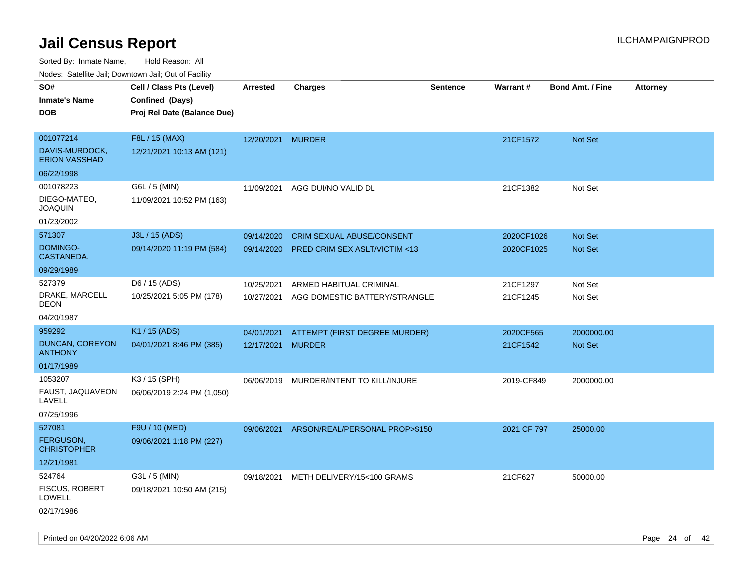| roaco. Odichile Jan, Downtown Jan, Out of Facility |                             |                   |                                           |                 |             |                         |                 |
|----------------------------------------------------|-----------------------------|-------------------|-------------------------------------------|-----------------|-------------|-------------------------|-----------------|
| SO#                                                | Cell / Class Pts (Level)    | <b>Arrested</b>   | <b>Charges</b>                            | <b>Sentence</b> | Warrant#    | <b>Bond Amt. / Fine</b> | <b>Attorney</b> |
| <b>Inmate's Name</b>                               | Confined (Days)             |                   |                                           |                 |             |                         |                 |
| <b>DOB</b>                                         | Proj Rel Date (Balance Due) |                   |                                           |                 |             |                         |                 |
|                                                    |                             |                   |                                           |                 |             |                         |                 |
| 001077214                                          | F8L / 15 (MAX)              | 12/20/2021 MURDER |                                           |                 | 21CF1572    | Not Set                 |                 |
| DAVIS-MURDOCK,<br><b>ERION VASSHAD</b>             | 12/21/2021 10:13 AM (121)   |                   |                                           |                 |             |                         |                 |
| 06/22/1998                                         |                             |                   |                                           |                 |             |                         |                 |
| 001078223                                          | G6L / 5 (MIN)               | 11/09/2021        | AGG DUI/NO VALID DL                       |                 | 21CF1382    | Not Set                 |                 |
| DIEGO-MATEO,<br><b>JOAQUIN</b>                     | 11/09/2021 10:52 PM (163)   |                   |                                           |                 |             |                         |                 |
| 01/23/2002                                         |                             |                   |                                           |                 |             |                         |                 |
| 571307                                             | J3L / 15 (ADS)              | 09/14/2020        | CRIM SEXUAL ABUSE/CONSENT                 |                 | 2020CF1026  | Not Set                 |                 |
| DOMINGO-<br>CASTANEDA,                             | 09/14/2020 11:19 PM (584)   | 09/14/2020        | <b>PRED CRIM SEX ASLT/VICTIM &lt;13</b>   |                 | 2020CF1025  | <b>Not Set</b>          |                 |
| 09/29/1989                                         |                             |                   |                                           |                 |             |                         |                 |
| 527379                                             | D6 / 15 (ADS)               | 10/25/2021        | ARMED HABITUAL CRIMINAL                   |                 | 21CF1297    | Not Set                 |                 |
| DRAKE, MARCELL<br><b>DEON</b>                      | 10/25/2021 5:05 PM (178)    | 10/27/2021        | AGG DOMESTIC BATTERY/STRANGLE             |                 | 21CF1245    | Not Set                 |                 |
| 04/20/1987                                         |                             |                   |                                           |                 |             |                         |                 |
| 959292                                             | K1 / 15 (ADS)               | 04/01/2021        | ATTEMPT (FIRST DEGREE MURDER)             |                 | 2020CF565   | 2000000.00              |                 |
| DUNCAN, COREYON<br><b>ANTHONY</b>                  | 04/01/2021 8:46 PM (385)    | 12/17/2021 MURDER |                                           |                 | 21CF1542    | <b>Not Set</b>          |                 |
| 01/17/1989                                         |                             |                   |                                           |                 |             |                         |                 |
| 1053207                                            | K3 / 15 (SPH)               | 06/06/2019        | MURDER/INTENT TO KILL/INJURE              |                 | 2019-CF849  | 2000000.00              |                 |
| FAUST, JAQUAVEON<br>LAVELL                         | 06/06/2019 2:24 PM (1,050)  |                   |                                           |                 |             |                         |                 |
| 07/25/1996                                         |                             |                   |                                           |                 |             |                         |                 |
| 527081                                             | F9U / 10 (MED)              |                   | 09/06/2021 ARSON/REAL/PERSONAL PROP>\$150 |                 | 2021 CF 797 | 25000.00                |                 |
| FERGUSON,<br><b>CHRISTOPHER</b>                    | 09/06/2021 1:18 PM (227)    |                   |                                           |                 |             |                         |                 |
| 12/21/1981                                         |                             |                   |                                           |                 |             |                         |                 |
| 524764                                             | G3L / 5 (MIN)               | 09/18/2021        | METH DELIVERY/15<100 GRAMS                |                 | 21CF627     | 50000.00                |                 |
| <b>FISCUS, ROBERT</b><br><b>LOWELL</b>             | 09/18/2021 10:50 AM (215)   |                   |                                           |                 |             |                         |                 |
| 02/17/1986                                         |                             |                   |                                           |                 |             |                         |                 |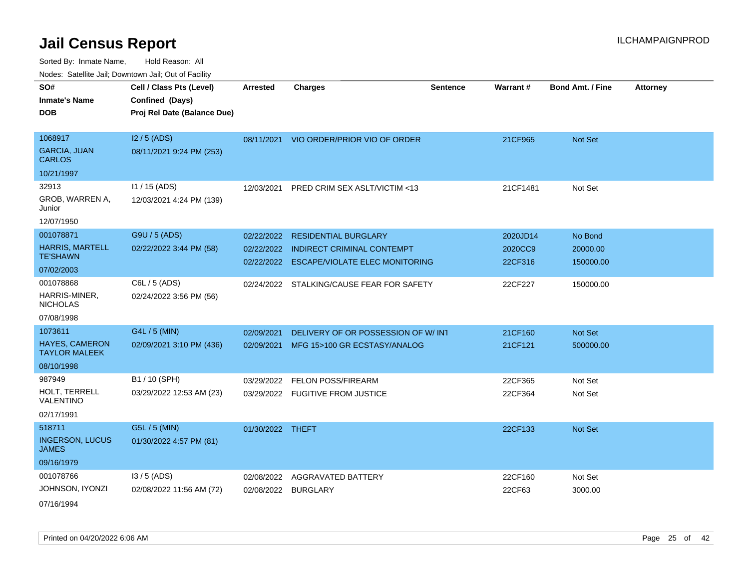Sorted By: Inmate Name, Hold Reason: All Nodes: Satellite Jail; Downtown Jail; Out of Facility

| rouco. Calcinic Jan, Downtown Jan, Out of Facility |                                                                            |                  |                                         |                 |          |                         |                 |
|----------------------------------------------------|----------------------------------------------------------------------------|------------------|-----------------------------------------|-----------------|----------|-------------------------|-----------------|
| SO#<br>Inmate's Name<br>DOB                        | Cell / Class Pts (Level)<br>Confined (Days)<br>Proj Rel Date (Balance Due) | <b>Arrested</b>  | <b>Charges</b>                          | <b>Sentence</b> | Warrant# | <b>Bond Amt. / Fine</b> | <b>Attorney</b> |
|                                                    |                                                                            |                  |                                         |                 |          |                         |                 |
| 1068917                                            | $12/5$ (ADS)                                                               |                  | 08/11/2021 VIO ORDER/PRIOR VIO OF ORDER |                 | 21CF965  | <b>Not Set</b>          |                 |
| <b>GARCIA, JUAN</b><br>CARLOS                      | 08/11/2021 9:24 PM (253)                                                   |                  |                                         |                 |          |                         |                 |
| 10/21/1997                                         |                                                                            |                  |                                         |                 |          |                         |                 |
| 32913                                              | $11 / 15$ (ADS)                                                            | 12/03/2021       | PRED CRIM SEX ASLT/VICTIM <13           |                 | 21CF1481 | Not Set                 |                 |
| GROB, WARREN A,<br>Junior                          | 12/03/2021 4:24 PM (139)                                                   |                  |                                         |                 |          |                         |                 |
| 12/07/1950                                         |                                                                            |                  |                                         |                 |          |                         |                 |
| 001078871                                          | G9U / 5 (ADS)                                                              | 02/22/2022       | <b>RESIDENTIAL BURGLARY</b>             |                 | 2020JD14 | No Bond                 |                 |
| <b>HARRIS, MARTELL</b>                             | 02/22/2022 3:44 PM (58)                                                    | 02/22/2022       | <b>INDIRECT CRIMINAL CONTEMPT</b>       |                 | 2020CC9  | 20000.00                |                 |
| TE'SHAWN                                           |                                                                            | 02/22/2022       | <b>ESCAPE/VIOLATE ELEC MONITORING</b>   |                 | 22CF316  | 150000.00               |                 |
| 07/02/2003                                         |                                                                            |                  |                                         |                 |          |                         |                 |
| 001078868                                          | C6L / 5 (ADS)                                                              | 02/24/2022       | STALKING/CAUSE FEAR FOR SAFETY          |                 | 22CF227  | 150000.00               |                 |
| HARRIS-MINER,<br><b>NICHOLAS</b>                   | 02/24/2022 3:56 PM (56)                                                    |                  |                                         |                 |          |                         |                 |
| 07/08/1998                                         |                                                                            |                  |                                         |                 |          |                         |                 |
| 1073611                                            | G4L / 5 (MIN)                                                              | 02/09/2021       | DELIVERY OF OR POSSESSION OF W/INT      |                 | 21CF160  | Not Set                 |                 |
| <b>HAYES, CAMERON</b><br><b>TAYLOR MALEEK</b>      | 02/09/2021 3:10 PM (436)                                                   | 02/09/2021       | MFG 15>100 GR ECSTASY/ANALOG            |                 | 21CF121  | 500000.00               |                 |
| 08/10/1998                                         |                                                                            |                  |                                         |                 |          |                         |                 |
| 987949                                             | B1 / 10 (SPH)                                                              | 03/29/2022       | <b>FELON POSS/FIREARM</b>               |                 | 22CF365  | Not Set                 |                 |
| HOLT, TERRELL<br>VALENTINO                         | 03/29/2022 12:53 AM (23)                                                   |                  | 03/29/2022 FUGITIVE FROM JUSTICE        |                 | 22CF364  | Not Set                 |                 |
| 02/17/1991                                         |                                                                            |                  |                                         |                 |          |                         |                 |
| 518711                                             | G5L / 5 (MIN)                                                              | 01/30/2022 THEFT |                                         |                 | 22CF133  | <b>Not Set</b>          |                 |
| <b>INGERSON, LUCUS</b><br>JAMES                    | 01/30/2022 4:57 PM (81)                                                    |                  |                                         |                 |          |                         |                 |
| 09/16/1979                                         |                                                                            |                  |                                         |                 |          |                         |                 |
| 001078766                                          | $13/5$ (ADS)                                                               | 02/08/2022       | AGGRAVATED BATTERY                      |                 | 22CF160  | Not Set                 |                 |
| JOHNSON, IYONZI                                    | 02/08/2022 11:56 AM (72)                                                   |                  | 02/08/2022 BURGLARY                     |                 | 22CF63   | 3000.00                 |                 |
|                                                    |                                                                            |                  |                                         |                 |          |                         |                 |

07/16/1994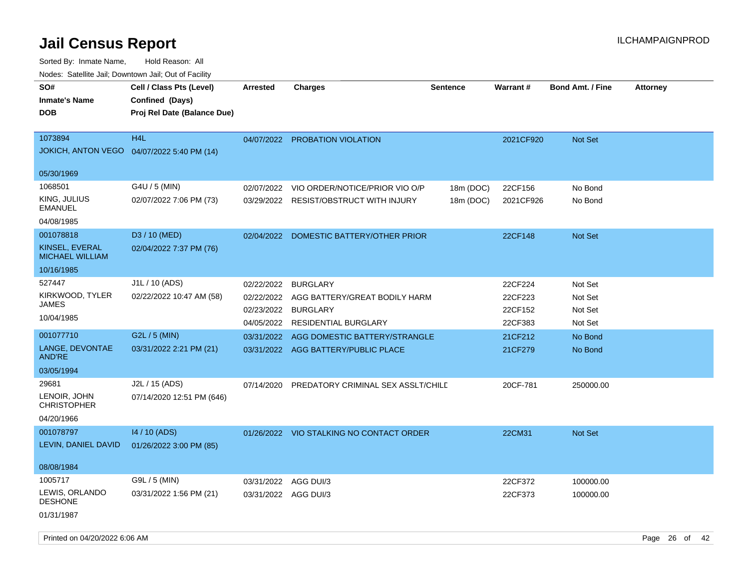| roaco. Oatomto dan, Downtown dan, Oat or Fability      |                                                                            |                      |                                          |                 |           |                         |                 |
|--------------------------------------------------------|----------------------------------------------------------------------------|----------------------|------------------------------------------|-----------------|-----------|-------------------------|-----------------|
| SO#<br><b>Inmate's Name</b><br><b>DOB</b>              | Cell / Class Pts (Level)<br>Confined (Days)<br>Proj Rel Date (Balance Due) | Arrested             | Charges                                  | <b>Sentence</b> | Warrant#  | <b>Bond Amt. / Fine</b> | <b>Attorney</b> |
| 1073894<br>JOKICH, ANTON VEGO  04/07/2022 5:40 PM (14) | H <sub>4</sub> L                                                           | 04/07/2022           | PROBATION VIOLATION                      |                 | 2021CF920 | <b>Not Set</b>          |                 |
| 05/30/1969                                             |                                                                            |                      |                                          |                 |           |                         |                 |
| 1068501                                                | G4U / 5 (MIN)                                                              | 02/07/2022           | VIO ORDER/NOTICE/PRIOR VIO O/P           | 18m (DOC)       | 22CF156   | No Bond                 |                 |
| KING, JULIUS<br><b>EMANUEL</b>                         | 02/07/2022 7:06 PM (73)                                                    |                      | 03/29/2022 RESIST/OBSTRUCT WITH INJURY   | 18m (DOC)       | 2021CF926 | No Bond                 |                 |
| 04/08/1985                                             |                                                                            |                      |                                          |                 |           |                         |                 |
| 001078818                                              | D3 / 10 (MED)                                                              | 02/04/2022           | DOMESTIC BATTERY/OTHER PRIOR             |                 | 22CF148   | Not Set                 |                 |
| KINSEL, EVERAL<br><b>MICHAEL WILLIAM</b>               | 02/04/2022 7:37 PM (76)                                                    |                      |                                          |                 |           |                         |                 |
| 10/16/1985                                             |                                                                            |                      |                                          |                 |           |                         |                 |
| 527447                                                 | J1L / 10 (ADS)                                                             | 02/22/2022           | <b>BURGLARY</b>                          |                 | 22CF224   | Not Set                 |                 |
| KIRKWOOD, TYLER                                        | 02/22/2022 10:47 AM (58)                                                   | 02/22/2022           | AGG BATTERY/GREAT BODILY HARM            |                 | 22CF223   | Not Set                 |                 |
| JAMES                                                  |                                                                            | 02/23/2022           | <b>BURGLARY</b>                          |                 | 22CF152   | Not Set                 |                 |
| 10/04/1985                                             |                                                                            | 04/05/2022           | <b>RESIDENTIAL BURGLARY</b>              |                 | 22CF383   | Not Set                 |                 |
| 001077710                                              | G2L / 5 (MIN)                                                              | 03/31/2022           | AGG DOMESTIC BATTERY/STRANGLE            |                 | 21CF212   | No Bond                 |                 |
| LANGE, DEVONTAE<br>AND'RE                              | 03/31/2022 2:21 PM (21)                                                    |                      | 03/31/2022 AGG BATTERY/PUBLIC PLACE      |                 | 21CF279   | No Bond                 |                 |
| 03/05/1994                                             |                                                                            |                      |                                          |                 |           |                         |                 |
| 29681                                                  | J2L / 15 (ADS)                                                             | 07/14/2020           | PREDATORY CRIMINAL SEX ASSLT/CHILD       |                 | 20CF-781  | 250000.00               |                 |
| LENOIR, JOHN<br><b>CHRISTOPHER</b>                     | 07/14/2020 12:51 PM (646)                                                  |                      |                                          |                 |           |                         |                 |
| 04/20/1966                                             |                                                                            |                      |                                          |                 |           |                         |                 |
| 001078797                                              | 14 / 10 (ADS)                                                              |                      | 01/26/2022 VIO STALKING NO CONTACT ORDER |                 | 22CM31    | Not Set                 |                 |
| LEVIN, DANIEL DAVID                                    | 01/26/2022 3:00 PM (85)                                                    |                      |                                          |                 |           |                         |                 |
| 08/08/1984                                             |                                                                            |                      |                                          |                 |           |                         |                 |
| 1005717                                                | G9L / 5 (MIN)                                                              | 03/31/2022           | AGG DUI/3                                |                 | 22CF372   | 100000.00               |                 |
| LEWIS, ORLANDO<br><b>DESHONE</b>                       | 03/31/2022 1:56 PM (21)                                                    | 03/31/2022 AGG DUI/3 |                                          |                 | 22CF373   | 100000.00               |                 |
| 01/31/1987                                             |                                                                            |                      |                                          |                 |           |                         |                 |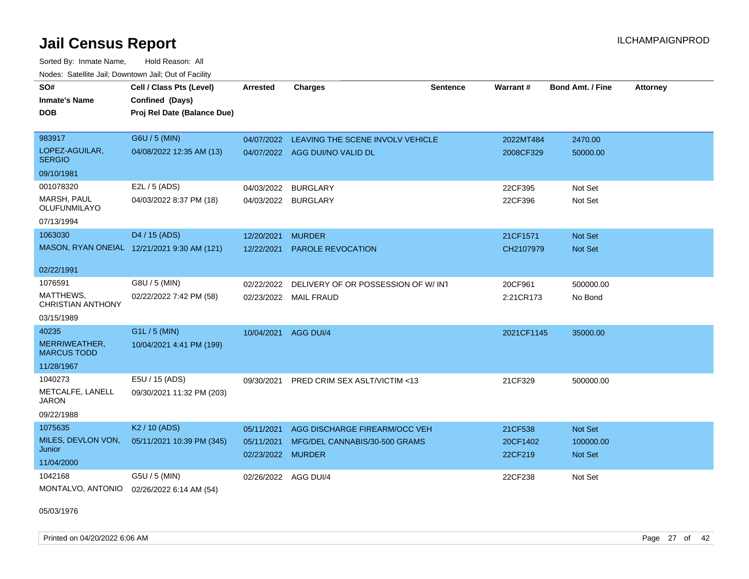Sorted By: Inmate Name, Hold Reason: All Nodes: Satellite Jail; Downtown Jail; Out of Facility

| SO#                                       | Cell / Class Pts (Level)                    | <b>Arrested</b>                 | <b>Charges</b>                           | <b>Sentence</b> | Warrant#            | <b>Bond Amt. / Fine</b>     | <b>Attorney</b> |
|-------------------------------------------|---------------------------------------------|---------------------------------|------------------------------------------|-----------------|---------------------|-----------------------------|-----------------|
| <b>Inmate's Name</b>                      | Confined (Days)                             |                                 |                                          |                 |                     |                             |                 |
| <b>DOB</b>                                | Proj Rel Date (Balance Due)                 |                                 |                                          |                 |                     |                             |                 |
|                                           |                                             |                                 |                                          |                 |                     |                             |                 |
| 983917                                    | G6U / 5 (MIN)                               | 04/07/2022                      | LEAVING THE SCENE INVOLV VEHICLE         |                 | 2022MT484           | 2470.00                     |                 |
| LOPEZ-AGUILAR,<br><b>SERGIO</b>           | 04/08/2022 12:35 AM (13)                    |                                 | 04/07/2022 AGG DUI/NO VALID DL           |                 | 2008CF329           | 50000.00                    |                 |
| 09/10/1981                                |                                             |                                 |                                          |                 |                     |                             |                 |
| 001078320                                 | E2L / 5 (ADS)                               |                                 | 04/03/2022 BURGLARY                      |                 | 22CF395             | Not Set                     |                 |
| <b>MARSH, PAUL</b><br><b>OLUFUNMILAYO</b> | 04/03/2022 8:37 PM (18)                     |                                 | 04/03/2022 BURGLARY                      |                 | 22CF396             | Not Set                     |                 |
| 07/13/1994                                |                                             |                                 |                                          |                 |                     |                             |                 |
| 1063030                                   | D4 / 15 (ADS)                               | 12/20/2021                      | <b>MURDER</b>                            |                 | 21CF1571            | Not Set                     |                 |
|                                           | MASON, RYAN ONEIAL 12/21/2021 9:30 AM (121) | 12/22/2021                      | <b>PAROLE REVOCATION</b>                 |                 | CH2107979           | <b>Not Set</b>              |                 |
| 02/22/1991                                |                                             |                                 |                                          |                 |                     |                             |                 |
| 1076591                                   | G8U / 5 (MIN)                               | 02/22/2022                      | DELIVERY OF OR POSSESSION OF W/INT       |                 | 20CF961             | 500000.00                   |                 |
| MATTHEWS.<br><b>CHRISTIAN ANTHONY</b>     | 02/22/2022 7:42 PM (58)                     |                                 | 02/23/2022 MAIL FRAUD                    |                 | 2:21CR173           | No Bond                     |                 |
| 03/15/1989                                |                                             |                                 |                                          |                 |                     |                             |                 |
| 40235                                     | G1L / 5 (MIN)                               | 10/04/2021                      | AGG DUI/4                                |                 | 2021CF1145          | 35000.00                    |                 |
| MERRIWEATHER,<br><b>MARCUS TODD</b>       | 10/04/2021 4:41 PM (199)                    |                                 |                                          |                 |                     |                             |                 |
| 11/28/1967                                |                                             |                                 |                                          |                 |                     |                             |                 |
| 1040273                                   | E5U / 15 (ADS)                              |                                 | 09/30/2021 PRED CRIM SEX ASLT/VICTIM <13 |                 | 21CF329             | 500000.00                   |                 |
| METCALFE, LANELL<br><b>JARON</b>          | 09/30/2021 11:32 PM (203)                   |                                 |                                          |                 |                     |                             |                 |
| 09/22/1988                                |                                             |                                 |                                          |                 |                     |                             |                 |
| 1075635                                   | K <sub>2</sub> / 10 (ADS)                   | 05/11/2021                      | AGG DISCHARGE FIREARM/OCC VEH            |                 | 21CF538             | Not Set                     |                 |
| MILES, DEVLON VON,<br>Junior              | 05/11/2021 10:39 PM (345)                   | 05/11/2021<br>02/23/2022 MURDER | MFG/DEL CANNABIS/30-500 GRAMS            |                 | 20CF1402<br>22CF219 | 100000.00<br><b>Not Set</b> |                 |
| 11/04/2000                                |                                             |                                 |                                          |                 |                     |                             |                 |
| 1042168                                   | G5U / 5 (MIN)                               |                                 | 02/26/2022 AGG DUI/4                     |                 | 22CF238             | Not Set                     |                 |
| MONTALVO, ANTONIO                         | 02/26/2022 6:14 AM (54)                     |                                 |                                          |                 |                     |                             |                 |

05/03/1976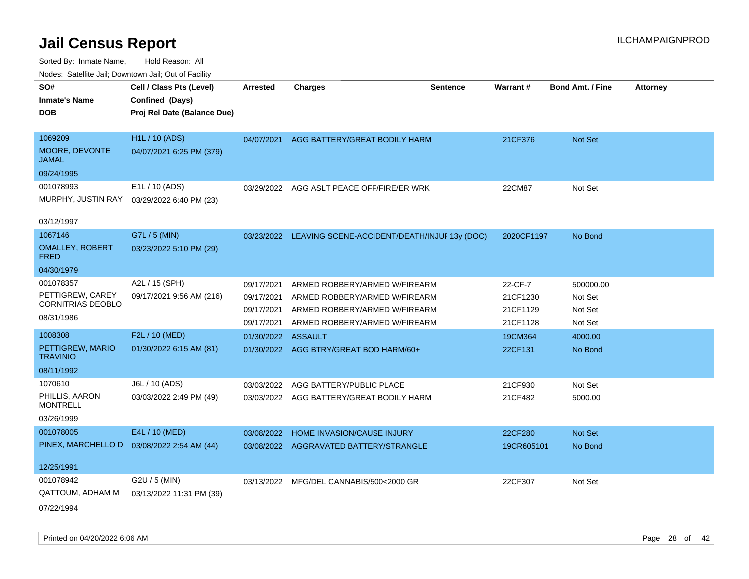| roaco. Catolino dall, Downtown dall, Out of Fability |                                                                            |                          |                                                                |                 |                      |                         |                 |
|------------------------------------------------------|----------------------------------------------------------------------------|--------------------------|----------------------------------------------------------------|-----------------|----------------------|-------------------------|-----------------|
| SO#<br><b>Inmate's Name</b><br><b>DOB</b>            | Cell / Class Pts (Level)<br>Confined (Days)<br>Proj Rel Date (Balance Due) | <b>Arrested</b>          | <b>Charges</b>                                                 | <b>Sentence</b> | <b>Warrant#</b>      | <b>Bond Amt. / Fine</b> | <b>Attorney</b> |
|                                                      |                                                                            |                          |                                                                |                 |                      |                         |                 |
| 1069209<br>MOORE, DEVONTE<br>JAMAL                   | H1L / 10 (ADS)<br>04/07/2021 6:25 PM (379)                                 | 04/07/2021               | AGG BATTERY/GREAT BODILY HARM                                  |                 | 21CF376              | Not Set                 |                 |
| 09/24/1995                                           |                                                                            |                          |                                                                |                 |                      |                         |                 |
| 001078993<br>MURPHY, JUSTIN RAY                      | E1L / 10 (ADS)<br>03/29/2022 6:40 PM (23)                                  | 03/29/2022               | AGG ASLT PEACE OFF/FIRE/ER WRK                                 |                 | 22CM87               | Not Set                 |                 |
| 03/12/1997                                           |                                                                            |                          |                                                                |                 |                      |                         |                 |
| 1067146<br><b>OMALLEY, ROBERT</b><br>FRED            | G7L / 5 (MIN)<br>03/23/2022 5:10 PM (29)                                   |                          | 03/23/2022 LEAVING SCENE-ACCIDENT/DEATH/INJUF 13y (DOC)        |                 | 2020CF1197           | No Bond                 |                 |
| 04/30/1979                                           |                                                                            |                          |                                                                |                 |                      |                         |                 |
| 001078357                                            | A2L / 15 (SPH)                                                             | 09/17/2021               | ARMED ROBBERY/ARMED W/FIREARM                                  |                 | 22-CF-7              | 500000.00               |                 |
| PETTIGREW, CAREY<br><b>CORNITRIAS DEOBLO</b>         | 09/17/2021 9:56 AM (216)                                                   | 09/17/2021<br>09/17/2021 | ARMED ROBBERY/ARMED W/FIREARM<br>ARMED ROBBERY/ARMED W/FIREARM |                 | 21CF1230<br>21CF1129 | Not Set<br>Not Set      |                 |
| 08/31/1986                                           |                                                                            | 09/17/2021               | ARMED ROBBERY/ARMED W/FIREARM                                  |                 | 21CF1128             | Not Set                 |                 |
| 1008308                                              | F2L / 10 (MED)                                                             | 01/30/2022               | <b>ASSAULT</b>                                                 |                 | 19CM364              | 4000.00                 |                 |
| PETTIGREW, MARIO<br><b>TRAVINIO</b>                  | 01/30/2022 6:15 AM (81)                                                    |                          | 01/30/2022 AGG BTRY/GREAT BOD HARM/60+                         |                 | 22CF131              | No Bond                 |                 |
| 08/11/1992                                           |                                                                            |                          |                                                                |                 |                      |                         |                 |
| 1070610                                              | J6L / 10 (ADS)                                                             | 03/03/2022               | AGG BATTERY/PUBLIC PLACE                                       |                 | 21CF930              | Not Set                 |                 |
| PHILLIS, AARON<br><b>MONTRELL</b>                    | 03/03/2022 2:49 PM (49)                                                    |                          | 03/03/2022 AGG BATTERY/GREAT BODILY HARM                       |                 | 21CF482              | 5000.00                 |                 |
| 03/26/1999                                           |                                                                            |                          |                                                                |                 |                      |                         |                 |
| 001078005                                            | E4L / 10 (MED)                                                             | 03/08/2022               | HOME INVASION/CAUSE INJURY                                     |                 | 22CF280              | <b>Not Set</b>          |                 |
| PINEX, MARCHELLO D                                   | 03/08/2022 2:54 AM (44)                                                    | 03/08/2022               | AGGRAVATED BATTERY/STRANGLE                                    |                 | 19CR605101           | No Bond                 |                 |
| 12/25/1991                                           |                                                                            |                          |                                                                |                 |                      |                         |                 |
| 001078942<br>QATTOUM, ADHAM M<br>07/22/1994          | G2U / 5 (MIN)<br>03/13/2022 11:31 PM (39)                                  |                          | 03/13/2022 MFG/DEL CANNABIS/500<2000 GR                        |                 | 22CF307              | Not Set                 |                 |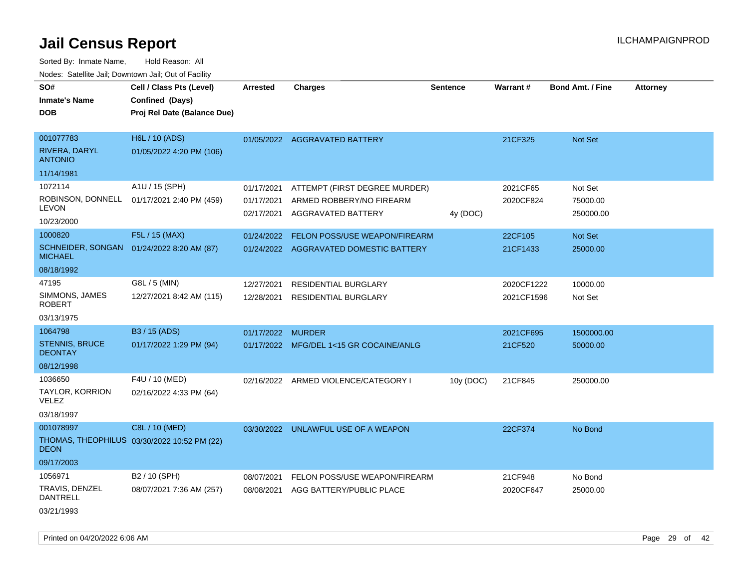Sorted By: Inmate Name, Hold Reason: All Nodes: Satellite Jail; Downtown Jail; Out of Facility

| rougs. Calcinic Jan, Downtown Jan, Out of Facility |                                             |            |                                         |                 |            |                         |                 |
|----------------------------------------------------|---------------------------------------------|------------|-----------------------------------------|-----------------|------------|-------------------------|-----------------|
| SO#                                                | Cell / Class Pts (Level)                    | Arrested   | <b>Charges</b>                          | <b>Sentence</b> | Warrant#   | <b>Bond Amt. / Fine</b> | <b>Attorney</b> |
| <b>Inmate's Name</b>                               | Confined (Days)                             |            |                                         |                 |            |                         |                 |
| <b>DOB</b>                                         | Proj Rel Date (Balance Due)                 |            |                                         |                 |            |                         |                 |
|                                                    |                                             |            |                                         |                 |            |                         |                 |
| 001077783                                          | H6L / 10 (ADS)                              |            | 01/05/2022 AGGRAVATED BATTERY           |                 | 21CF325    | Not Set                 |                 |
| RIVERA, DARYL<br><b>ANTONIO</b>                    | 01/05/2022 4:20 PM (106)                    |            |                                         |                 |            |                         |                 |
| 11/14/1981                                         |                                             |            |                                         |                 |            |                         |                 |
| 1072114                                            | A1U / 15 (SPH)                              | 01/17/2021 | ATTEMPT (FIRST DEGREE MURDER)           |                 | 2021CF65   | Not Set                 |                 |
| ROBINSON, DONNELL<br><b>LEVON</b>                  | 01/17/2021 2:40 PM (459)                    | 01/17/2021 | ARMED ROBBERY/NO FIREARM                |                 | 2020CF824  | 75000.00                |                 |
| 10/23/2000                                         |                                             | 02/17/2021 | <b>AGGRAVATED BATTERY</b>               | 4y (DOC)        |            | 250000.00               |                 |
| 1000820                                            | F5L / 15 (MAX)                              | 01/24/2022 | FELON POSS/USE WEAPON/FIREARM           |                 | 22CF105    | Not Set                 |                 |
| <b>MICHAEL</b>                                     | SCHNEIDER, SONGAN 01/24/2022 8:20 AM (87)   |            | 01/24/2022 AGGRAVATED DOMESTIC BATTERY  |                 | 21CF1433   | 25000.00                |                 |
| 08/18/1992                                         |                                             |            |                                         |                 |            |                         |                 |
| 47195                                              | G8L / 5 (MIN)                               | 12/27/2021 | <b>RESIDENTIAL BURGLARY</b>             |                 | 2020CF1222 | 10000.00                |                 |
| SIMMONS, JAMES<br><b>ROBERT</b>                    | 12/27/2021 8:42 AM (115)                    | 12/28/2021 | <b>RESIDENTIAL BURGLARY</b>             |                 | 2021CF1596 | Not Set                 |                 |
| 03/13/1975                                         |                                             |            |                                         |                 |            |                         |                 |
| 1064798                                            | B3 / 15 (ADS)                               | 01/17/2022 | <b>MURDER</b>                           |                 | 2021CF695  | 1500000.00              |                 |
| <b>STENNIS, BRUCE</b><br><b>DEONTAY</b>            | 01/17/2022 1:29 PM (94)                     |            | 01/17/2022 MFG/DEL 1<15 GR COCAINE/ANLG |                 | 21CF520    | 50000.00                |                 |
| 08/12/1998                                         |                                             |            |                                         |                 |            |                         |                 |
| 1036650                                            | F4U / 10 (MED)                              |            | 02/16/2022 ARMED VIOLENCE/CATEGORY I    | 10y (DOC)       | 21CF845    | 250000.00               |                 |
| TAYLOR, KORRION<br><b>VELEZ</b>                    | 02/16/2022 4:33 PM (64)                     |            |                                         |                 |            |                         |                 |
| 03/18/1997                                         |                                             |            |                                         |                 |            |                         |                 |
| 001078997                                          | C8L / 10 (MED)                              |            | 03/30/2022 UNLAWFUL USE OF A WEAPON     |                 | 22CF374    | No Bond                 |                 |
| <b>DEON</b>                                        | THOMAS, THEOPHILUS 03/30/2022 10:52 PM (22) |            |                                         |                 |            |                         |                 |
| 09/17/2003                                         |                                             |            |                                         |                 |            |                         |                 |
| 1056971                                            | B2 / 10 (SPH)                               | 08/07/2021 | FELON POSS/USE WEAPON/FIREARM           |                 | 21CF948    | No Bond                 |                 |
| TRAVIS, DENZEL<br><b>DANTRELL</b>                  | 08/07/2021 7:36 AM (257)                    | 08/08/2021 | AGG BATTERY/PUBLIC PLACE                |                 | 2020CF647  | 25000.00                |                 |
| 03/21/1993                                         |                                             |            |                                         |                 |            |                         |                 |

Printed on 04/20/2022 6:06 AM Page 29 of 42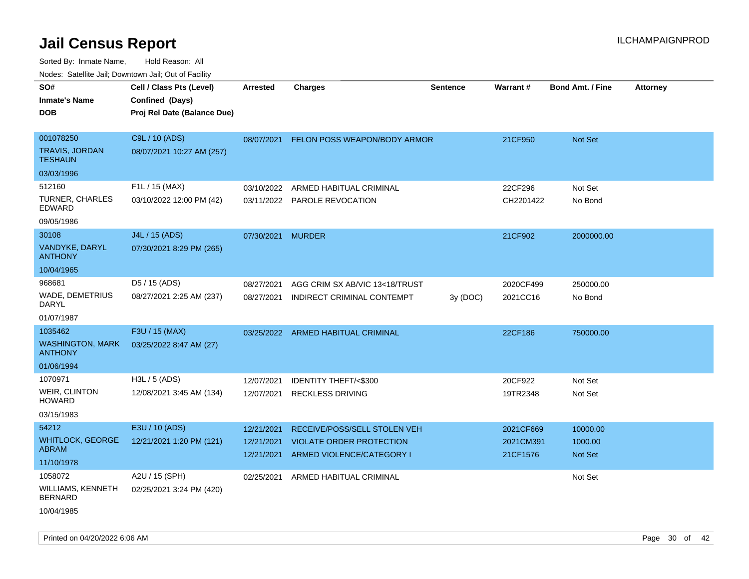| rouco. Calcinic Jan, Downtown Jan, Out of Facility                 |                                                                            |                                        |                                                                                              |                 |                                    |                                       |                 |
|--------------------------------------------------------------------|----------------------------------------------------------------------------|----------------------------------------|----------------------------------------------------------------------------------------------|-----------------|------------------------------------|---------------------------------------|-----------------|
| SO#<br>Inmate's Name<br><b>DOB</b>                                 | Cell / Class Pts (Level)<br>Confined (Days)<br>Proj Rel Date (Balance Due) | <b>Arrested</b>                        | <b>Charges</b>                                                                               | <b>Sentence</b> | Warrant#                           | <b>Bond Amt. / Fine</b>               | <b>Attorney</b> |
| 001078250<br>TRAVIS, JORDAN<br><b>TESHAUN</b>                      | C9L / 10 (ADS)<br>08/07/2021 10:27 AM (257)                                |                                        | 08/07/2021 FELON POSS WEAPON/BODY ARMOR                                                      |                 | 21CF950                            | Not Set                               |                 |
| 03/03/1996<br>512160<br>TURNER, CHARLES<br>EDWARD<br>09/05/1986    | F1L / 15 (MAX)<br>03/10/2022 12:00 PM (42)                                 | 03/10/2022                             | ARMED HABITUAL CRIMINAL<br>03/11/2022 PAROLE REVOCATION                                      |                 | 22CF296<br>CH2201422               | Not Set<br>No Bond                    |                 |
| 30108<br>VANDYKE, DARYL<br><b>ANTHONY</b><br>10/04/1965            | J4L / 15 (ADS)<br>07/30/2021 8:29 PM (265)                                 | 07/30/2021 MURDER                      |                                                                                              |                 | 21CF902                            | 2000000.00                            |                 |
| 968681<br>WADE, DEMETRIUS<br>DARYL<br>01/07/1987                   | D5 / 15 (ADS)<br>08/27/2021 2:25 AM (237)                                  | 08/27/2021<br>08/27/2021               | AGG CRIM SX AB/VIC 13<18/TRUST<br>INDIRECT CRIMINAL CONTEMPT                                 | 3y(DOC)         | 2020CF499<br>2021CC16              | 250000.00<br>No Bond                  |                 |
| 1035462<br><b>WASHINGTON, MARK</b><br><b>ANTHONY</b><br>01/06/1994 | F3U / 15 (MAX)<br>03/25/2022 8:47 AM (27)                                  |                                        | 03/25/2022 ARMED HABITUAL CRIMINAL                                                           |                 | 22CF186                            | 750000.00                             |                 |
| 1070971<br><b>WEIR, CLINTON</b><br>HOWARD<br>03/15/1983            | H3L / 5 (ADS)<br>12/08/2021 3:45 AM (134)                                  | 12/07/2021<br>12/07/2021               | <b>IDENTITY THEFT/&lt;\$300</b><br><b>RECKLESS DRIVING</b>                                   |                 | 20CF922<br>19TR2348                | Not Set<br>Not Set                    |                 |
| 54212<br><b>WHITLOCK, GEORGE</b><br>ABRAM<br>11/10/1978            | E3U / 10 (ADS)<br>12/21/2021 1:20 PM (121)                                 | 12/21/2021<br>12/21/2021<br>12/21/2021 | RECEIVE/POSS/SELL STOLEN VEH<br><b>VIOLATE ORDER PROTECTION</b><br>ARMED VIOLENCE/CATEGORY I |                 | 2021CF669<br>2021CM391<br>21CF1576 | 10000.00<br>1000.00<br><b>Not Set</b> |                 |
| 1058072<br>WILLIAMS, KENNETH<br><b>BERNARD</b><br>10/04/1985       | A2U / 15 (SPH)<br>02/25/2021 3:24 PM (420)                                 | 02/25/2021                             | ARMED HABITUAL CRIMINAL                                                                      |                 |                                    | Not Set                               |                 |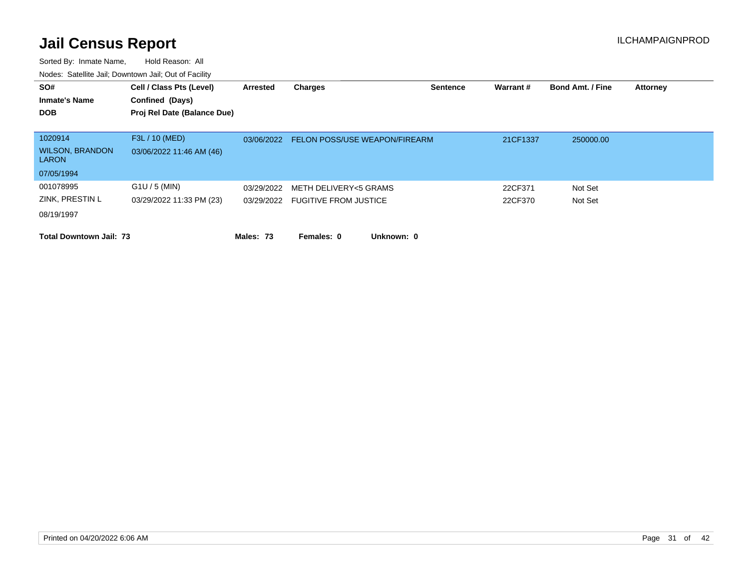| SO#<br><b>Inmate's Name</b>            | Cell / Class Pts (Level)<br>Confined (Days) | Arrested   | <b>Charges</b>                   | <b>Sentence</b> | Warrant# | <b>Bond Amt. / Fine</b> | <b>Attorney</b> |
|----------------------------------------|---------------------------------------------|------------|----------------------------------|-----------------|----------|-------------------------|-----------------|
| <b>DOB</b>                             | Proj Rel Date (Balance Due)                 |            |                                  |                 |          |                         |                 |
| 1020914                                | F3L / 10 (MED)                              | 03/06/2022 | FELON POSS/USE WEAPON/FIREARM    |                 | 21CF1337 | 250000.00               |                 |
| <b>WILSON, BRANDON</b><br><b>LARON</b> | 03/06/2022 11:46 AM (46)                    |            |                                  |                 |          |                         |                 |
| 07/05/1994                             |                                             |            |                                  |                 |          |                         |                 |
| 001078995                              | $G1U / 5$ (MIN)                             | 03/29/2022 | METH DELIVERY<5 GRAMS            |                 | 22CF371  | Not Set                 |                 |
| ZINK, PRESTIN L                        | 03/29/2022 11:33 PM (23)                    |            | 03/29/2022 FUGITIVE FROM JUSTICE |                 | 22CF370  | Not Set                 |                 |
| 08/19/1997                             |                                             |            |                                  |                 |          |                         |                 |
| <b>Total Downtown Jail: 73</b>         |                                             | Males: 73  | Unknown: 0<br>Females: 0         |                 |          |                         |                 |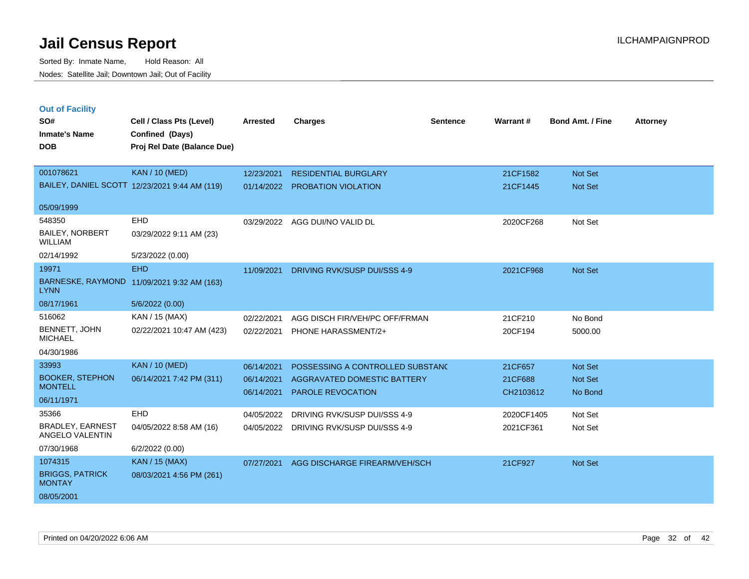| <b>Out of Facility</b>                     |                                               |                 |                                         |                 |            |                         |                 |
|--------------------------------------------|-----------------------------------------------|-----------------|-----------------------------------------|-----------------|------------|-------------------------|-----------------|
| SO#                                        | Cell / Class Pts (Level)                      | <b>Arrested</b> | <b>Charges</b>                          | <b>Sentence</b> | Warrant#   | <b>Bond Amt. / Fine</b> | <b>Attorney</b> |
| <b>Inmate's Name</b>                       | Confined (Days)                               |                 |                                         |                 |            |                         |                 |
| <b>DOB</b>                                 | Proj Rel Date (Balance Due)                   |                 |                                         |                 |            |                         |                 |
|                                            |                                               |                 |                                         |                 |            |                         |                 |
| 001078621                                  | <b>KAN / 10 (MED)</b>                         | 12/23/2021      | <b>RESIDENTIAL BURGLARY</b>             |                 | 21CF1582   | Not Set                 |                 |
|                                            | BAILEY, DANIEL SCOTT 12/23/2021 9:44 AM (119) | 01/14/2022      | <b>PROBATION VIOLATION</b>              |                 | 21CF1445   | Not Set                 |                 |
|                                            |                                               |                 |                                         |                 |            |                         |                 |
| 05/09/1999                                 |                                               |                 |                                         |                 |            |                         |                 |
| 548350                                     | EHD                                           | 03/29/2022      | AGG DUI/NO VALID DL                     |                 | 2020CF268  | Not Set                 |                 |
| BAILEY, NORBERT<br><b>WILLIAM</b>          | 03/29/2022 9:11 AM (23)                       |                 |                                         |                 |            |                         |                 |
| 02/14/1992                                 | 5/23/2022 (0.00)                              |                 |                                         |                 |            |                         |                 |
| 19971                                      | <b>EHD</b>                                    | 11/09/2021      | DRIVING RVK/SUSP DUI/SSS 4-9            |                 | 2021CF968  | Not Set                 |                 |
| <b>LYNN</b>                                | BARNESKE, RAYMOND 11/09/2021 9:32 AM (163)    |                 |                                         |                 |            |                         |                 |
| 08/17/1961                                 | 5/6/2022 (0.00)                               |                 |                                         |                 |            |                         |                 |
| 516062                                     | KAN / 15 (MAX)                                | 02/22/2021      | AGG DISCH FIR/VEH/PC OFF/FRMAN          |                 | 21CF210    | No Bond                 |                 |
| BENNETT, JOHN<br><b>MICHAEL</b>            | 02/22/2021 10:47 AM (423)                     | 02/22/2021      | PHONE HARASSMENT/2+                     |                 | 20CF194    | 5000.00                 |                 |
| 04/30/1986                                 |                                               |                 |                                         |                 |            |                         |                 |
| 33993                                      | <b>KAN / 10 (MED)</b>                         | 06/14/2021      | POSSESSING A CONTROLLED SUBSTAND        |                 | 21CF657    | Not Set                 |                 |
| <b>BOOKER, STEPHON</b>                     | 06/14/2021 7:42 PM (311)                      | 06/14/2021      | AGGRAVATED DOMESTIC BATTERY             |                 | 21CF688    | Not Set                 |                 |
| <b>MONTELL</b>                             |                                               | 06/14/2021      | PAROLE REVOCATION                       |                 | CH2103612  | No Bond                 |                 |
| 06/11/1971                                 |                                               |                 |                                         |                 |            |                         |                 |
| 35366                                      | EHD                                           | 04/05/2022      | DRIVING RVK/SUSP DUI/SSS 4-9            |                 | 2020CF1405 | Not Set                 |                 |
| <b>BRADLEY, EARNEST</b><br>ANGELO VALENTIN | 04/05/2022 8:58 AM (16)                       |                 | 04/05/2022 DRIVING RVK/SUSP DUI/SSS 4-9 |                 | 2021CF361  | Not Set                 |                 |
| 07/30/1968                                 | 6/2/2022 (0.00)                               |                 |                                         |                 |            |                         |                 |
| 1074315                                    | <b>KAN / 15 (MAX)</b>                         | 07/27/2021      | AGG DISCHARGE FIREARM/VEH/SCH           |                 | 21CF927    | <b>Not Set</b>          |                 |
| <b>BRIGGS, PATRICK</b><br><b>MONTAY</b>    | 08/03/2021 4:56 PM (261)                      |                 |                                         |                 |            |                         |                 |
| 08/05/2001                                 |                                               |                 |                                         |                 |            |                         |                 |
|                                            |                                               |                 |                                         |                 |            |                         |                 |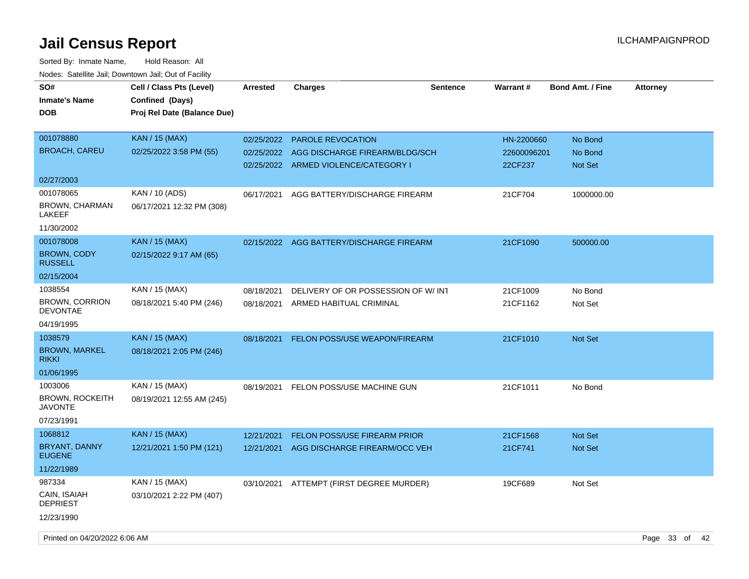| SO#<br><b>Inmate's Name</b><br><b>DOB</b>         | Cell / Class Pts (Level)<br>Confined (Days)<br>Proj Rel Date (Balance Due) | <b>Arrested</b> | <b>Charges</b>                                                         | <b>Sentence</b> | Warrant#               | <b>Bond Amt. / Fine</b> | <b>Attorney</b> |  |
|---------------------------------------------------|----------------------------------------------------------------------------|-----------------|------------------------------------------------------------------------|-----------------|------------------------|-------------------------|-----------------|--|
| 001078880                                         | <b>KAN / 15 (MAX)</b>                                                      | 02/25/2022      | <b>PAROLE REVOCATION</b>                                               |                 | HN-2200660             | No Bond                 |                 |  |
| <b>BROACH, CAREU</b>                              | 02/25/2022 3:58 PM (55)                                                    | 02/25/2022      | AGG DISCHARGE FIREARM/BLDG/SCH<br>02/25/2022 ARMED VIOLENCE/CATEGORY I |                 | 22600096201<br>22CF237 | No Bond<br>Not Set      |                 |  |
| 02/27/2003                                        |                                                                            |                 |                                                                        |                 |                        |                         |                 |  |
| 001078065<br><b>BROWN, CHARMAN</b><br>LAKEEF      | KAN / 10 (ADS)<br>06/17/2021 12:32 PM (308)                                | 06/17/2021      | AGG BATTERY/DISCHARGE FIREARM                                          |                 | 21CF704                | 1000000.00              |                 |  |
| 11/30/2002                                        |                                                                            |                 |                                                                        |                 |                        |                         |                 |  |
| 001078008<br><b>BROWN, CODY</b><br><b>RUSSELL</b> | <b>KAN / 15 (MAX)</b><br>02/15/2022 9:17 AM (65)                           | 02/15/2022      | AGG BATTERY/DISCHARGE FIREARM                                          |                 | 21CF1090               | 500000.00               |                 |  |
| 02/15/2004                                        |                                                                            |                 |                                                                        |                 |                        |                         |                 |  |
| 1038554                                           | KAN / 15 (MAX)                                                             | 08/18/2021      | DELIVERY OF OR POSSESSION OF W/INT                                     |                 | 21CF1009               | No Bond                 |                 |  |
| <b>BROWN, CORRION</b><br><b>DEVONTAE</b>          | 08/18/2021 5:40 PM (246)                                                   | 08/18/2021      | ARMED HABITUAL CRIMINAL                                                |                 | 21CF1162               | Not Set                 |                 |  |
| 04/19/1995                                        |                                                                            |                 |                                                                        |                 |                        |                         |                 |  |
| 1038579                                           | <b>KAN / 15 (MAX)</b>                                                      | 08/18/2021      | FELON POSS/USE WEAPON/FIREARM                                          |                 | 21CF1010               | Not Set                 |                 |  |
| <b>BROWN, MARKEL</b><br><b>RIKKI</b>              | 08/18/2021 2:05 PM (246)                                                   |                 |                                                                        |                 |                        |                         |                 |  |
| 01/06/1995                                        |                                                                            |                 |                                                                        |                 |                        |                         |                 |  |
| 1003006                                           | KAN / 15 (MAX)                                                             | 08/19/2021      | FELON POSS/USE MACHINE GUN                                             |                 | 21CF1011               | No Bond                 |                 |  |
| <b>BROWN, ROCKEITH</b><br>JAVONTE                 | 08/19/2021 12:55 AM (245)                                                  |                 |                                                                        |                 |                        |                         |                 |  |
| 07/23/1991                                        |                                                                            |                 |                                                                        |                 |                        |                         |                 |  |
| 1068812                                           | <b>KAN / 15 (MAX)</b>                                                      | 12/21/2021      | FELON POSS/USE FIREARM PRIOR                                           |                 | 21CF1568               | <b>Not Set</b>          |                 |  |
| BRYANT, DANNY<br><b>EUGENE</b>                    | 12/21/2021 1:50 PM (121)                                                   | 12/21/2021      | AGG DISCHARGE FIREARM/OCC VEH                                          |                 | 21CF741                | Not Set                 |                 |  |
| 11/22/1989                                        |                                                                            |                 |                                                                        |                 |                        |                         |                 |  |
| 987334                                            | KAN / 15 (MAX)                                                             |                 | 03/10/2021 ATTEMPT (FIRST DEGREE MURDER)                               |                 | 19CF689                | Not Set                 |                 |  |
| CAIN, ISAIAH<br><b>DEPRIEST</b>                   | 03/10/2021 2:22 PM (407)                                                   |                 |                                                                        |                 |                        |                         |                 |  |
| 12/23/1990                                        |                                                                            |                 |                                                                        |                 |                        |                         |                 |  |
| Printed on 04/20/2022 6:06 AM                     |                                                                            |                 |                                                                        |                 |                        |                         | Page 33 of 42   |  |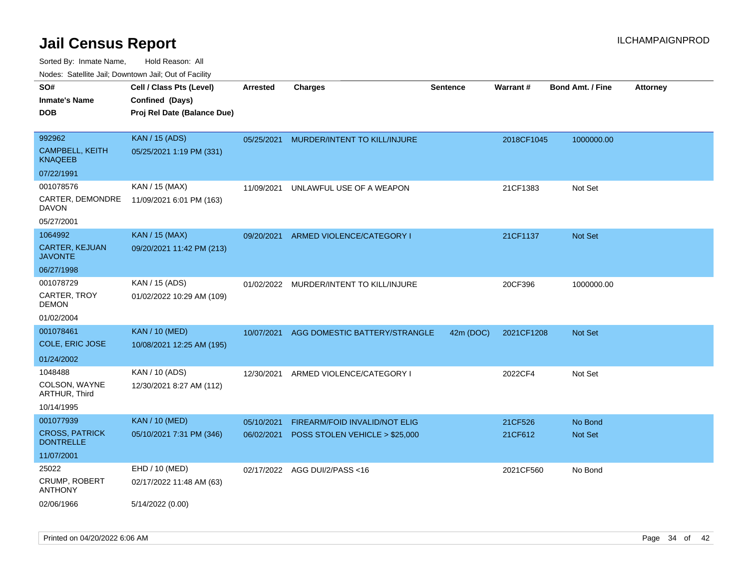| ivuutos. Saltiilit Jali, Duwilluwii Jali, Oul of Facility |                             |            |                                |                 |            |                         |                 |
|-----------------------------------------------------------|-----------------------------|------------|--------------------------------|-----------------|------------|-------------------------|-----------------|
| SO#                                                       | Cell / Class Pts (Level)    | Arrested   | <b>Charges</b>                 | <b>Sentence</b> | Warrant#   | <b>Bond Amt. / Fine</b> | <b>Attorney</b> |
| Inmate's Name                                             | Confined (Days)             |            |                                |                 |            |                         |                 |
| <b>DOB</b>                                                | Proj Rel Date (Balance Due) |            |                                |                 |            |                         |                 |
|                                                           |                             |            |                                |                 |            |                         |                 |
| 992962                                                    | <b>KAN / 15 (ADS)</b>       | 05/25/2021 | MURDER/INTENT TO KILL/INJURE   |                 | 2018CF1045 | 1000000.00              |                 |
| CAMPBELL, KEITH<br>KNAQEEB                                | 05/25/2021 1:19 PM (331)    |            |                                |                 |            |                         |                 |
| 07/22/1991                                                |                             |            |                                |                 |            |                         |                 |
| 001078576                                                 | KAN / 15 (MAX)              | 11/09/2021 | UNLAWFUL USE OF A WEAPON       |                 | 21CF1383   | Not Set                 |                 |
| CARTER, DEMONDRE<br>DAVON                                 | 11/09/2021 6:01 PM (163)    |            |                                |                 |            |                         |                 |
| 05/27/2001                                                |                             |            |                                |                 |            |                         |                 |
| 1064992                                                   | <b>KAN / 15 (MAX)</b>       | 09/20/2021 | ARMED VIOLENCE/CATEGORY I      |                 | 21CF1137   | Not Set                 |                 |
| <b>CARTER, KEJUAN</b><br>JAVONTE                          | 09/20/2021 11:42 PM (213)   |            |                                |                 |            |                         |                 |
| 06/27/1998                                                |                             |            |                                |                 |            |                         |                 |
| 001078729                                                 | KAN / 15 (ADS)              | 01/02/2022 | MURDER/INTENT TO KILL/INJURE   |                 | 20CF396    | 1000000.00              |                 |
| CARTER, TROY<br>DEMON                                     | 01/02/2022 10:29 AM (109)   |            |                                |                 |            |                         |                 |
| 01/02/2004                                                |                             |            |                                |                 |            |                         |                 |
| 001078461                                                 | <b>KAN / 10 (MED)</b>       | 10/07/2021 | AGG DOMESTIC BATTERY/STRANGLE  | 42m (DOC)       | 2021CF1208 | <b>Not Set</b>          |                 |
| COLE, ERIC JOSE                                           | 10/08/2021 12:25 AM (195)   |            |                                |                 |            |                         |                 |
| 01/24/2002                                                |                             |            |                                |                 |            |                         |                 |
| 1048488                                                   | KAN / 10 (ADS)              | 12/30/2021 | ARMED VIOLENCE/CATEGORY I      |                 | 2022CF4    | Not Set                 |                 |
| COLSON, WAYNE<br>ARTHUR, Third                            | 12/30/2021 8:27 AM (112)    |            |                                |                 |            |                         |                 |
| 10/14/1995                                                |                             |            |                                |                 |            |                         |                 |
| 001077939                                                 | <b>KAN / 10 (MED)</b>       | 05/10/2021 | FIREARM/FOID INVALID/NOT ELIG  |                 | 21CF526    | No Bond                 |                 |
| <b>CROSS, PATRICK</b><br><b>DONTRELLE</b>                 | 05/10/2021 7:31 PM (346)    | 06/02/2021 | POSS STOLEN VEHICLE > \$25,000 |                 | 21CF612    | <b>Not Set</b>          |                 |
| 11/07/2001                                                |                             |            |                                |                 |            |                         |                 |
| 25022                                                     | EHD / 10 (MED)              | 02/17/2022 | AGG DUI/2/PASS <16             |                 | 2021CF560  | No Bond                 |                 |
| CRUMP, ROBERT<br><b>ANTHONY</b>                           | 02/17/2022 11:48 AM (63)    |            |                                |                 |            |                         |                 |
| 02/06/1966                                                | 5/14/2022 (0.00)            |            |                                |                 |            |                         |                 |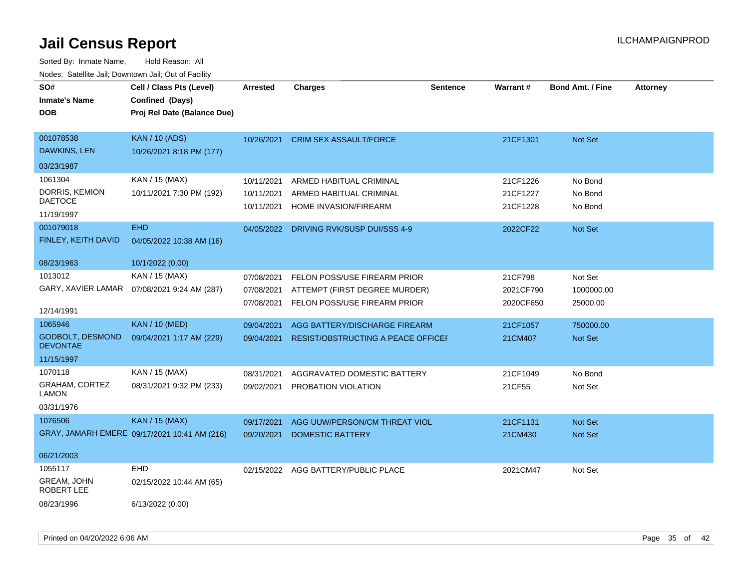| SO#<br><b>Inmate's Name</b><br><b>DOB</b>                               | Cell / Class Pts (Level)<br>Confined (Days)<br>Proj Rel Date (Balance Due) | <b>Arrested</b>                        | <b>Charges</b>                                                                                | <b>Sentence</b> | <b>Warrant#</b>                   | <b>Bond Amt. / Fine</b>           | <b>Attorney</b> |
|-------------------------------------------------------------------------|----------------------------------------------------------------------------|----------------------------------------|-----------------------------------------------------------------------------------------------|-----------------|-----------------------------------|-----------------------------------|-----------------|
| 001078538<br>DAWKINS, LEN                                               | <b>KAN / 10 (ADS)</b><br>10/26/2021 8:18 PM (177)                          | 10/26/2021                             | <b>CRIM SEX ASSAULT/FORCE</b>                                                                 |                 | 21CF1301                          | Not Set                           |                 |
| 03/23/1987                                                              |                                                                            |                                        |                                                                                               |                 |                                   |                                   |                 |
| 1061304<br>DORRIS, KEMION<br><b>DAETOCE</b><br>11/19/1997               | KAN / 15 (MAX)<br>10/11/2021 7:30 PM (192)                                 | 10/11/2021<br>10/11/2021<br>10/11/2021 | ARMED HABITUAL CRIMINAL<br>ARMED HABITUAL CRIMINAL<br>HOME INVASION/FIREARM                   |                 | 21CF1226<br>21CF1227<br>21CF1228  | No Bond<br>No Bond<br>No Bond     |                 |
| 001079018<br>FINLEY, KEITH DAVID<br>08/23/1963                          | <b>EHD</b><br>04/05/2022 10:38 AM (16)<br>10/1/2022 (0.00)                 | 04/05/2022                             | DRIVING RVK/SUSP DUI/SSS 4-9                                                                  |                 | 2022CF22                          | Not Set                           |                 |
| 1013012<br>GARY, XAVIER LAMAR<br>12/14/1991                             | KAN / 15 (MAX)<br>07/08/2021 9:24 AM (287)                                 | 07/08/2021<br>07/08/2021<br>07/08/2021 | FELON POSS/USE FIREARM PRIOR<br>ATTEMPT (FIRST DEGREE MURDER)<br>FELON POSS/USE FIREARM PRIOR |                 | 21CF798<br>2021CF790<br>2020CF650 | Not Set<br>1000000.00<br>25000.00 |                 |
| 1065946<br>GODBOLT, DESMOND<br><b>DEVONTAE</b><br>11/15/1997            | <b>KAN / 10 (MED)</b><br>09/04/2021 1:17 AM (229)                          | 09/04/2021<br>09/04/2021               | AGG BATTERY/DISCHARGE FIREARM<br><b>RESIST/OBSTRUCTING A PEACE OFFICEF</b>                    |                 | 21CF1057<br>21CM407               | 750000.00<br>Not Set              |                 |
| 1070118<br>GRAHAM, CORTEZ<br><b>LAMON</b><br>03/31/1976                 | KAN / 15 (MAX)<br>08/31/2021 9:32 PM (233)                                 | 08/31/2021<br>09/02/2021               | AGGRAVATED DOMESTIC BATTERY<br>PROBATION VIOLATION                                            |                 | 21CF1049<br>21CF55                | No Bond<br>Not Set                |                 |
| 1076506                                                                 | <b>KAN / 15 (MAX)</b><br>GRAY, JAMARH EMERE 09/17/2021 10:41 AM (216)      | 09/17/2021<br>09/20/2021               | AGG UUW/PERSON/CM THREAT VIOL<br><b>DOMESTIC BATTERY</b>                                      |                 | 21CF1131<br>21CM430               | Not Set<br><b>Not Set</b>         |                 |
| 06/21/2003<br>1055117<br>GREAM, JOHN<br><b>ROBERT LEE</b><br>08/23/1996 | <b>EHD</b><br>02/15/2022 10:44 AM (65)<br>6/13/2022 (0.00)                 |                                        | 02/15/2022 AGG BATTERY/PUBLIC PLACE                                                           |                 | 2021CM47                          | Not Set                           |                 |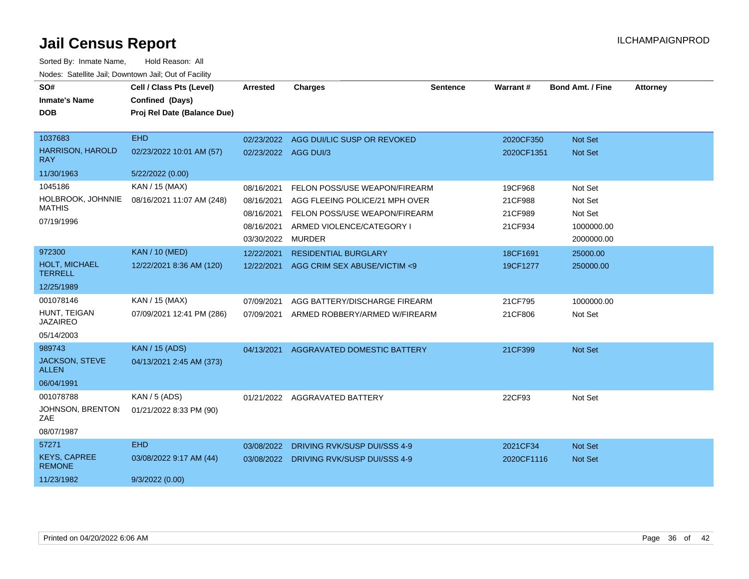| SO#                                    | Cell / Class Pts (Level)                 | Arrested             | <b>Charges</b>                          | <b>Sentence</b> | Warrant#   | <b>Bond Amt. / Fine</b> | <b>Attorney</b> |
|----------------------------------------|------------------------------------------|----------------------|-----------------------------------------|-----------------|------------|-------------------------|-----------------|
| <b>Inmate's Name</b>                   | Confined (Days)                          |                      |                                         |                 |            |                         |                 |
| <b>DOB</b>                             | Proj Rel Date (Balance Due)              |                      |                                         |                 |            |                         |                 |
| 1037683                                | <b>EHD</b>                               |                      | 02/23/2022 AGG DUI/LIC SUSP OR REVOKED  |                 | 2020CF350  | Not Set                 |                 |
| <b>HARRISON, HAROLD</b><br><b>RAY</b>  | 02/23/2022 10:01 AM (57)                 | 02/23/2022 AGG DUI/3 |                                         |                 | 2020CF1351 | Not Set                 |                 |
| 11/30/1963                             | 5/22/2022 (0.00)                         |                      |                                         |                 |            |                         |                 |
| 1045186                                | KAN / 15 (MAX)                           | 08/16/2021           | FELON POSS/USE WEAPON/FIREARM           |                 | 19CF968    | Not Set                 |                 |
| HOLBROOK, JOHNNIE                      | 08/16/2021 11:07 AM (248)                | 08/16/2021           | AGG FLEEING POLICE/21 MPH OVER          |                 | 21CF988    | Not Set                 |                 |
| <b>MATHIS</b>                          |                                          | 08/16/2021           | FELON POSS/USE WEAPON/FIREARM           |                 | 21CF989    | Not Set                 |                 |
| 07/19/1996                             |                                          | 08/16/2021           | ARMED VIOLENCE/CATEGORY I               |                 | 21CF934    | 1000000.00              |                 |
|                                        |                                          | 03/30/2022           | <b>MURDER</b>                           |                 |            | 2000000.00              |                 |
| 972300                                 | <b>KAN / 10 (MED)</b>                    | 12/22/2021           | <b>RESIDENTIAL BURGLARY</b>             |                 | 18CF1691   | 25000.00                |                 |
| <b>HOLT, MICHAEL</b><br><b>TERRELL</b> | 12/22/2021 8:36 AM (120)                 | 12/22/2021           | AGG CRIM SEX ABUSE/VICTIM <9            |                 | 19CF1277   | 250000.00               |                 |
| 12/25/1989                             |                                          |                      |                                         |                 |            |                         |                 |
| 001078146                              | KAN / 15 (MAX)                           | 07/09/2021           | AGG BATTERY/DISCHARGE FIREARM           |                 | 21CF795    | 1000000.00              |                 |
| HUNT, TEIGAN<br><b>JAZAIREO</b>        | 07/09/2021 12:41 PM (286)                | 07/09/2021           | ARMED ROBBERY/ARMED W/FIREARM           |                 | 21CF806    | Not Set                 |                 |
| 05/14/2003                             |                                          |                      |                                         |                 |            |                         |                 |
| 989743                                 | <b>KAN</b> / 15 (ADS)                    | 04/13/2021           | AGGRAVATED DOMESTIC BATTERY             |                 | 21CF399    | Not Set                 |                 |
| JACKSON, STEVE<br><b>ALLEN</b>         | 04/13/2021 2:45 AM (373)                 |                      |                                         |                 |            |                         |                 |
| 06/04/1991                             |                                          |                      |                                         |                 |            |                         |                 |
| 001078788<br>JOHNSON, BRENTON<br>ZAE   | KAN / 5 (ADS)<br>01/21/2022 8:33 PM (90) |                      | 01/21/2022 AGGRAVATED BATTERY           |                 | 22CF93     | Not Set                 |                 |
| 08/07/1987                             |                                          |                      |                                         |                 |            |                         |                 |
| 57271                                  | <b>EHD</b>                               | 03/08/2022           | DRIVING RVK/SUSP DUI/SSS 4-9            |                 | 2021CF34   | Not Set                 |                 |
| <b>KEYS, CAPREE</b><br><b>REMONE</b>   | 03/08/2022 9:17 AM (44)                  |                      | 03/08/2022 DRIVING RVK/SUSP DUI/SSS 4-9 |                 | 2020CF1116 | Not Set                 |                 |
| 11/23/1982                             | 9/3/2022(0.00)                           |                      |                                         |                 |            |                         |                 |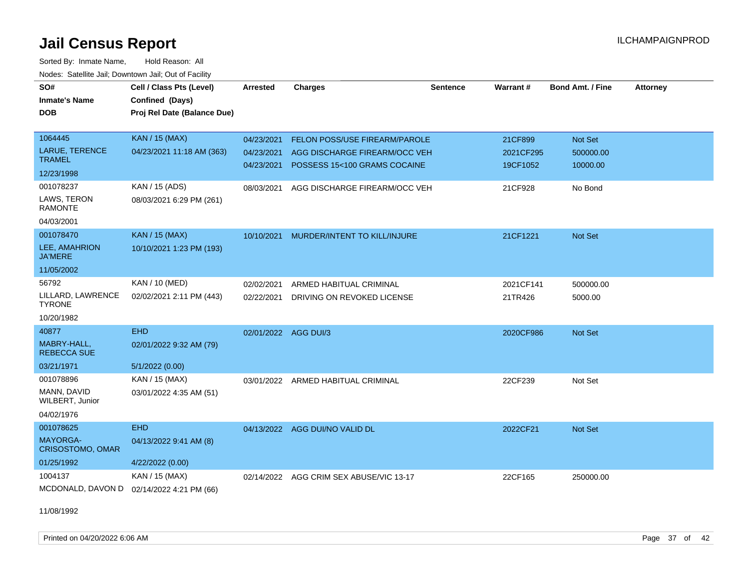Sorted By: Inmate Name, Hold Reason: All Nodes: Satellite Jail; Downtown Jail; Out of Facility

| SO#<br><b>Inmate's Name</b><br>DOB                             | Cell / Class Pts (Level)<br>Confined (Days)<br>Proj Rel Date (Balance Due) | <b>Arrested</b>                        | <b>Charges</b>                                                                                 | <b>Sentence</b> | Warrant#                         | Bond Amt. / Fine                 | <b>Attorney</b> |
|----------------------------------------------------------------|----------------------------------------------------------------------------|----------------------------------------|------------------------------------------------------------------------------------------------|-----------------|----------------------------------|----------------------------------|-----------------|
| 1064445<br>LARUE, TERENCE<br><b>TRAMEL</b><br>12/23/1998       | <b>KAN / 15 (MAX)</b><br>04/23/2021 11:18 AM (363)                         | 04/23/2021<br>04/23/2021<br>04/23/2021 | FELON POSS/USE FIREARM/PAROLE<br>AGG DISCHARGE FIREARM/OCC VEH<br>POSSESS 15<100 GRAMS COCAINE |                 | 21CF899<br>2021CF295<br>19CF1052 | Not Set<br>500000.00<br>10000.00 |                 |
| 001078237<br>LAWS, TERON<br><b>RAMONTE</b><br>04/03/2001       | KAN / 15 (ADS)<br>08/03/2021 6:29 PM (261)                                 | 08/03/2021                             | AGG DISCHARGE FIREARM/OCC VEH                                                                  |                 | 21CF928                          | No Bond                          |                 |
| 001078470<br>LEE, AMAHRION<br><b>JA'MERE</b><br>11/05/2002     | <b>KAN / 15 (MAX)</b><br>10/10/2021 1:23 PM (193)                          | 10/10/2021                             | MURDER/INTENT TO KILL/INJURE                                                                   |                 | 21CF1221                         | <b>Not Set</b>                   |                 |
| 56792<br>LILLARD, LAWRENCE<br><b>TYRONE</b><br>10/20/1982      | KAN / 10 (MED)<br>02/02/2021 2:11 PM (443)                                 | 02/02/2021<br>02/22/2021               | ARMED HABITUAL CRIMINAL<br>DRIVING ON REVOKED LICENSE                                          |                 | 2021CF141<br>21TR426             | 500000.00<br>5000.00             |                 |
| 40877<br>MABRY-HALL,<br><b>REBECCA SUE</b><br>03/21/1971       | <b>EHD</b><br>02/01/2022 9:32 AM (79)<br>5/1/2022 (0.00)                   | 02/01/2022 AGG DUI/3                   |                                                                                                |                 | 2020CF986                        | Not Set                          |                 |
| 001078896<br>MANN, DAVID<br>WILBERT, Junior<br>04/02/1976      | KAN / 15 (MAX)<br>03/01/2022 4:35 AM (51)                                  |                                        | 03/01/2022 ARMED HABITUAL CRIMINAL                                                             |                 | 22CF239                          | Not Set                          |                 |
| 001078625<br><b>MAYORGA-</b><br>CRISOSTOMO, OMAR<br>01/25/1992 | <b>EHD</b><br>04/13/2022 9:41 AM (8)<br>4/22/2022 (0.00)                   | 04/13/2022                             | AGG DUI/NO VALID DL                                                                            |                 | 2022CF21                         | <b>Not Set</b>                   |                 |
| 1004137<br>MCDONALD, DAVON D                                   | KAN / 15 (MAX)<br>02/14/2022 4:21 PM (66)                                  | 02/14/2022                             | AGG CRIM SEX ABUSE/VIC 13-17                                                                   |                 | 22CF165                          | 250000.00                        |                 |

11/08/1992

Printed on 04/20/2022 6:06 AM Page 37 of 42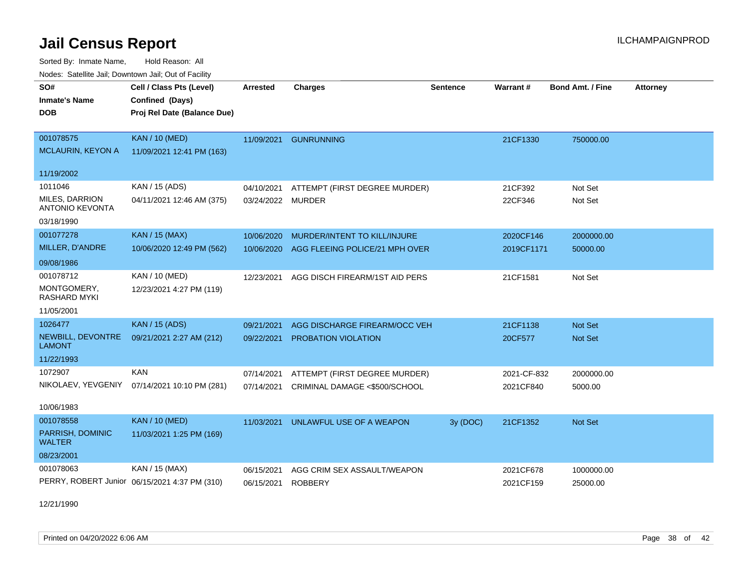Sorted By: Inmate Name, Hold Reason: All Nodes: Satellite Jail; Downtown Jail; Out of Facility

| vouco. Odichile Jah, Downtown Jah, Out of Facility |                                               |                 |                                |                 |             |                         |                 |
|----------------------------------------------------|-----------------------------------------------|-----------------|--------------------------------|-----------------|-------------|-------------------------|-----------------|
| SO#                                                | Cell / Class Pts (Level)                      | <b>Arrested</b> | <b>Charges</b>                 | <b>Sentence</b> | Warrant#    | <b>Bond Amt. / Fine</b> | <b>Attorney</b> |
| <b>Inmate's Name</b>                               | Confined (Days)                               |                 |                                |                 |             |                         |                 |
| DOB                                                | Proj Rel Date (Balance Due)                   |                 |                                |                 |             |                         |                 |
|                                                    |                                               |                 |                                |                 |             |                         |                 |
| 001078575                                          | <b>KAN / 10 (MED)</b>                         | 11/09/2021      | <b>GUNRUNNING</b>              |                 | 21CF1330    | 750000.00               |                 |
| <b>MCLAURIN, KEYON A</b>                           | 11/09/2021 12:41 PM (163)                     |                 |                                |                 |             |                         |                 |
| 11/19/2002                                         |                                               |                 |                                |                 |             |                         |                 |
| 1011046                                            | KAN / 15 (ADS)                                | 04/10/2021      | ATTEMPT (FIRST DEGREE MURDER)  |                 | 21CF392     | Not Set                 |                 |
| MILES, DARRION                                     | 04/11/2021 12:46 AM (375)                     | 03/24/2022      | <b>MURDER</b>                  |                 | 22CF346     | Not Set                 |                 |
| <b>ANTONIO KEVONTA</b>                             |                                               |                 |                                |                 |             |                         |                 |
| 03/18/1990                                         |                                               |                 |                                |                 |             |                         |                 |
| 001077278                                          | <b>KAN / 15 (MAX)</b>                         | 10/06/2020      | MURDER/INTENT TO KILL/INJURE   |                 | 2020CF146   | 2000000.00              |                 |
| MILLER, D'ANDRE                                    | 10/06/2020 12:49 PM (562)                     | 10/06/2020      | AGG FLEEING POLICE/21 MPH OVER |                 | 2019CF1171  | 50000.00                |                 |
| 09/08/1986                                         |                                               |                 |                                |                 |             |                         |                 |
| 001078712                                          | KAN / 10 (MED)                                | 12/23/2021      | AGG DISCH FIREARM/1ST AID PERS |                 | 21CF1581    | Not Set                 |                 |
| MONTGOMERY,<br>RASHARD MYKI                        | 12/23/2021 4:27 PM (119)                      |                 |                                |                 |             |                         |                 |
| 11/05/2001                                         |                                               |                 |                                |                 |             |                         |                 |
| 1026477                                            | <b>KAN / 15 (ADS)</b>                         | 09/21/2021      | AGG DISCHARGE FIREARM/OCC VEH  |                 | 21CF1138    | <b>Not Set</b>          |                 |
| NEWBILL, DEVONTRE<br><b>LAMONT</b>                 | 09/21/2021 2:27 AM (212)                      | 09/22/2021      | PROBATION VIOLATION            |                 | 20CF577     | <b>Not Set</b>          |                 |
| 11/22/1993                                         |                                               |                 |                                |                 |             |                         |                 |
| 1072907                                            | <b>KAN</b>                                    | 07/14/2021      | ATTEMPT (FIRST DEGREE MURDER)  |                 | 2021-CF-832 | 2000000.00              |                 |
| NIKOLAEV, YEVGENIY                                 | 07/14/2021 10:10 PM (281)                     | 07/14/2021      | CRIMINAL DAMAGE <\$500/SCHOOL  |                 | 2021CF840   | 5000.00                 |                 |
|                                                    |                                               |                 |                                |                 |             |                         |                 |
| 10/06/1983                                         |                                               |                 |                                |                 |             |                         |                 |
| 001078558                                          | <b>KAN / 10 (MED)</b>                         | 11/03/2021      | UNLAWFUL USE OF A WEAPON       | 3y (DOC)        | 21CF1352    | Not Set                 |                 |
| PARRISH, DOMINIC<br><b>WALTER</b>                  | 11/03/2021 1:25 PM (169)                      |                 |                                |                 |             |                         |                 |
| 08/23/2001                                         |                                               |                 |                                |                 |             |                         |                 |
| 001078063                                          | KAN / 15 (MAX)                                | 06/15/2021      | AGG CRIM SEX ASSAULT/WEAPON    |                 | 2021CF678   | 1000000.00              |                 |
|                                                    | PERRY, ROBERT Junior 06/15/2021 4:37 PM (310) | 06/15/2021      | <b>ROBBERY</b>                 |                 | 2021CF159   | 25000.00                |                 |

12/21/1990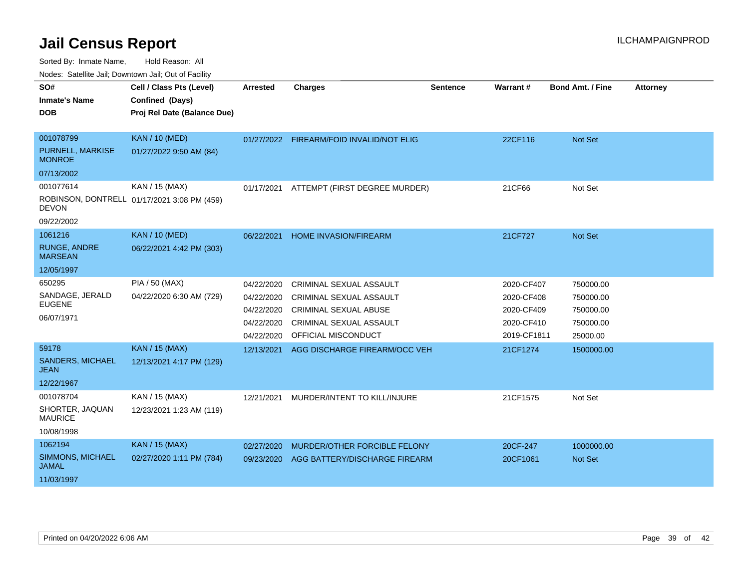Sorted By: Inmate Name, Hold Reason: All

Nodes: Satellite Jail; Downtown Jail; Out of Facility

| SO#                                   | Cell / Class Pts (Level)                    | <b>Arrested</b> | <b>Charges</b>                           | <b>Sentence</b> | Warrant#    | <b>Bond Amt. / Fine</b> | <b>Attorney</b> |
|---------------------------------------|---------------------------------------------|-----------------|------------------------------------------|-----------------|-------------|-------------------------|-----------------|
| <b>Inmate's Name</b>                  | Confined (Days)                             |                 |                                          |                 |             |                         |                 |
| <b>DOB</b>                            | Proj Rel Date (Balance Due)                 |                 |                                          |                 |             |                         |                 |
|                                       |                                             |                 |                                          |                 |             |                         |                 |
| 001078799                             | <b>KAN / 10 (MED)</b>                       |                 | 01/27/2022 FIREARM/FOID INVALID/NOT ELIG |                 | 22CF116     | Not Set                 |                 |
| PURNELL, MARKISE<br><b>MONROE</b>     | 01/27/2022 9:50 AM (84)                     |                 |                                          |                 |             |                         |                 |
| 07/13/2002                            |                                             |                 |                                          |                 |             |                         |                 |
| 001077614                             | KAN / 15 (MAX)                              | 01/17/2021      | ATTEMPT (FIRST DEGREE MURDER)            |                 | 21CF66      | Not Set                 |                 |
| <b>DEVON</b>                          | ROBINSON, DONTRELL 01/17/2021 3:08 PM (459) |                 |                                          |                 |             |                         |                 |
| 09/22/2002                            |                                             |                 |                                          |                 |             |                         |                 |
| 1061216                               | <b>KAN / 10 (MED)</b>                       | 06/22/2021      | <b>HOME INVASION/FIREARM</b>             |                 | 21CF727     | <b>Not Set</b>          |                 |
| <b>RUNGE, ANDRE</b><br><b>MARSEAN</b> | 06/22/2021 4:42 PM (303)                    |                 |                                          |                 |             |                         |                 |
| 12/05/1997                            |                                             |                 |                                          |                 |             |                         |                 |
| 650295                                | PIA / 50 (MAX)                              | 04/22/2020      | CRIMINAL SEXUAL ASSAULT                  |                 | 2020-CF407  | 750000.00               |                 |
| SANDAGE, JERALD                       | 04/22/2020 6:30 AM (729)                    | 04/22/2020      | <b>CRIMINAL SEXUAL ASSAULT</b>           |                 | 2020-CF408  | 750000.00               |                 |
| <b>EUGENE</b>                         |                                             | 04/22/2020      | <b>CRIMINAL SEXUAL ABUSE</b>             |                 | 2020-CF409  | 750000.00               |                 |
| 06/07/1971                            |                                             | 04/22/2020      | <b>CRIMINAL SEXUAL ASSAULT</b>           |                 | 2020-CF410  | 750000.00               |                 |
|                                       |                                             | 04/22/2020      | OFFICIAL MISCONDUCT                      |                 | 2019-CF1811 | 25000.00                |                 |
| 59178                                 | <b>KAN / 15 (MAX)</b>                       | 12/13/2021      | AGG DISCHARGE FIREARM/OCC VEH            |                 | 21CF1274    | 1500000.00              |                 |
| <b>SANDERS, MICHAEL</b>               | 12/13/2021 4:17 PM (129)                    |                 |                                          |                 |             |                         |                 |
| <b>JEAN</b>                           |                                             |                 |                                          |                 |             |                         |                 |
| 12/22/1967                            |                                             |                 |                                          |                 |             |                         |                 |
| 001078704                             | KAN / 15 (MAX)                              | 12/21/2021      | MURDER/INTENT TO KILL/INJURE             |                 | 21CF1575    | Not Set                 |                 |
| SHORTER, JAQUAN<br><b>MAURICE</b>     | 12/23/2021 1:23 AM (119)                    |                 |                                          |                 |             |                         |                 |
| 10/08/1998                            |                                             |                 |                                          |                 |             |                         |                 |
| 1062194                               | <b>KAN / 15 (MAX)</b>                       | 02/27/2020      | MURDER/OTHER FORCIBLE FELONY             |                 | 20CF-247    | 1000000.00              |                 |
| SIMMONS, MICHAEL<br><b>JAMAL</b>      | 02/27/2020 1:11 PM (784)                    | 09/23/2020      | AGG BATTERY/DISCHARGE FIREARM            |                 | 20CF1061    | <b>Not Set</b>          |                 |
| 11/03/1997                            |                                             |                 |                                          |                 |             |                         |                 |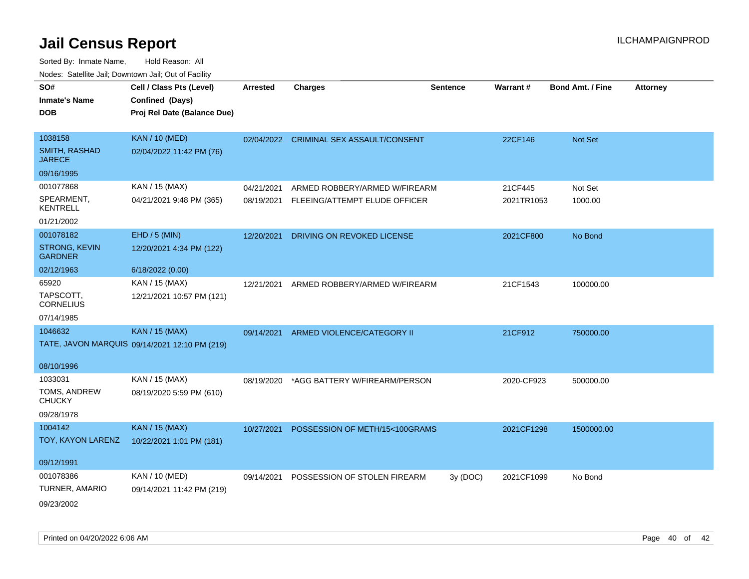| SO#<br><b>Inmate's Name</b><br><b>DOB</b> | Cell / Class Pts (Level)<br>Confined (Days)<br>Proj Rel Date (Balance Due) | <b>Arrested</b> | <b>Charges</b>                          | <b>Sentence</b> | Warrant#   | <b>Bond Amt. / Fine</b> | <b>Attorney</b> |
|-------------------------------------------|----------------------------------------------------------------------------|-----------------|-----------------------------------------|-----------------|------------|-------------------------|-----------------|
| 1038158                                   | <b>KAN / 10 (MED)</b>                                                      |                 | 02/04/2022 CRIMINAL SEX ASSAULT/CONSENT |                 | 22CF146    | Not Set                 |                 |
| <b>SMITH, RASHAD</b><br><b>JARECE</b>     | 02/04/2022 11:42 PM (76)                                                   |                 |                                         |                 |            |                         |                 |
| 09/16/1995                                |                                                                            |                 |                                         |                 |            |                         |                 |
| 001077868                                 | KAN / 15 (MAX)                                                             | 04/21/2021      | ARMED ROBBERY/ARMED W/FIREARM           |                 | 21CF445    | Not Set                 |                 |
| SPEARMENT,<br><b>KENTRELL</b>             | 04/21/2021 9:48 PM (365)                                                   | 08/19/2021      | FLEEING/ATTEMPT ELUDE OFFICER           |                 | 2021TR1053 | 1000.00                 |                 |
| 01/21/2002                                |                                                                            |                 |                                         |                 |            |                         |                 |
| 001078182                                 | $EHD / 5$ (MIN)                                                            | 12/20/2021      | DRIVING ON REVOKED LICENSE              |                 | 2021CF800  | No Bond                 |                 |
| <b>STRONG, KEVIN</b><br><b>GARDNER</b>    | 12/20/2021 4:34 PM (122)                                                   |                 |                                         |                 |            |                         |                 |
| 02/12/1963                                | 6/18/2022 (0.00)                                                           |                 |                                         |                 |            |                         |                 |
| 65920                                     | KAN / 15 (MAX)                                                             | 12/21/2021      | ARMED ROBBERY/ARMED W/FIREARM           |                 | 21CF1543   | 100000.00               |                 |
| TAPSCOTT,<br><b>CORNELIUS</b>             | 12/21/2021 10:57 PM (121)                                                  |                 |                                         |                 |            |                         |                 |
| 07/14/1985                                |                                                                            |                 |                                         |                 |            |                         |                 |
| 1046632                                   | <b>KAN / 15 (MAX)</b>                                                      | 09/14/2021      | ARMED VIOLENCE/CATEGORY II              |                 | 21CF912    | 750000.00               |                 |
|                                           | TATE, JAVON MARQUIS 09/14/2021 12:10 PM (219)                              |                 |                                         |                 |            |                         |                 |
| 08/10/1996                                |                                                                            |                 |                                         |                 |            |                         |                 |
| 1033031                                   | KAN / 15 (MAX)                                                             | 08/19/2020      | *AGG BATTERY W/FIREARM/PERSON           |                 | 2020-CF923 | 500000.00               |                 |
| TOMS, ANDREW<br><b>CHUCKY</b>             | 08/19/2020 5:59 PM (610)                                                   |                 |                                         |                 |            |                         |                 |
| 09/28/1978                                |                                                                            |                 |                                         |                 |            |                         |                 |
| 1004142                                   | <b>KAN / 15 (MAX)</b>                                                      | 10/27/2021      | POSSESSION OF METH/15<100GRAMS          |                 | 2021CF1298 | 1500000.00              |                 |
| TOY, KAYON LARENZ                         | 10/22/2021 1:01 PM (181)                                                   |                 |                                         |                 |            |                         |                 |
| 09/12/1991                                |                                                                            |                 |                                         |                 |            |                         |                 |
| 001078386                                 | KAN / 10 (MED)                                                             | 09/14/2021      | POSSESSION OF STOLEN FIREARM            | 3y(DOC)         | 2021CF1099 | No Bond                 |                 |
| TURNER, AMARIO                            | 09/14/2021 11:42 PM (219)                                                  |                 |                                         |                 |            |                         |                 |
| 09/23/2002                                |                                                                            |                 |                                         |                 |            |                         |                 |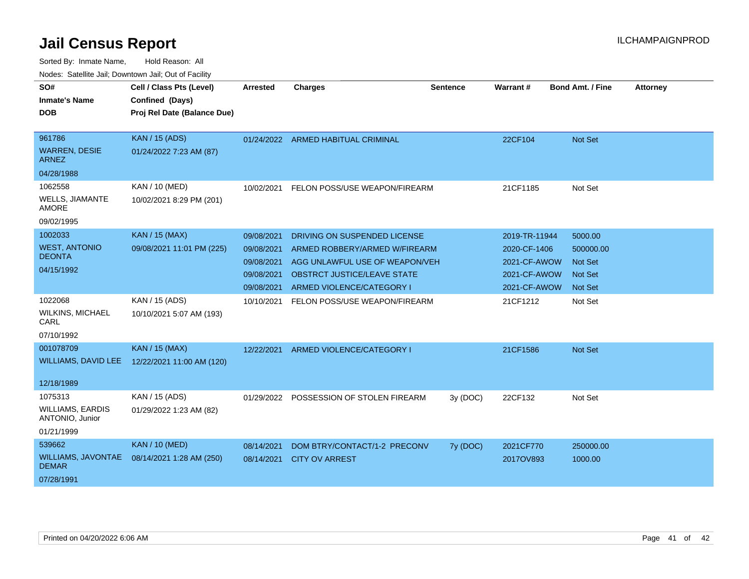| SO#<br><b>Inmate's Name</b><br>DOB                    | Cell / Class Pts (Level)<br>Confined (Days)<br>Proj Rel Date (Balance Due) | <b>Arrested</b> | <b>Charges</b>                          | <b>Sentence</b> | Warrant#      | <b>Bond Amt. / Fine</b> | <b>Attorney</b> |
|-------------------------------------------------------|----------------------------------------------------------------------------|-----------------|-----------------------------------------|-----------------|---------------|-------------------------|-----------------|
| 961786<br><b>WARREN, DESIE</b><br>ARNEZ               | <b>KAN / 15 (ADS)</b><br>01/24/2022 7:23 AM (87)                           |                 | 01/24/2022 ARMED HABITUAL CRIMINAL      |                 | 22CF104       | <b>Not Set</b>          |                 |
| 04/28/1988                                            |                                                                            |                 |                                         |                 |               |                         |                 |
| 1062558                                               | KAN / 10 (MED)                                                             | 10/02/2021      | FELON POSS/USE WEAPON/FIREARM           |                 | 21CF1185      | Not Set                 |                 |
| WELLS, JIAMANTE<br>AMORE                              | 10/02/2021 8:29 PM (201)                                                   |                 |                                         |                 |               |                         |                 |
| 09/02/1995                                            |                                                                            |                 |                                         |                 |               |                         |                 |
| 1002033                                               | <b>KAN / 15 (MAX)</b>                                                      | 09/08/2021      | DRIVING ON SUSPENDED LICENSE            |                 | 2019-TR-11944 | 5000.00                 |                 |
| <b>WEST, ANTONIO</b>                                  | 09/08/2021 11:01 PM (225)                                                  | 09/08/2021      | ARMED ROBBERY/ARMED W/FIREARM           |                 | 2020-CF-1406  | 500000.00               |                 |
| <b>DEONTA</b>                                         |                                                                            | 09/08/2021      | AGG UNLAWFUL USE OF WEAPON/VEH          |                 | 2021-CF-AWOW  | <b>Not Set</b>          |                 |
| 04/15/1992                                            |                                                                            | 09/08/2021      | <b>OBSTRCT JUSTICE/LEAVE STATE</b>      |                 | 2021-CF-AWOW  | <b>Not Set</b>          |                 |
|                                                       |                                                                            | 09/08/2021      | ARMED VIOLENCE/CATEGORY I               |                 | 2021-CF-AWOW  | <b>Not Set</b>          |                 |
| 1022068<br><b>WILKINS, MICHAEL</b><br>CARL            | KAN / 15 (ADS)<br>10/10/2021 5:07 AM (193)                                 | 10/10/2021      | FELON POSS/USE WEAPON/FIREARM           |                 | 21CF1212      | Not Set                 |                 |
| 07/10/1992                                            |                                                                            |                 |                                         |                 |               |                         |                 |
| 001078709                                             | <b>KAN / 15 (MAX)</b>                                                      | 12/22/2021      | ARMED VIOLENCE/CATEGORY I               |                 | 21CF1586      | <b>Not Set</b>          |                 |
| <b>WILLIAMS, DAVID LEE</b>                            | 12/22/2021 11:00 AM (120)                                                  |                 |                                         |                 |               |                         |                 |
| 12/18/1989                                            |                                                                            |                 |                                         |                 |               |                         |                 |
| 1075313<br><b>WILLIAMS, EARDIS</b><br>ANTONIO, Junior | KAN / 15 (ADS)<br>01/29/2022 1:23 AM (82)                                  |                 | 01/29/2022 POSSESSION OF STOLEN FIREARM | 3y (DOC)        | 22CF132       | Not Set                 |                 |
| 01/21/1999                                            |                                                                            |                 |                                         |                 |               |                         |                 |
| 539662                                                | <b>KAN / 10 (MED)</b>                                                      | 08/14/2021      | DOM BTRY/CONTACT/1-2 PRECONV            | 7y (DOC)        | 2021CF770     | 250000.00               |                 |
| WILLIAMS, JAVONTAE<br><b>DEMAR</b>                    | 08/14/2021 1:28 AM (250)                                                   | 08/14/2021      | <b>CITY OV ARREST</b>                   |                 | 2017OV893     | 1000.00                 |                 |
| 07/28/1991                                            |                                                                            |                 |                                         |                 |               |                         |                 |